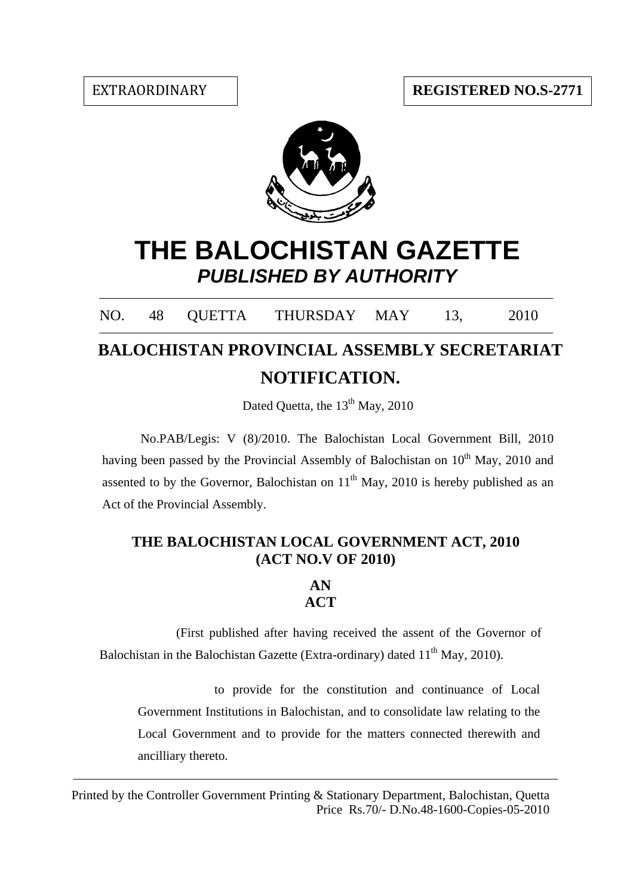

# **THE BALOCHISTAN GAZETTE** *PUBLISHED BY AUTHORITY*

NO. 48 QUETTA THURSDAY MAY 13, 2010

## $\overline{a}$ **BALOCHISTAN PROVINCIAL ASSEMBLY SECRETARIAT NOTIFICATION.**

Dated Quetta, the  $13<sup>th</sup>$  May, 2010

No.PAB/Legis: V (8)/2010. The Balochistan Local Government Bill, 2010 having been passed by the Provincial Assembly of Balochistan on  $10<sup>th</sup>$  May, 2010 and assented to by the Governor, Balochistan on  $11<sup>th</sup>$  May, 2010 is hereby published as an Act of the Provincial Assembly.

## **THE BALOCHISTAN LOCAL GOVERNMENT ACT, 2010 (ACT NO.V OF 2010)**

## **AN ACT**

(First published after having received the assent of the Governor of Balochistan in the Balochistan Gazette (Extra-ordinary) dated  $11<sup>th</sup>$  May, 2010).

to provide for the constitution and continuance of Local Government Institutions in Balochistan, and to consolidate law relating to the Local Government and to provide for the matters connected therewith and ancilliary thereto.

Printed by the Controller Government Printing & Stationary Department, Balochistan, Quetta Price Rs.70/- D.No.48-1600-Copies-05-2010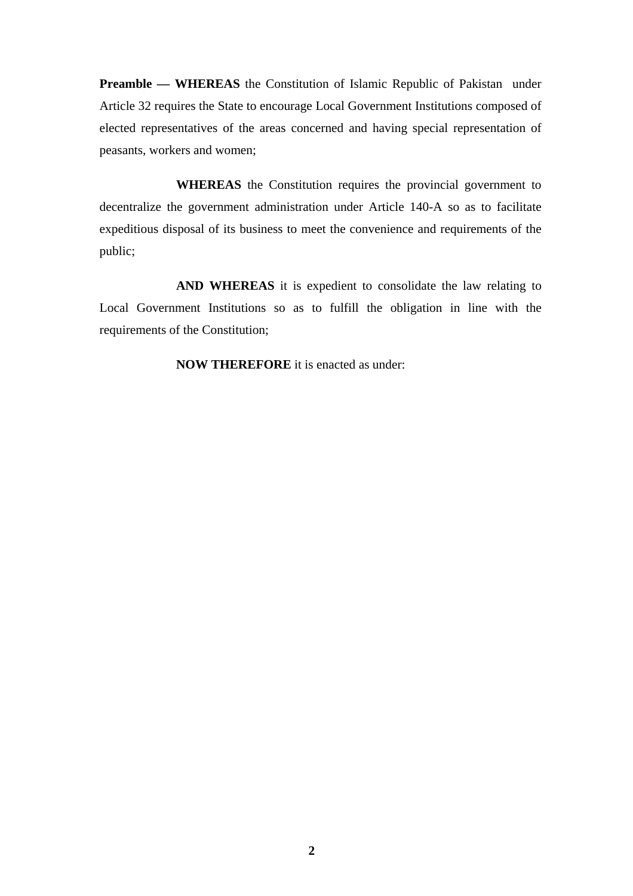**Preamble — WHEREAS** the Constitution of Islamic Republic of Pakistan under Article 32 requires the State to encourage Local Government Institutions composed of elected representatives of the areas concerned and having special representation of peasants, workers and women;

 **WHEREAS** the Constitution requires the provincial government to decentralize the government administration under Article 140-A so as to facilitate expeditious disposal of its business to meet the convenience and requirements of the public;

 **AND WHEREAS** it is expedient to consolidate the law relating to Local Government Institutions so as to fulfill the obligation in line with the requirements of the Constitution;

 **NOW THEREFORE** it is enacted as under: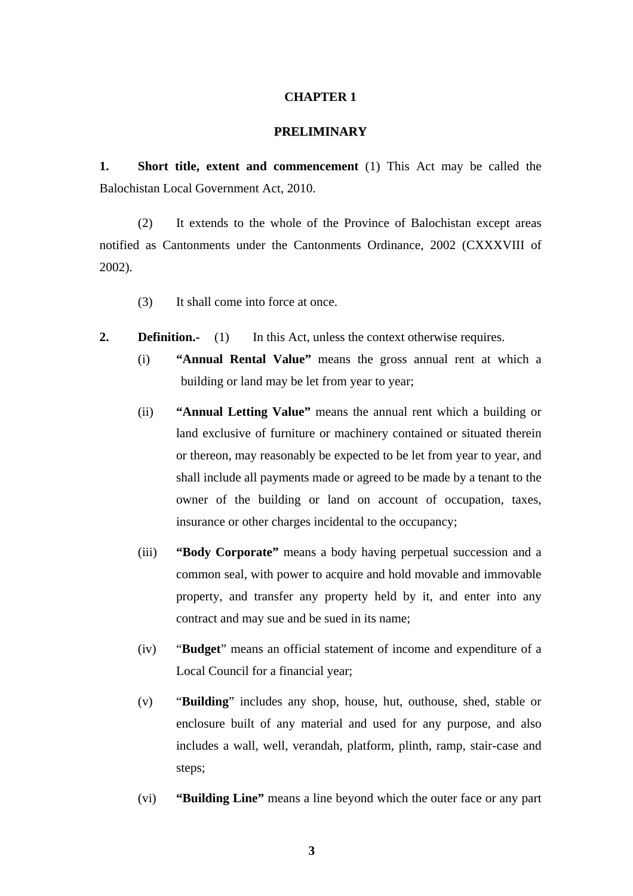#### **CHAPTER 1**

#### **PRELIMINARY**

**1. Short title, extent and commencement** (1) This Act may be called the Balochistan Local Government Act, 2010.

(2) It extends to the whole of the Province of Balochistan except areas notified as Cantonments under the Cantonments Ordinance, 2002 (CXXXVIII of 2002).

- (3) It shall come into force at once.
- **2. Definition.** (1) In this Act, unless the context otherwise requires.
	- (i) **"Annual Rental Value"** means the gross annual rent at which a building or land may be let from year to year;
	- (ii) **"Annual Letting Value"** means the annual rent which a building or land exclusive of furniture or machinery contained or situated therein or thereon, may reasonably be expected to be let from year to year, and shall include all payments made or agreed to be made by a tenant to the owner of the building or land on account of occupation, taxes, insurance or other charges incidental to the occupancy;
	- (iii) **"Body Corporate"** means a body having perpetual succession and a common seal, with power to acquire and hold movable and immovable property, and transfer any property held by it, and enter into any contract and may sue and be sued in its name;
	- (iv) "**Budget**" means an official statement of income and expenditure of a Local Council for a financial year;
	- (v) "**Building**" includes any shop, house, hut, outhouse, shed, stable or enclosure built of any material and used for any purpose, and also includes a wall, well, verandah, platform, plinth, ramp, stair-case and steps;
	- (vi) **"Building Line"** means a line beyond which the outer face or any part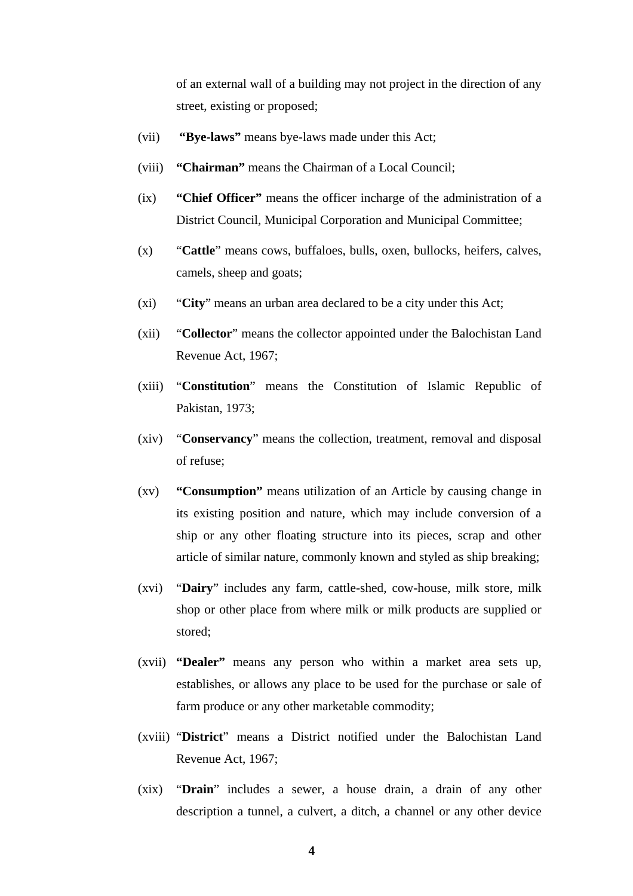of an external wall of a building may not project in the direction of any street, existing or proposed;

- (vii) **"Bye-laws"** means bye-laws made under this Act;
- (viii) **"Chairman"** means the Chairman of a Local Council;
- (ix) **"Chief Officer"** means the officer incharge of the administration of a District Council, Municipal Corporation and Municipal Committee;
- (x) "**Cattle**" means cows, buffaloes, bulls, oxen, bullocks, heifers, calves, camels, sheep and goats;
- (xi) "**City**" means an urban area declared to be a city under this Act;
- (xii) "**Collector**" means the collector appointed under the Balochistan Land Revenue Act, 1967;
- (xiii) "**Constitution**" means the Constitution of Islamic Republic of Pakistan, 1973;
- (xiv) "**Conservancy**" means the collection, treatment, removal and disposal of refuse;
- (xv) **"Consumption"** means utilization of an Article by causing change in its existing position and nature, which may include conversion of a ship or any other floating structure into its pieces, scrap and other article of similar nature, commonly known and styled as ship breaking;
- (xvi) "**Dairy**" includes any farm, cattle-shed, cow-house, milk store, milk shop or other place from where milk or milk products are supplied or stored;
- (xvii) **"Dealer"** means any person who within a market area sets up, establishes, or allows any place to be used for the purchase or sale of farm produce or any other marketable commodity;
- (xviii) "**District**" means a District notified under the Balochistan Land Revenue Act, 1967;
- (xix) "**Drain**" includes a sewer, a house drain, a drain of any other description a tunnel, a culvert, a ditch, a channel or any other device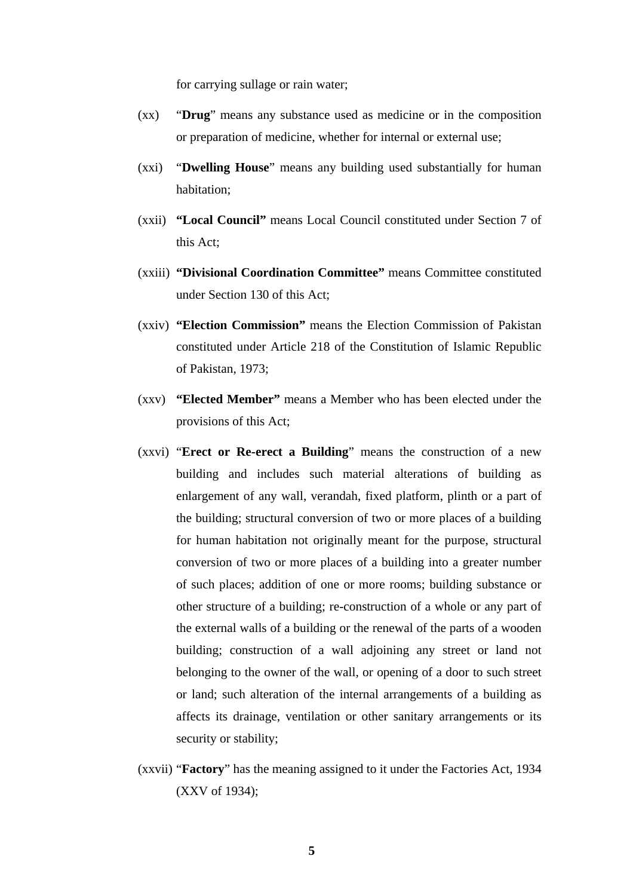for carrying sullage or rain water;

- (xx) "**Drug**" means any substance used as medicine or in the composition or preparation of medicine, whether for internal or external use;
- (xxi) "**Dwelling House**" means any building used substantially for human habitation;
- (xxii) **"Local Council"** means Local Council constituted under Section 7 of this Act;
- (xxiii) **"Divisional Coordination Committee"** means Committee constituted under Section 130 of this Act;
- (xxiv) **"Election Commission"** means the Election Commission of Pakistan constituted under Article 218 of the Constitution of Islamic Republic of Pakistan, 1973;
- (xxv) **"Elected Member"** means a Member who has been elected under the provisions of this Act;
- (xxvi) "**Erect or Re-erect a Building**" means the construction of a new building and includes such material alterations of building as enlargement of any wall, verandah, fixed platform, plinth or a part of the building; structural conversion of two or more places of a building for human habitation not originally meant for the purpose, structural conversion of two or more places of a building into a greater number of such places; addition of one or more rooms; building substance or other structure of a building; re-construction of a whole or any part of the external walls of a building or the renewal of the parts of a wooden building; construction of a wall adjoining any street or land not belonging to the owner of the wall, or opening of a door to such street or land; such alteration of the internal arrangements of a building as affects its drainage, ventilation or other sanitary arrangements or its security or stability;
- (xxvii) "**Factory**" has the meaning assigned to it under the Factories Act, 1934 (XXV of 1934);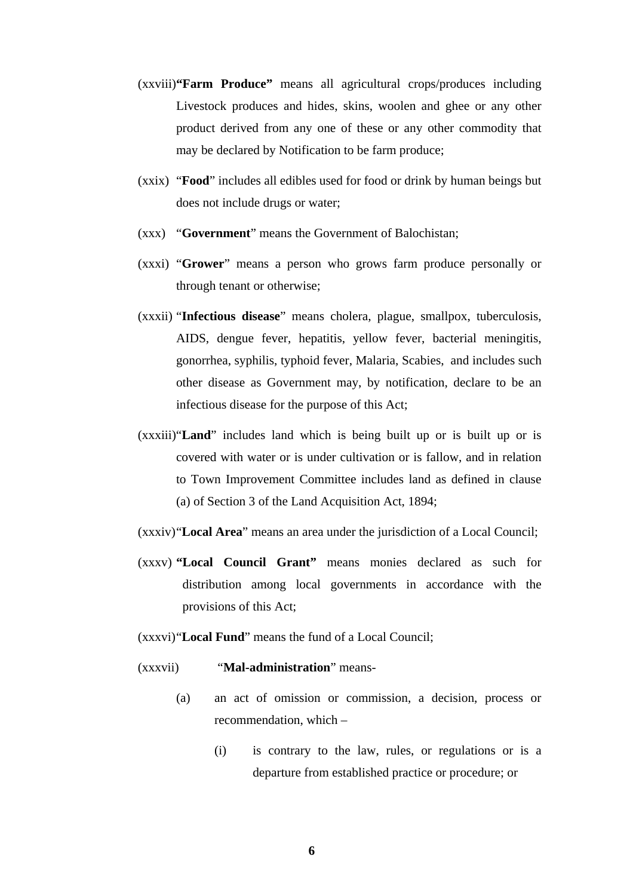- (xxviii)**"Farm Produce"** means all agricultural crops/produces including Livestock produces and hides, skins, woolen and ghee or any other product derived from any one of these or any other commodity that may be declared by Notification to be farm produce;
- (xxix) "**Food**" includes all edibles used for food or drink by human beings but does not include drugs or water;
- (xxx) "**Government**" means the Government of Balochistan;
- (xxxi) "**Grower**" means a person who grows farm produce personally or through tenant or otherwise;
- (xxxii) "**Infectious disease**" means cholera, plague, smallpox, tuberculosis, AIDS, dengue fever, hepatitis, yellow fever, bacterial meningitis, gonorrhea, syphilis, typhoid fever, Malaria, Scabies, and includes such other disease as Government may, by notification, declare to be an infectious disease for the purpose of this Act;
- (xxxiii)"**Land**" includes land which is being built up or is built up or is covered with water or is under cultivation or is fallow, and in relation to Town Improvement Committee includes land as defined in clause (a) of Section 3 of the Land Acquisition Act, 1894;
- (xxxiv)"**Local Area**" means an area under the jurisdiction of a Local Council;
- (xxxv) **"Local Council Grant"** means monies declared as such for distribution among local governments in accordance with the provisions of this Act;
- (xxxvi)"**Local Fund**" means the fund of a Local Council;

(xxxvii) "**Mal-administration**" means-

- (a) an act of omission or commission, a decision, process or recommendation, which –
	- (i) is contrary to the law, rules, or regulations or is a departure from established practice or procedure; or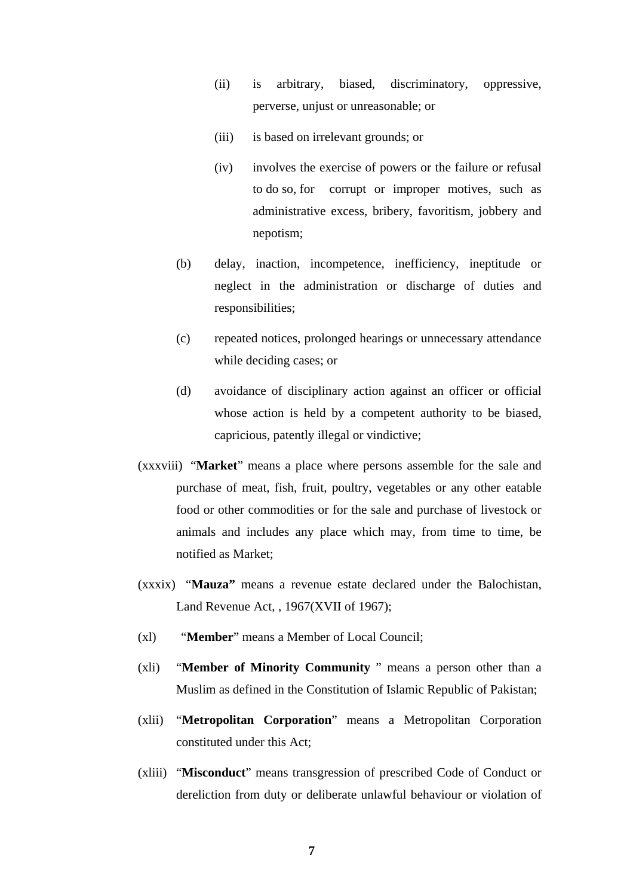- (ii) is arbitrary, biased, discriminatory, oppressive, perverse, unjust or unreasonable; or
- (iii) is based on irrelevant grounds; or
- (iv) involves the exercise of powers or the failure or refusal to do so, for corrupt or improper motives, such as administrative excess, bribery, favoritism, jobbery and nepotism;
- (b) delay, inaction, incompetence, inefficiency, ineptitude or neglect in the administration or discharge of duties and responsibilities;
- (c) repeated notices, prolonged hearings or unnecessary attendance while deciding cases; or
- (d) avoidance of disciplinary action against an officer or official whose action is held by a competent authority to be biased, capricious, patently illegal or vindictive;
- (xxxviii) "**Market**" means a place where persons assemble for the sale and purchase of meat, fish, fruit, poultry, vegetables or any other eatable food or other commodities or for the sale and purchase of livestock or animals and includes any place which may, from time to time, be notified as Market;
- (xxxix) "**Mauza"** means a revenue estate declared under the Balochistan, Land Revenue Act, , 1967(XVII of 1967);
- (xl) "**Member**" means a Member of Local Council;
- (xli) "**Member of Minority Community** " means a person other than a Muslim as defined in the Constitution of Islamic Republic of Pakistan;
- (xlii) "**Metropolitan Corporation**" means a Metropolitan Corporation constituted under this Act;
- (xliii) "**Misconduct**" means transgression of prescribed Code of Conduct or dereliction from duty or deliberate unlawful behaviour or violation of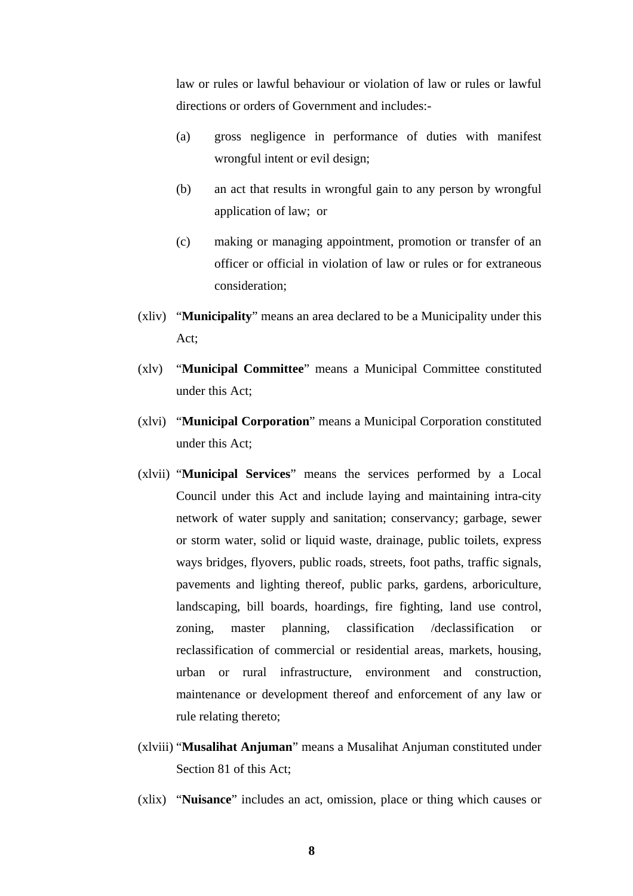law or rules or lawful behaviour or violation of law or rules or lawful directions or orders of Government and includes:-

- (a) gross negligence in performance of duties with manifest wrongful intent or evil design;
- (b) an act that results in wrongful gain to any person by wrongful application of law; or
- (c) making or managing appointment, promotion or transfer of an officer or official in violation of law or rules or for extraneous consideration;
- (xliv) "**Municipality**" means an area declared to be a Municipality under this Act;
- (xlv) "**Municipal Committee**" means a Municipal Committee constituted under this Act;
- (xlvi) "**Municipal Corporation**" means a Municipal Corporation constituted under this Act;
- (xlvii) "**Municipal Services**" means the services performed by a Local Council under this Act and include laying and maintaining intra-city network of water supply and sanitation; conservancy; garbage, sewer or storm water, solid or liquid waste, drainage, public toilets, express ways bridges, flyovers, public roads, streets, foot paths, traffic signals, pavements and lighting thereof, public parks, gardens, arboriculture, landscaping, bill boards, hoardings, fire fighting, land use control, zoning, master planning, classification /declassification or reclassification of commercial or residential areas, markets, housing, urban or rural infrastructure, environment and construction, maintenance or development thereof and enforcement of any law or rule relating thereto;
- (xlviii) "**Musalihat Anjuman**" means a Musalihat Anjuman constituted under Section 81 of this Act;
- (xlix) "**Nuisance**" includes an act, omission, place or thing which causes or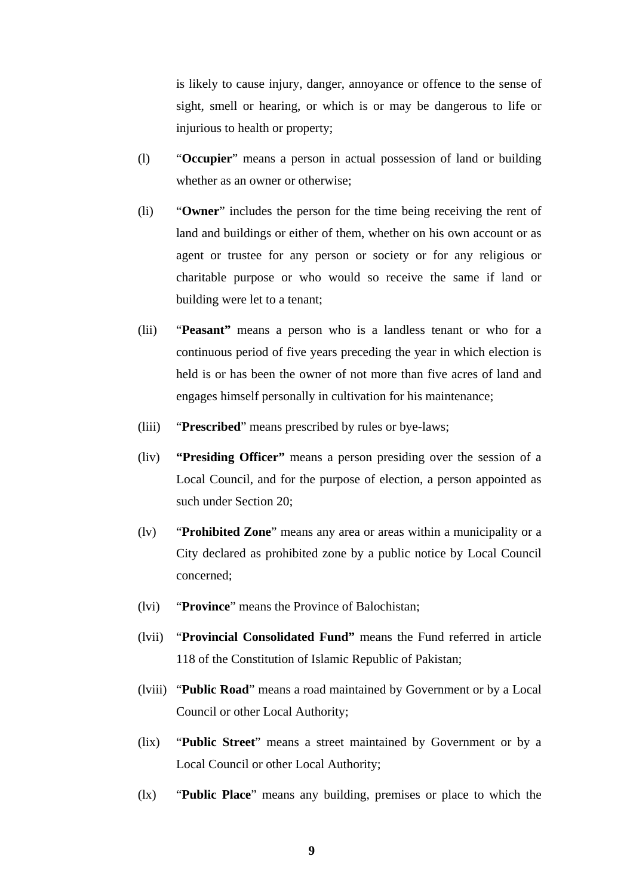is likely to cause injury, danger, annoyance or offence to the sense of sight, smell or hearing, or which is or may be dangerous to life or injurious to health or property;

- (l) "**Occupier**" means a person in actual possession of land or building whether as an owner or otherwise;
- (li) "**Owner**" includes the person for the time being receiving the rent of land and buildings or either of them, whether on his own account or as agent or trustee for any person or society or for any religious or charitable purpose or who would so receive the same if land or building were let to a tenant;
- (lii) "**Peasant"** means a person who is a landless tenant or who for a continuous period of five years preceding the year in which election is held is or has been the owner of not more than five acres of land and engages himself personally in cultivation for his maintenance;
- (liii) "**Prescribed**" means prescribed by rules or bye-laws;
- (liv) **"Presiding Officer"** means a person presiding over the session of a Local Council, and for the purpose of election, a person appointed as such under Section 20;
- (lv) "**Prohibited Zone**" means any area or areas within a municipality or a City declared as prohibited zone by a public notice by Local Council concerned;
- (lvi) "**Province**" means the Province of Balochistan;
- (lvii) "**Provincial Consolidated Fund"** means the Fund referred in article 118 of the Constitution of Islamic Republic of Pakistan;
- (lviii) "**Public Road**" means a road maintained by Government or by a Local Council or other Local Authority;
- (lix) "**Public Street**" means a street maintained by Government or by a Local Council or other Local Authority;
- (lx) "**Public Place**" means any building, premises or place to which the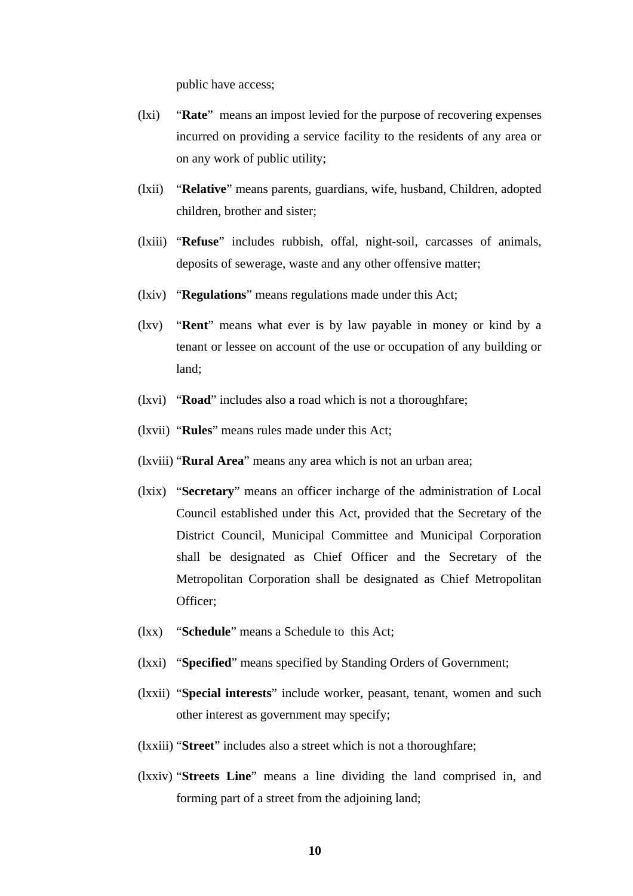public have access;

- (lxi) "**Rate**" means an impost levied for the purpose of recovering expenses incurred on providing a service facility to the residents of any area or on any work of public utility;
- (lxii) "**Relative**" means parents, guardians, wife, husband, Children, adopted children, brother and sister;
- (lxiii) "**Refuse**" includes rubbish, offal, night-soil, carcasses of animals, deposits of sewerage, waste and any other offensive matter;
- (lxiv) "**Regulations**" means regulations made under this Act;
- (lxv) "**Rent**" means what ever is by law payable in money or kind by a tenant or lessee on account of the use or occupation of any building or land;
- (lxvi) "**Road**" includes also a road which is not a thoroughfare;
- (lxvii) "**Rules**" means rules made under this Act;
- (lxviii) "**Rural Area**" means any area which is not an urban area;
- (lxix) "**Secretary**" means an officer incharge of the administration of Local Council established under this Act, provided that the Secretary of the District Council, Municipal Committee and Municipal Corporation shall be designated as Chief Officer and the Secretary of the Metropolitan Corporation shall be designated as Chief Metropolitan Officer;
- (lxx) "**Schedule**" means a Schedule to this Act;
- (lxxi) "**Specified**" means specified by Standing Orders of Government;
- (lxxii) "**Special interests**" include worker, peasant, tenant, women and such other interest as government may specify;
- (lxxiii) "**Street**" includes also a street which is not a thoroughfare;
- (lxxiv) "**Streets Line**" means a line dividing the land comprised in, and forming part of a street from the adjoining land;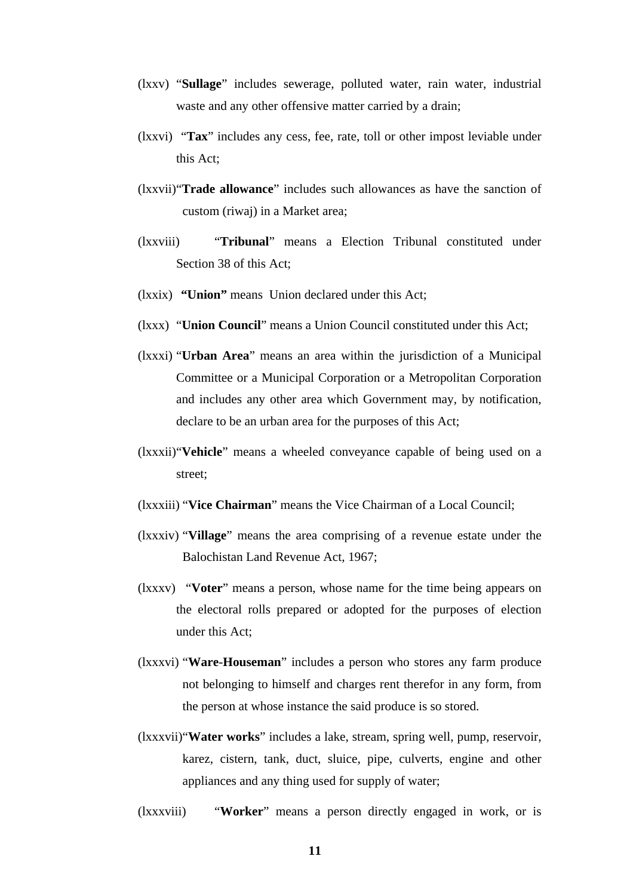- (lxxv) "**Sullage**" includes sewerage, polluted water, rain water, industrial waste and any other offensive matter carried by a drain;
- (lxxvi) "**Tax**" includes any cess, fee, rate, toll or other impost leviable under this Act;
- (lxxvii)"**Trade allowance**" includes such allowances as have the sanction of custom (riwaj) in a Market area;
- (lxxviii) "**Tribunal**" means a Election Tribunal constituted under Section 38 of this Act;
- (lxxix) **"Union"** means Union declared under this Act;
- (lxxx) "**Union Council**" means a Union Council constituted under this Act;
- (lxxxi) "**Urban Area**" means an area within the jurisdiction of a Municipal Committee or a Municipal Corporation or a Metropolitan Corporation and includes any other area which Government may, by notification, declare to be an urban area for the purposes of this Act;
- (lxxxii)"**Vehicle**" means a wheeled conveyance capable of being used on a street;
- (lxxxiii) "**Vice Chairman**" means the Vice Chairman of a Local Council;
- (lxxxiv) "**Village**" means the area comprising of a revenue estate under the Balochistan Land Revenue Act, 1967;
- (lxxxv) "**Voter**" means a person, whose name for the time being appears on the electoral rolls prepared or adopted for the purposes of election under this Act;
- (lxxxvi) "**Ware**-**Houseman**" includes a person who stores any farm produce not belonging to himself and charges rent therefor in any form, from the person at whose instance the said produce is so stored.
- (lxxxvii)"**Water works**" includes a lake, stream, spring well, pump, reservoir, karez, cistern, tank, duct, sluice, pipe, culverts, engine and other appliances and any thing used for supply of water;
- (lxxxviii) "**Worker**" means a person directly engaged in work, or is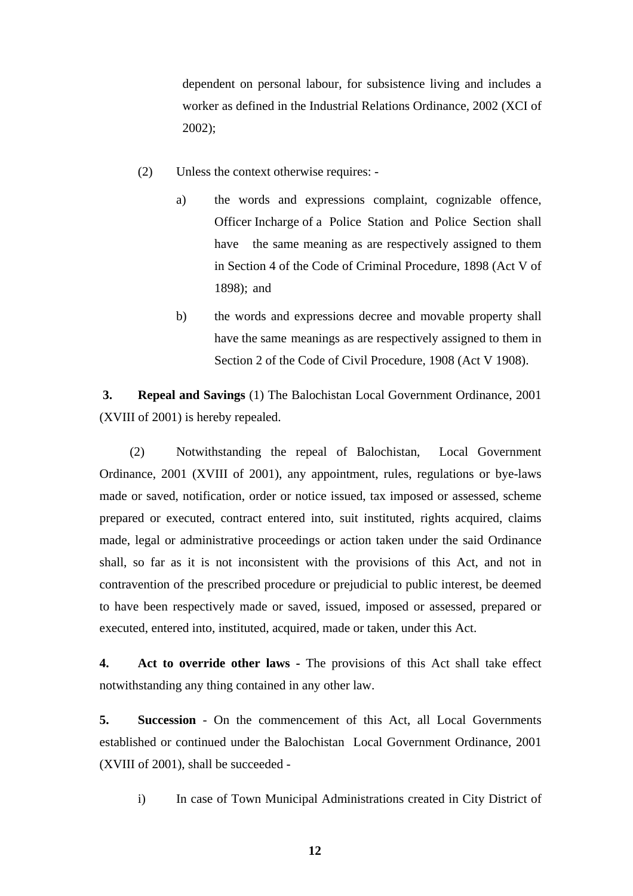dependent on personal labour, for subsistence living and includes a worker as defined in the Industrial Relations Ordinance, 2002 (XCI of 2002);

- (2) Unless the context otherwise requires:
	- a) the words and expressions complaint, cognizable offence, Officer Incharge of a Police Station and Police Section shall have the same meaning as are respectively assigned to them in Section 4 of the Code of Criminal Procedure, 1898 (Act V of 1898); and
	- b) the words and expressions decree and movable property shall have the same meanings as are respectively assigned to them in Section 2 of the Code of Civil Procedure, 1908 (Act V 1908).

**3. Repeal and Savings** (1) The Balochistan Local Government Ordinance, 2001 (XVIII of 2001) is hereby repealed.

(2) Notwithstanding the repeal of Balochistan, Local Government Ordinance, 2001 (XVIII of 2001), any appointment, rules, regulations or bye-laws made or saved, notification, order or notice issued, tax imposed or assessed, scheme prepared or executed, contract entered into, suit instituted, rights acquired, claims made, legal or administrative proceedings or action taken under the said Ordinance shall, so far as it is not inconsistent with the provisions of this Act, and not in contravention of the prescribed procedure or prejudicial to public interest, be deemed to have been respectively made or saved, issued, imposed or assessed, prepared or executed, entered into, instituted, acquired, made or taken, under this Act.

**4. Act to override other laws -** The provisions of this Act shall take effect notwithstanding any thing contained in any other law.

**5. Succession** - On the commencement of this Act, all Local Governments established or continued under the Balochistan Local Government Ordinance, 2001 (XVIII of 2001), shall be succeeded -

i) In case of Town Municipal Administrations created in City District of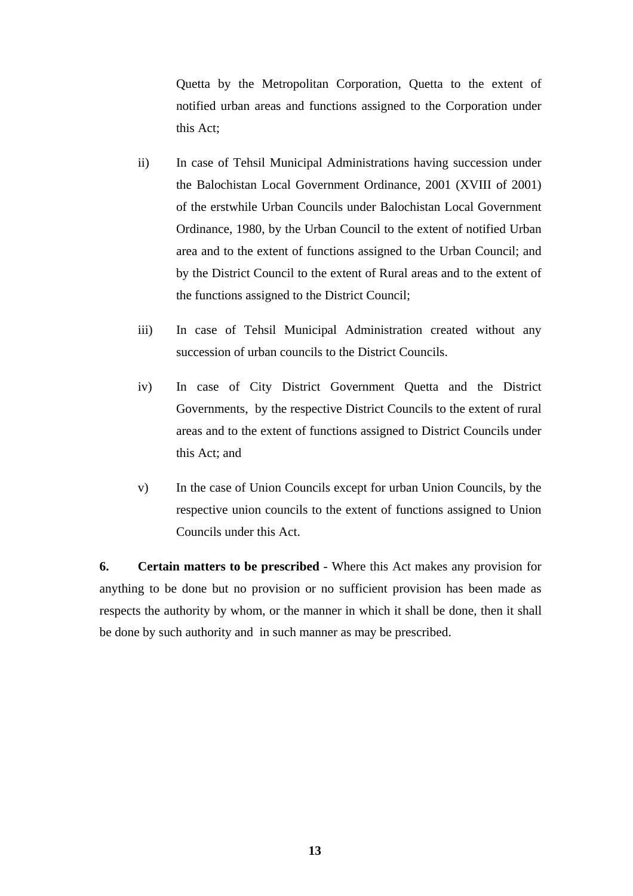Quetta by the Metropolitan Corporation, Quetta to the extent of notified urban areas and functions assigned to the Corporation under this Act;

- ii) In case of Tehsil Municipal Administrations having succession under the Balochistan Local Government Ordinance, 2001 (XVIII of 2001) of the erstwhile Urban Councils under Balochistan Local Government Ordinance, 1980, by the Urban Council to the extent of notified Urban area and to the extent of functions assigned to the Urban Council; and by the District Council to the extent of Rural areas and to the extent of the functions assigned to the District Council;
- iii) In case of Tehsil Municipal Administration created without any succession of urban councils to the District Councils.
- iv) In case of City District Government Quetta and the District Governments, by the respective District Councils to the extent of rural areas and to the extent of functions assigned to District Councils under this Act; and
- v) In the case of Union Councils except for urban Union Councils, by the respective union councils to the extent of functions assigned to Union Councils under this Act.

**6. Certain matters to be prescribed** - Where this Act makes any provision for anything to be done but no provision or no sufficient provision has been made as respects the authority by whom, or the manner in which it shall be done, then it shall be done by such authority and in such manner as may be prescribed.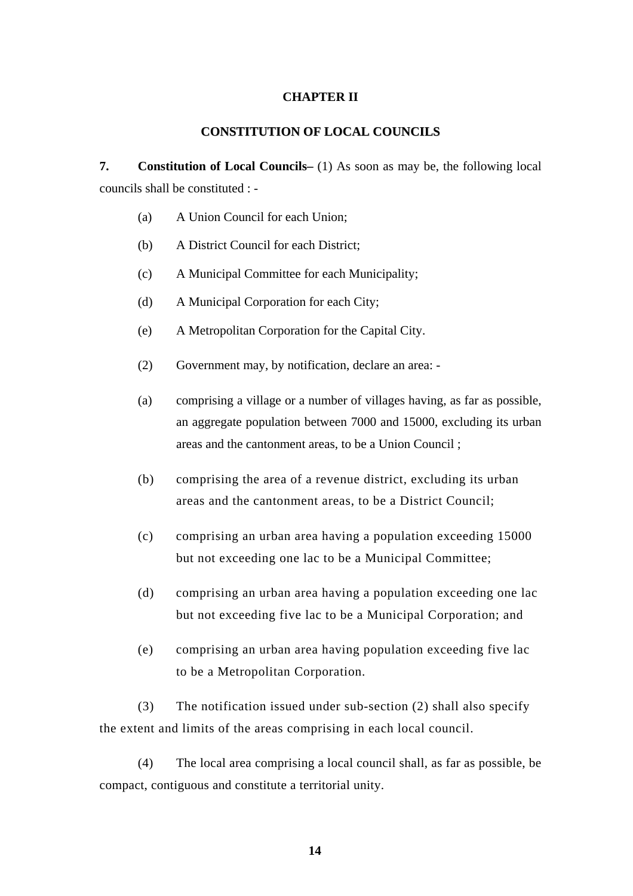#### **CHAPTER II**

#### **CONSTITUTION OF LOCAL COUNCILS**

**7. Constitution of Local Councils–** (1) As soon as may be, the following local councils shall be constituted : -

- (a) A Union Council for each Union;
- (b) A District Council for each District;
- (c) A Municipal Committee for each Municipality;
- (d) A Municipal Corporation for each City;
- (e) A Metropolitan Corporation for the Capital City.
- (2) Government may, by notification, declare an area: -
- (a) comprising a village or a number of villages having, as far as possible, an aggregate population between 7000 and 15000, excluding its urban areas and the cantonment areas, to be a Union Council ;
- (b) comprising the area of a revenue district, excluding its urban areas and the cantonment areas, to be a District Council;
- (c) comprising an urban area having a population exceeding 15000 but not exceeding one lac to be a Municipal Committee;
- (d) comprising an urban area having a population exceeding one lac but not exceeding five lac to be a Municipal Corporation; and
- (e) comprising an urban area having population exceeding five lac to be a Metropolitan Corporation.

(3) The notification issued under sub-section (2) shall also specify the extent and limits of the areas comprising in each local council.

(4) The local area comprising a local council shall, as far as possible, be compact, contiguous and constitute a territorial unity.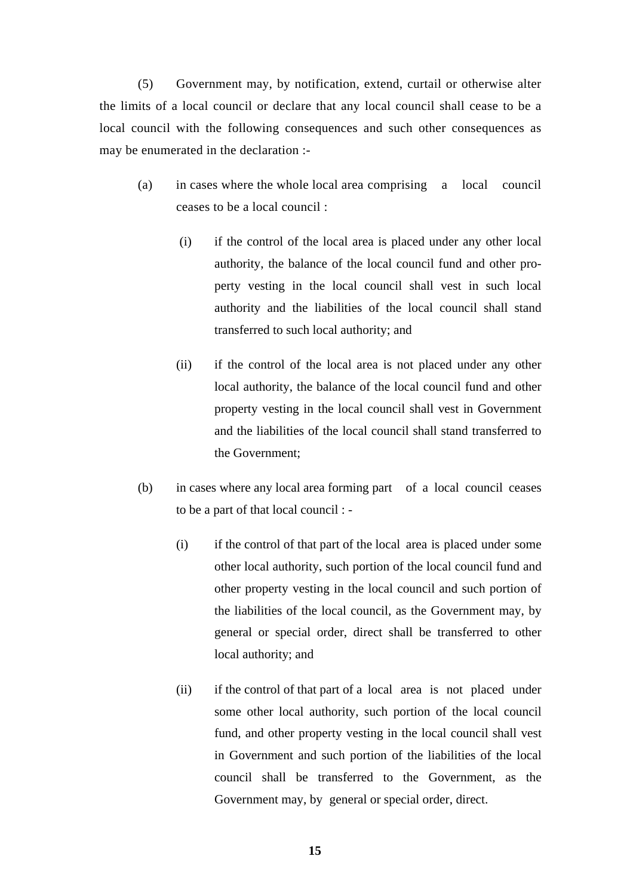(5) Government may, by notification, extend, curtail or otherwise alter the limits of a local council or declare that any local council shall cease to be a local council with the following consequences and such other consequences as may be enumerated in the declaration :-

- (a) in cases where the whole local area comprising a local council ceases to be a local council :
	- (i) if the control of the local area is placed under any other local authority, the balance of the local council fund and other property vesting in the local council shall vest in such local authority and the liabilities of the local council shall stand transferred to such local authority; and
	- (ii) if the control of the local area is not placed under any other local authority, the balance of the local council fund and other property vesting in the local council shall vest in Government and the liabilities of the local council shall stand transferred to the Government;
- (b) in cases where any local area forming part of a local council ceases to be a part of that local council : -
	- (i) if the control of that part of the local area is placed under some other local authority, such portion of the local council fund and other property vesting in the local council and such portion of the liabilities of the local council, as the Government may, by general or special order, direct shall be transferred to other local authority; and
	- (ii) if the control of that part of a local area is not placed under some other local authority, such portion of the local council fund, and other property vesting in the local council shall vest in Government and such portion of the liabilities of the local council shall be transferred to the Government, as the Government may, by general or special order, direct.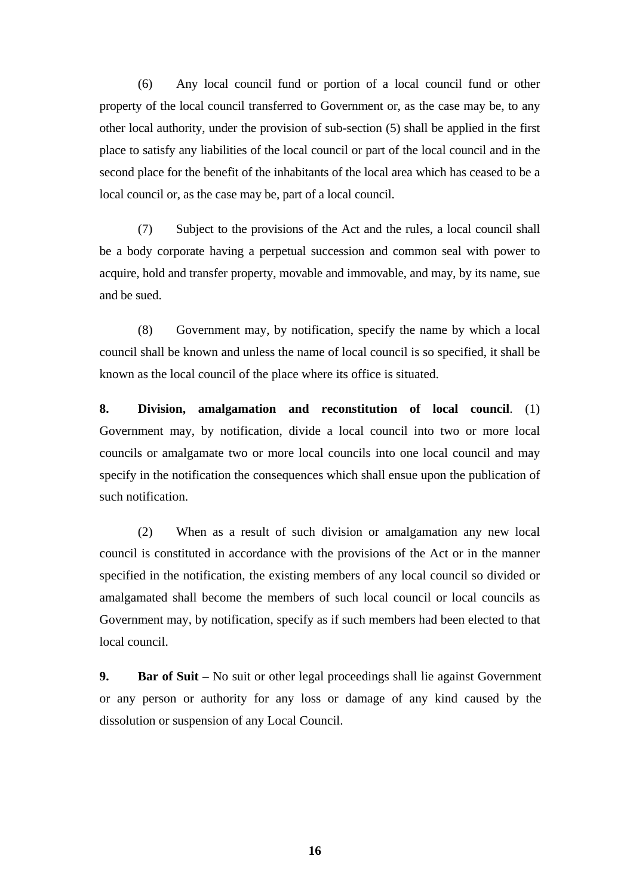(6) Any local council fund or portion of a local council fund or other property of the local council transferred to Government or, as the case may be, to any other local authority, under the provision of sub-section (5) shall be applied in the first place to satisfy any liabilities of the local council or part of the local council and in the second place for the benefit of the inhabitants of the local area which has ceased to be a local council or, as the case may be, part of a local council.

(7) Subject to the provisions of the Act and the rules, a local council shall be a body corporate having a perpetual succession and common seal with power to acquire, hold and transfer property, movable and immovable, and may, by its name, sue and be sued.

(8) Government may, by notification, specify the name by which a local council shall be known and unless the name of local council is so specified, it shall be known as the local council of the place where its office is situated.

**8. Division, amalgamation and reconstitution of local council**. (1) Government may, by notification, divide a local council into two or more local councils or amalgamate two or more local councils into one local council and may specify in the notification the consequences which shall ensue upon the publication of such notification.

(2) When as a result of such division or amalgamation any new local council is constituted in accordance with the provisions of the Act or in the manner specified in the notification, the existing members of any local council so divided or amalgamated shall become the members of such local council or local councils as Government may, by notification, specify as if such members had been elected to that local council.

**9.** Bar of Suit – No suit or other legal proceedings shall lie against Government or any person or authority for any loss or damage of any kind caused by the dissolution or suspension of any Local Council.

**16**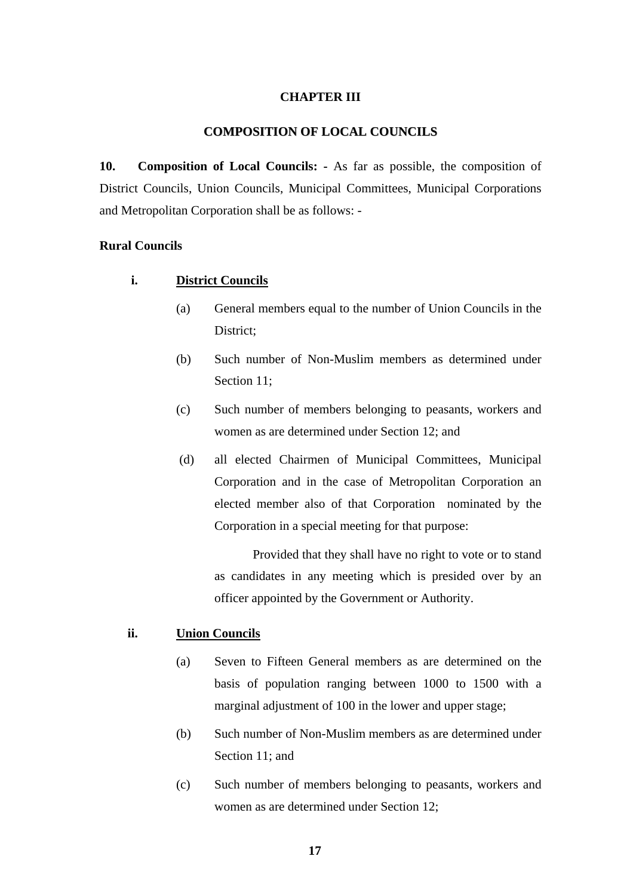#### **CHAPTER III**

#### **COMPOSITION OF LOCAL COUNCILS**

**10. Composition of Local Councils: -** As far as possible, the composition of District Councils, Union Councils, Municipal Committees, Municipal Corporations and Metropolitan Corporation shall be as follows: -

#### **Rural Councils**

#### **i. District Councils**

- (a) General members equal to the number of Union Councils in the District;
- (b) Such number of Non-Muslim members as determined under Section 11;
- (c) Such number of members belonging to peasants, workers and women as are determined under Section 12; and
- (d) all elected Chairmen of Municipal Committees, Municipal Corporation and in the case of Metropolitan Corporation an elected member also of that Corporation nominated by the Corporation in a special meeting for that purpose:

 Provided that they shall have no right to vote or to stand as candidates in any meeting which is presided over by an officer appointed by the Government or Authority.

#### **ii. Union Councils**

- (a) Seven to Fifteen General members as are determined on the basis of population ranging between 1000 to 1500 with a marginal adjustment of 100 in the lower and upper stage;
- (b) Such number of Non-Muslim members as are determined under Section 11; and
- (c) Such number of members belonging to peasants, workers and women as are determined under Section 12;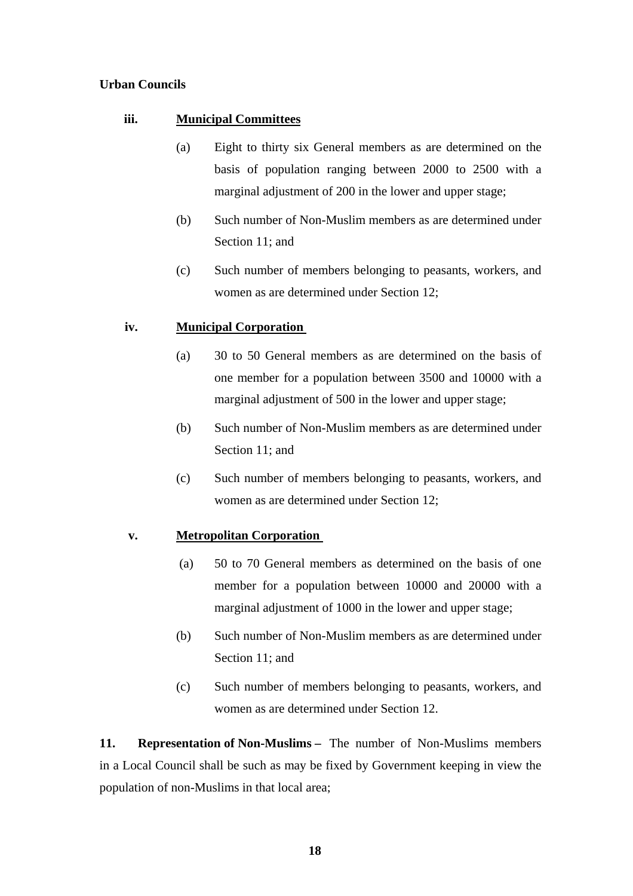#### **Urban Councils**

#### **iii. Municipal Committees**

- (a) Eight to thirty six General members as are determined on the basis of population ranging between 2000 to 2500 with a marginal adjustment of 200 in the lower and upper stage;
- (b) Such number of Non-Muslim members as are determined under Section 11; and
- (c) Such number of members belonging to peasants, workers, and women as are determined under Section 12;

#### **iv. Municipal Corporation**

- (a) 30 to 50 General members as are determined on the basis of one member for a population between 3500 and 10000 with a marginal adjustment of 500 in the lower and upper stage;
- (b) Such number of Non-Muslim members as are determined under Section 11; and
- (c) Such number of members belonging to peasants, workers, and women as are determined under Section 12;

#### **v. Metropolitan Corporation**

- (a) 50 to 70 General members as determined on the basis of one member for a population between 10000 and 20000 with a marginal adjustment of 1000 in the lower and upper stage;
- (b) Such number of Non-Muslim members as are determined under Section 11; and
- (c) Such number of members belonging to peasants, workers, and women as are determined under Section 12.

**11. Representation of Non-Muslims –** The number of Non-Muslims members in a Local Council shall be such as may be fixed by Government keeping in view the population of non-Muslims in that local area;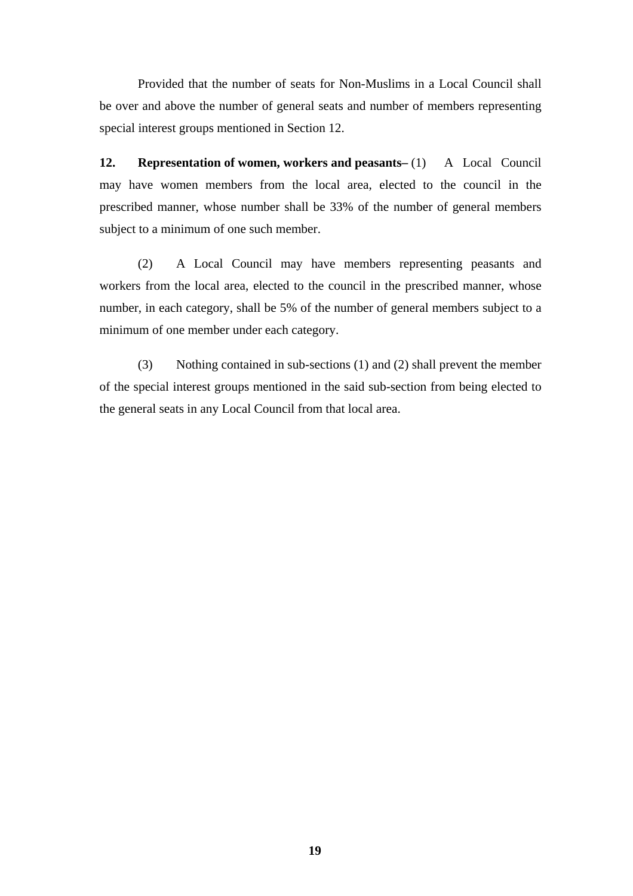Provided that the number of seats for Non-Muslims in a Local Council shall be over and above the number of general seats and number of members representing special interest groups mentioned in Section 12.

**12. Representation of women, workers and peasants– (1) A Local Council** may have women members from the local area, elected to the council in the prescribed manner, whose number shall be 33% of the number of general members subject to a minimum of one such member.

(2) A Local Council may have members representing peasants and workers from the local area, elected to the council in the prescribed manner, whose number, in each category, shall be 5% of the number of general members subject to a minimum of one member under each category.

(3) Nothing contained in sub-sections (1) and (2) shall prevent the member of the special interest groups mentioned in the said sub-section from being elected to the general seats in any Local Council from that local area.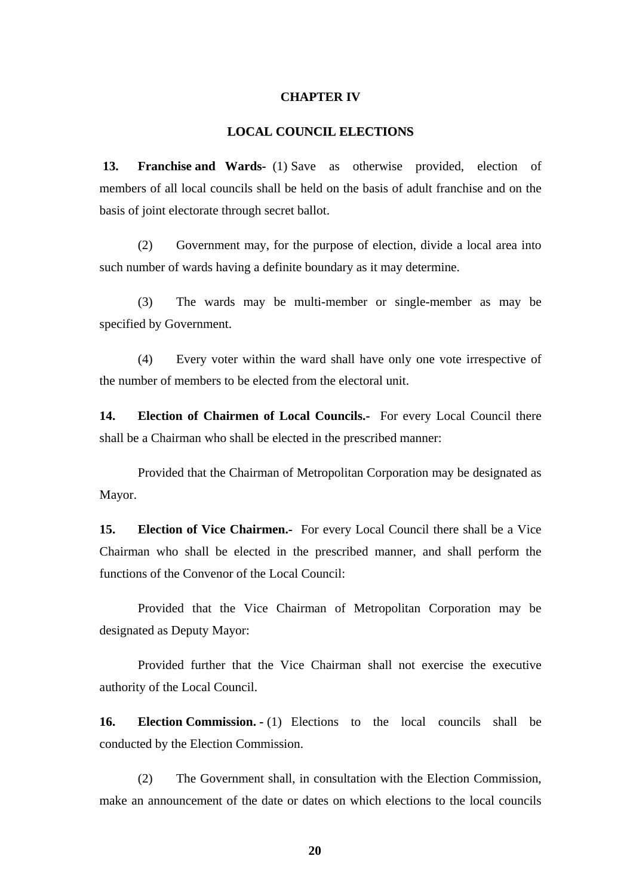#### **CHAPTER IV**

#### **LOCAL COUNCIL ELECTIONS**

**13. Franchise and Wards-** (1) Save as otherwise provided, election of members of all local councils shall be held on the basis of adult franchise and on the basis of joint electorate through secret ballot.

(2) Government may, for the purpose of election, divide a local area into such number of wards having a definite boundary as it may determine.

(3) The wards may be multi-member or single-member as may be specified by Government.

(4) Every voter within the ward shall have only one vote irrespective of the number of members to be elected from the electoral unit.

**14. Election of Chairmen of Local Councils.-** For every Local Council there shall be a Chairman who shall be elected in the prescribed manner:

Provided that the Chairman of Metropolitan Corporation may be designated as Mayor.

**15. Election of Vice Chairmen.-** For every Local Council there shall be a Vice Chairman who shall be elected in the prescribed manner, and shall perform the functions of the Convenor of the Local Council:

Provided that the Vice Chairman of Metropolitan Corporation may be designated as Deputy Mayor:

Provided further that the Vice Chairman shall not exercise the executive authority of the Local Council.

**16. Election Commission. -** (1) Elections to the local councils shall be conducted by the Election Commission.

(2) The Government shall, in consultation with the Election Commission, make an announcement of the date or dates on which elections to the local councils

**20**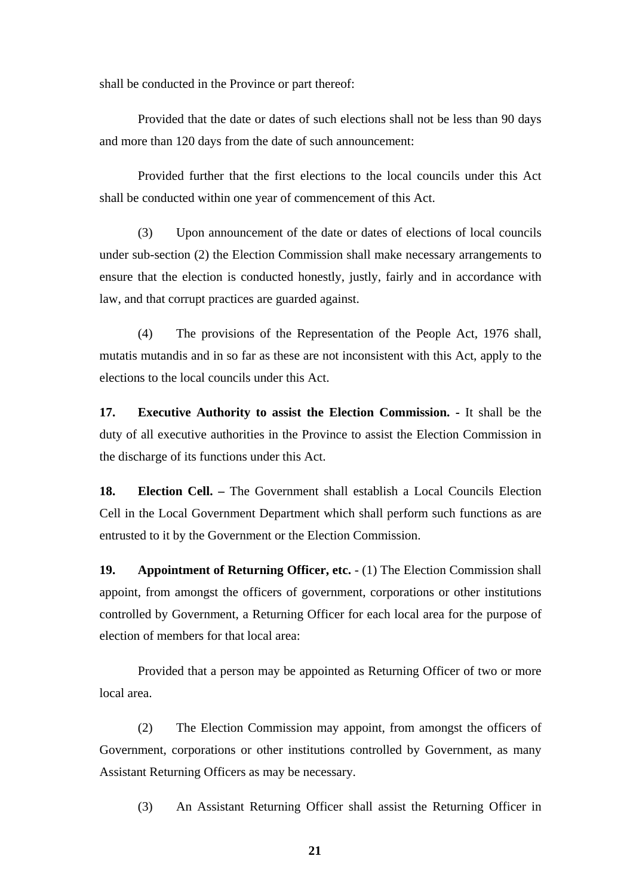shall be conducted in the Province or part thereof:

Provided that the date or dates of such elections shall not be less than 90 days and more than 120 days from the date of such announcement:

Provided further that the first elections to the local councils under this Act shall be conducted within one year of commencement of this Act.

(3) Upon announcement of the date or dates of elections of local councils under sub-section (2) the Election Commission shall make necessary arrangements to ensure that the election is conducted honestly, justly, fairly and in accordance with law, and that corrupt practices are guarded against.

(4) The provisions of the Representation of the People Act, 1976 shall, mutatis mutandis and in so far as these are not inconsistent with this Act, apply to the elections to the local councils under this Act.

**17. Executive Authority to assist the Election Commission. -** It shall be the duty of all executive authorities in the Province to assist the Election Commission in the discharge of its functions under this Act.

**18. Election Cell. –** The Government shall establish a Local Councils Election Cell in the Local Government Department which shall perform such functions as are entrusted to it by the Government or the Election Commission.

**19.** Appointment of Returning Officer, etc. - (1) The Election Commission shall appoint, from amongst the officers of government, corporations or other institutions controlled by Government, a Returning Officer for each local area for the purpose of election of members for that local area:

Provided that a person may be appointed as Returning Officer of two or more local area.

(2) The Election Commission may appoint, from amongst the officers of Government, corporations or other institutions controlled by Government, as many Assistant Returning Officers as may be necessary.

(3) An Assistant Returning Officer shall assist the Returning Officer in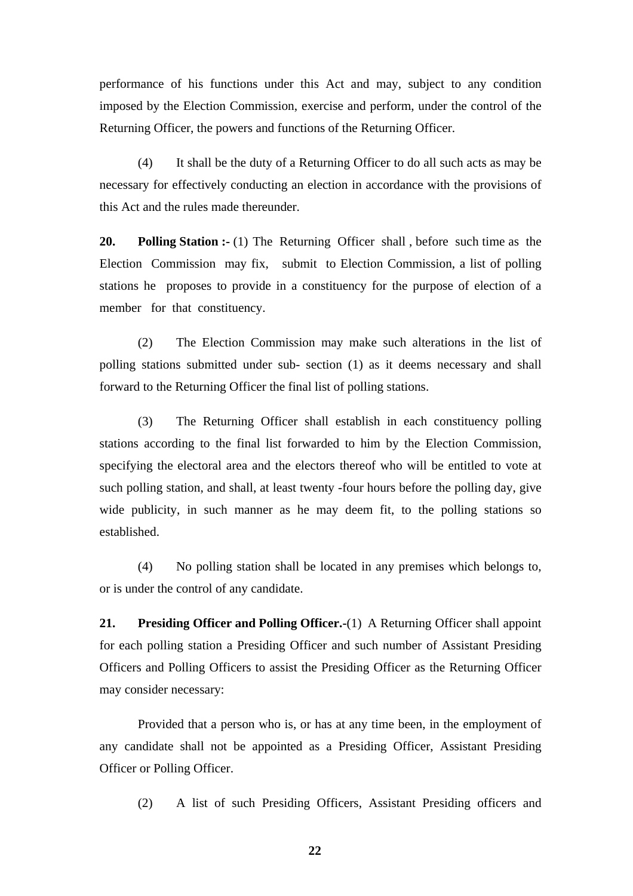performance of his functions under this Act and may, subject to any condition imposed by the Election Commission, exercise and perform, under the control of the Returning Officer, the powers and functions of the Returning Officer.

(4) It shall be the duty of a Returning Officer to do all such acts as may be necessary for effectively conducting an election in accordance with the provisions of this Act and the rules made thereunder.

**20.** Polling Station :- (1) The Returning Officer shall, before such time as the Election Commission may fix, submit to Election Commission, a list of polling stations he proposes to provide in a constituency for the purpose of election of a member for that constituency.

(2) The Election Commission may make such alterations in the list of polling stations submitted under sub- section (1) as it deems necessary and shall forward to the Returning Officer the final list of polling stations.

(3) The Returning Officer shall establish in each constituency polling stations according to the final list forwarded to him by the Election Commission, specifying the electoral area and the electors thereof who will be entitled to vote at such polling station, and shall, at least twenty -four hours before the polling day, give wide publicity, in such manner as he may deem fit, to the polling stations so established.

(4) No polling station shall be located in any premises which belongs to, or is under the control of any candidate.

**21. Presiding Officer and Polling Officer.-**(1) A Returning Officer shall appoint for each polling station a Presiding Officer and such number of Assistant Presiding Officers and Polling Officers to assist the Presiding Officer as the Returning Officer may consider necessary:

Provided that a person who is, or has at any time been, in the employment of any candidate shall not be appointed as a Presiding Officer, Assistant Presiding Officer or Polling Officer.

(2) A list of such Presiding Officers, Assistant Presiding officers and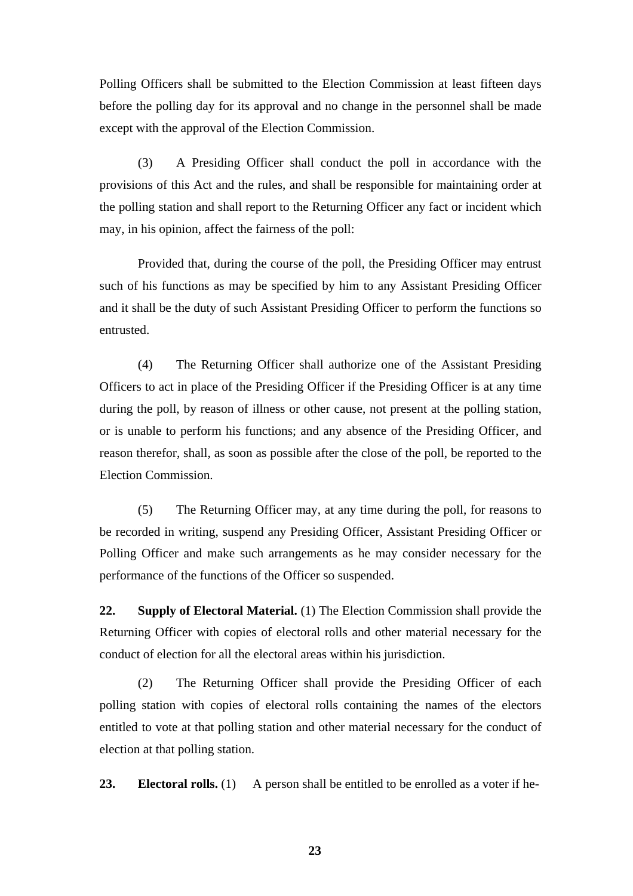Polling Officers shall be submitted to the Election Commission at least fifteen days before the polling day for its approval and no change in the personnel shall be made except with the approval of the Election Commission.

(3) A Presiding Officer shall conduct the poll in accordance with the provisions of this Act and the rules, and shall be responsible for maintaining order at the polling station and shall report to the Returning Officer any fact or incident which may, in his opinion, affect the fairness of the poll:

Provided that, during the course of the poll, the Presiding Officer may entrust such of his functions as may be specified by him to any Assistant Presiding Officer and it shall be the duty of such Assistant Presiding Officer to perform the functions so entrusted.

(4) The Returning Officer shall authorize one of the Assistant Presiding Officers to act in place of the Presiding Officer if the Presiding Officer is at any time during the poll, by reason of illness or other cause, not present at the polling station, or is unable to perform his functions; and any absence of the Presiding Officer, and reason therefor, shall, as soon as possible after the close of the poll, be reported to the Election Commission.

(5) The Returning Officer may, at any time during the poll, for reasons to be recorded in writing, suspend any Presiding Officer, Assistant Presiding Officer or Polling Officer and make such arrangements as he may consider necessary for the performance of the functions of the Officer so suspended.

**22. Supply of Electoral Material.** (1) The Election Commission shall provide the Returning Officer with copies of electoral rolls and other material necessary for the conduct of election for all the electoral areas within his jurisdiction.

(2) The Returning Officer shall provide the Presiding Officer of each polling station with copies of electoral rolls containing the names of the electors entitled to vote at that polling station and other material necessary for the conduct of election at that polling station.

**23.** Electoral rolls. (1) A person shall be entitled to be enrolled as a voter if he-

**23**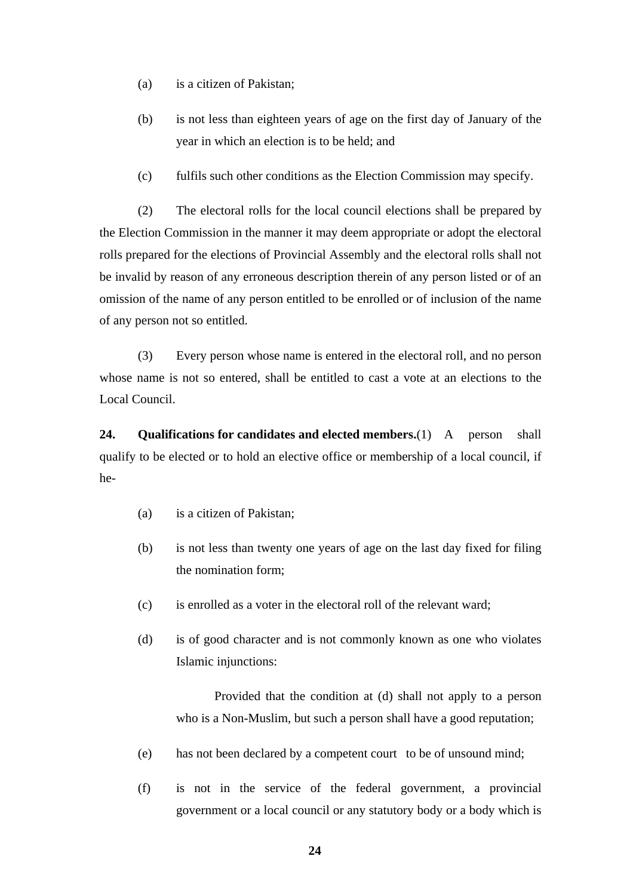- (a) is a citizen of Pakistan;
- (b) is not less than eighteen years of age on the first day of January of the year in which an election is to be held; and
- (c) fulfils such other conditions as the Election Commission may specify.

(2) The electoral rolls for the local council elections shall be prepared by the Election Commission in the manner it may deem appropriate or adopt the electoral rolls prepared for the elections of Provincial Assembly and the electoral rolls shall not be invalid by reason of any erroneous description therein of any person listed or of an omission of the name of any person entitled to be enrolled or of inclusion of the name of any person not so entitled.

(3) Every person whose name is entered in the electoral roll, and no person whose name is not so entered, shall be entitled to cast a vote at an elections to the Local Council.

**24. Qualifications for candidates and elected members.**(1) A person shall qualify to be elected or to hold an elective office or membership of a local council, if he-

- (a) is a citizen of Pakistan;
- (b) is not less than twenty one years of age on the last day fixed for filing the nomination form;
- (c) is enrolled as a voter in the electoral roll of the relevant ward;
- (d) is of good character and is not commonly known as one who violates Islamic injunctions:

Provided that the condition at (d) shall not apply to a person who is a Non-Muslim, but such a person shall have a good reputation;

- (e) has not been declared by a competent court to be of unsound mind;
- (f) is not in the service of the federal government, a provincial government or a local council or any statutory body or a body which is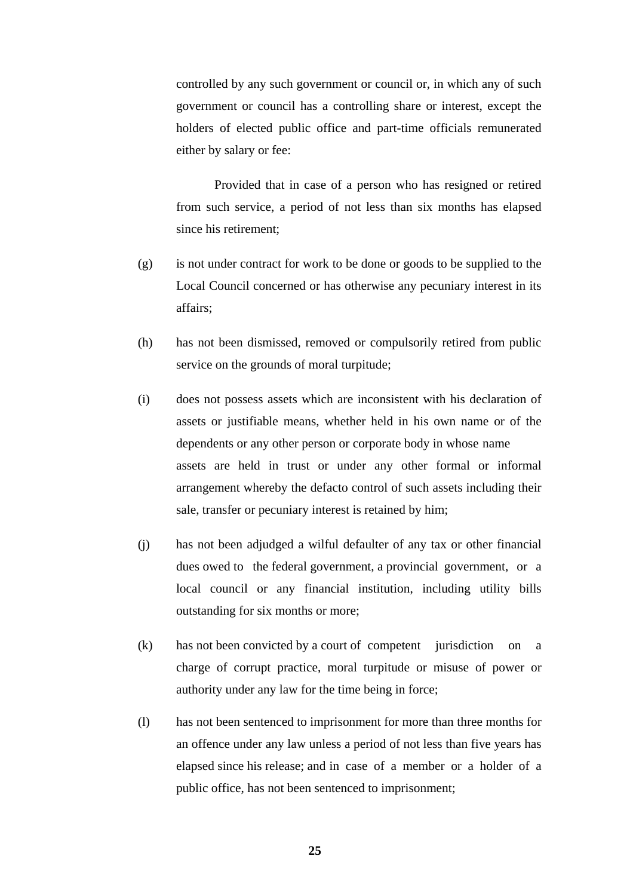controlled by any such government or council or, in which any of such government or council has a controlling share or interest, except the holders of elected public office and part-time officials remunerated either by salary or fee:

Provided that in case of a person who has resigned or retired from such service, a period of not less than six months has elapsed since his retirement;

- (g) is not under contract for work to be done or goods to be supplied to the Local Council concerned or has otherwise any pecuniary interest in its affairs;
- (h) has not been dismissed, removed or compulsorily retired from public service on the grounds of moral turpitude;
- (i) does not possess assets which are inconsistent with his declaration of assets or justifiable means, whether held in his own name or of the dependents or any other person or corporate body in whose name assets are held in trust or under any other formal or informal arrangement whereby the defacto control of such assets including their sale, transfer or pecuniary interest is retained by him;
- (j) has not been adjudged a wilful defaulter of any tax or other financial dues owed to the federal government, a provincial government, or a local council or any financial institution, including utility bills outstanding for six months or more;
- (k) has not been convicted by a court of competent jurisdiction on a charge of corrupt practice, moral turpitude or misuse of power or authority under any law for the time being in force;
- (l) has not been sentenced to imprisonment for more than three months for an offence under any law unless a period of not less than five years has elapsed since his release; and in case of a member or a holder of a public office, has not been sentenced to imprisonment;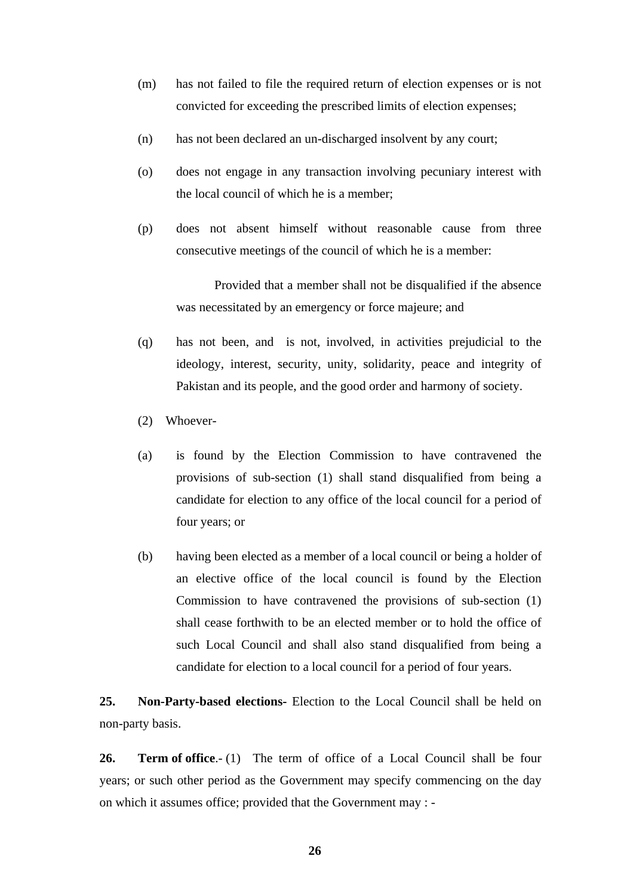- (m) has not failed to file the required return of election expenses or is not convicted for exceeding the prescribed limits of election expenses;
- (n) has not been declared an un-discharged insolvent by any court;
- (o) does not engage in any transaction involving pecuniary interest with the local council of which he is a member;
- (p) does not absent himself without reasonable cause from three consecutive meetings of the council of which he is a member:

Provided that a member shall not be disqualified if the absence was necessitated by an emergency or force majeure; and

- (q) has not been, and is not, involved, in activities prejudicial to the ideology, interest, security, unity, solidarity, peace and integrity of Pakistan and its people, and the good order and harmony of society.
- (2) Whoever-
- (a) is found by the Election Commission to have contravened the provisions of sub-section (1) shall stand disqualified from being a candidate for election to any office of the local council for a period of four years; or
- (b) having been elected as a member of a local council or being a holder of an elective office of the local council is found by the Election Commission to have contravened the provisions of sub-section (1) shall cease forthwith to be an elected member or to hold the office of such Local Council and shall also stand disqualified from being a candidate for election to a local council for a period of four years.

**25. Non-Party-based elections-** Election to the Local Council shall be held on non-party basis.

**26. Term of office**.- (1) The term of office of a Local Council shall be four years; or such other period as the Government may specify commencing on the day on which it assumes office; provided that the Government may : -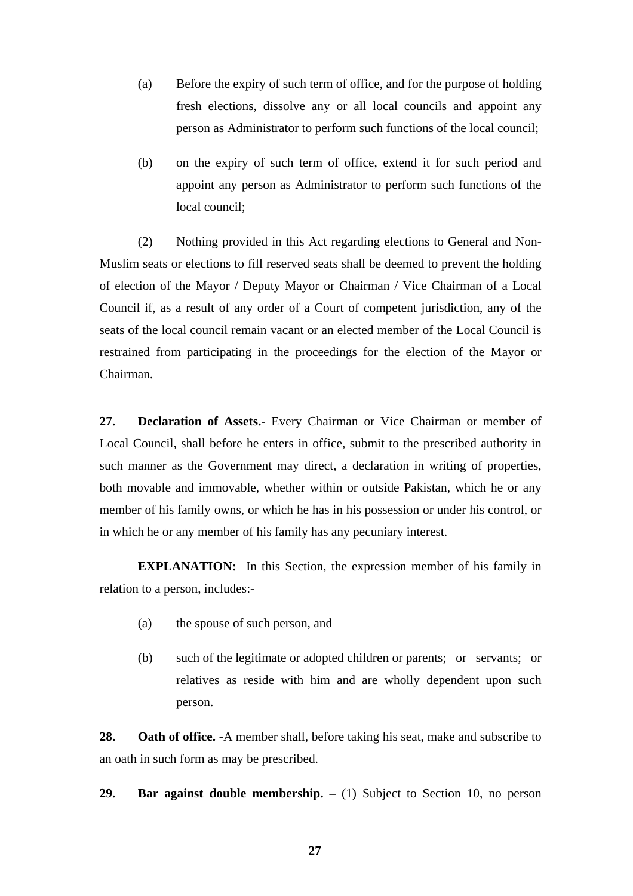- (a) Before the expiry of such term of office, and for the purpose of holding fresh elections, dissolve any or all local councils and appoint any person as Administrator to perform such functions of the local council;
- (b) on the expiry of such term of office, extend it for such period and appoint any person as Administrator to perform such functions of the local council;

(2) Nothing provided in this Act regarding elections to General and Non-Muslim seats or elections to fill reserved seats shall be deemed to prevent the holding of election of the Mayor / Deputy Mayor or Chairman / Vice Chairman of a Local Council if, as a result of any order of a Court of competent jurisdiction, any of the seats of the local council remain vacant or an elected member of the Local Council is restrained from participating in the proceedings for the election of the Mayor or Chairman.

**27. Declaration of Assets.-** Every Chairman or Vice Chairman or member of Local Council, shall before he enters in office, submit to the prescribed authority in such manner as the Government may direct, a declaration in writing of properties, both movable and immovable, whether within or outside Pakistan, which he or any member of his family owns, or which he has in his possession or under his control, or in which he or any member of his family has any pecuniary interest.

 **EXPLANATION:** In this Section, the expression member of his family in relation to a person, includes:-

- (a) the spouse of such person, and
- (b) such of the legitimate or adopted children or parents; or servants; or relatives as reside with him and are wholly dependent upon such person.

**28. Oath of office. -**A member shall, before taking his seat, make and subscribe to an oath in such form as may be prescribed.

29. Bar against double membership.  $- (1)$  Subject to Section 10, no person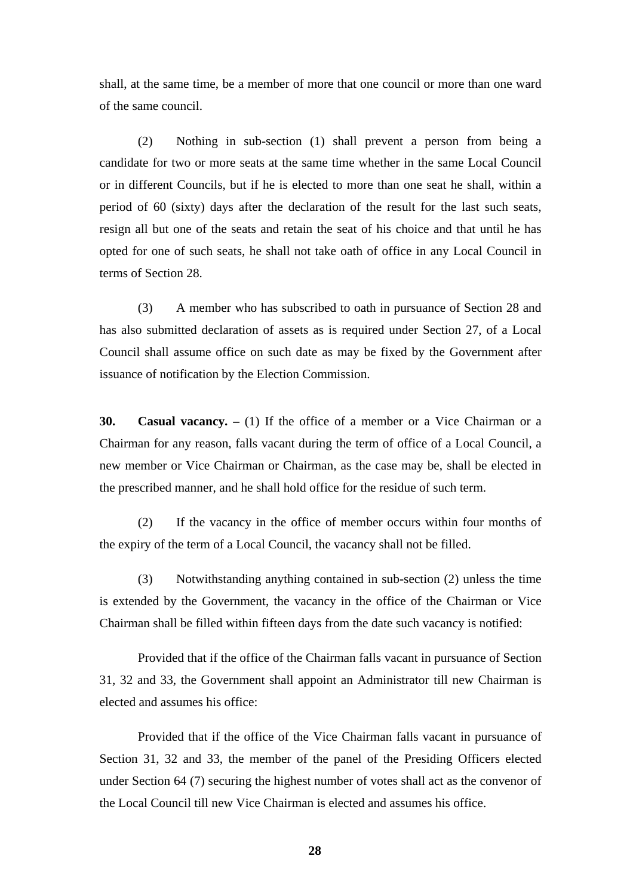shall, at the same time, be a member of more that one council or more than one ward of the same council.

(2) Nothing in sub-section (1) shall prevent a person from being a candidate for two or more seats at the same time whether in the same Local Council or in different Councils, but if he is elected to more than one seat he shall, within a period of 60 (sixty) days after the declaration of the result for the last such seats, resign all but one of the seats and retain the seat of his choice and that until he has opted for one of such seats, he shall not take oath of office in any Local Council in terms of Section 28.

(3) A member who has subscribed to oath in pursuance of Section 28 and has also submitted declaration of assets as is required under Section 27, of a Local Council shall assume office on such date as may be fixed by the Government after issuance of notification by the Election Commission.

**30.** Casual vacancy.  $- (1)$  If the office of a member or a Vice Chairman or a Chairman for any reason, falls vacant during the term of office of a Local Council, a new member or Vice Chairman or Chairman, as the case may be, shall be elected in the prescribed manner, and he shall hold office for the residue of such term.

(2) If the vacancy in the office of member occurs within four months of the expiry of the term of a Local Council, the vacancy shall not be filled.

(3) Notwithstanding anything contained in sub-section (2) unless the time is extended by the Government, the vacancy in the office of the Chairman or Vice Chairman shall be filled within fifteen days from the date such vacancy is notified:

Provided that if the office of the Chairman falls vacant in pursuance of Section 31, 32 and 33, the Government shall appoint an Administrator till new Chairman is elected and assumes his office:

Provided that if the office of the Vice Chairman falls vacant in pursuance of Section 31, 32 and 33, the member of the panel of the Presiding Officers elected under Section 64 (7) securing the highest number of votes shall act as the convenor of the Local Council till new Vice Chairman is elected and assumes his office.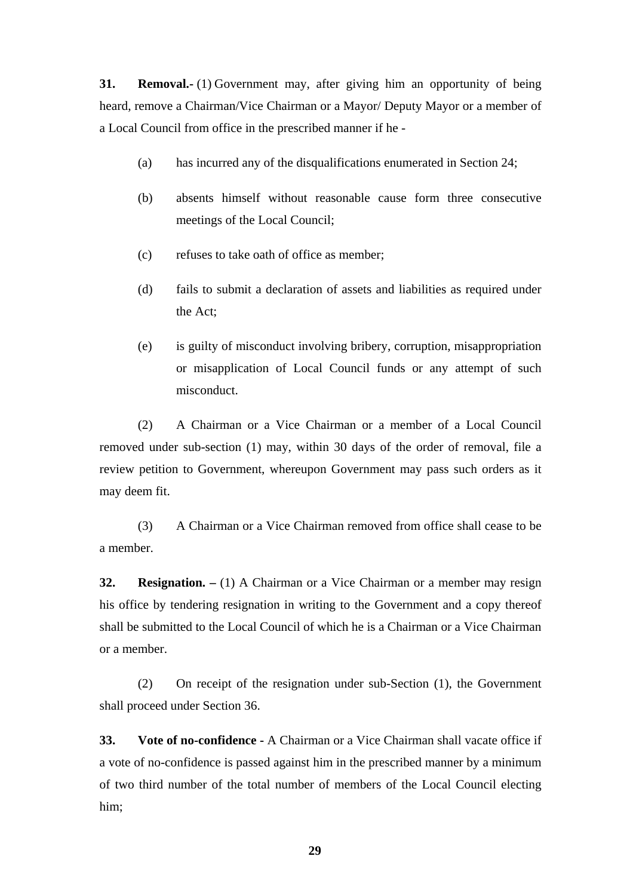**31. Removal.** (1) Government may, after giving him an opportunity of being heard, remove a Chairman/Vice Chairman or a Mayor/ Deputy Mayor or a member of a Local Council from office in the prescribed manner if he -

- (a) has incurred any of the disqualifications enumerated in Section 24;
- (b) absents himself without reasonable cause form three consecutive meetings of the Local Council;
- (c) refuses to take oath of office as member;
- (d) fails to submit a declaration of assets and liabilities as required under the Act;
- (e) is guilty of misconduct involving bribery, corruption, misappropriation or misapplication of Local Council funds or any attempt of such misconduct.

(2) A Chairman or a Vice Chairman or a member of a Local Council removed under sub-section (1) may, within 30 days of the order of removal, file a review petition to Government, whereupon Government may pass such orders as it may deem fit.

(3) A Chairman or a Vice Chairman removed from office shall cease to be a member.

**32. Resignation.** – (1) A Chairman or a Vice Chairman or a member may resign his office by tendering resignation in writing to the Government and a copy thereof shall be submitted to the Local Council of which he is a Chairman or a Vice Chairman or a member.

(2) On receipt of the resignation under sub-Section (1), the Government shall proceed under Section 36.

**33. Vote of no-confidence -** A Chairman or a Vice Chairman shall vacate office if a vote of no-confidence is passed against him in the prescribed manner by a minimum of two third number of the total number of members of the Local Council electing him;

**29**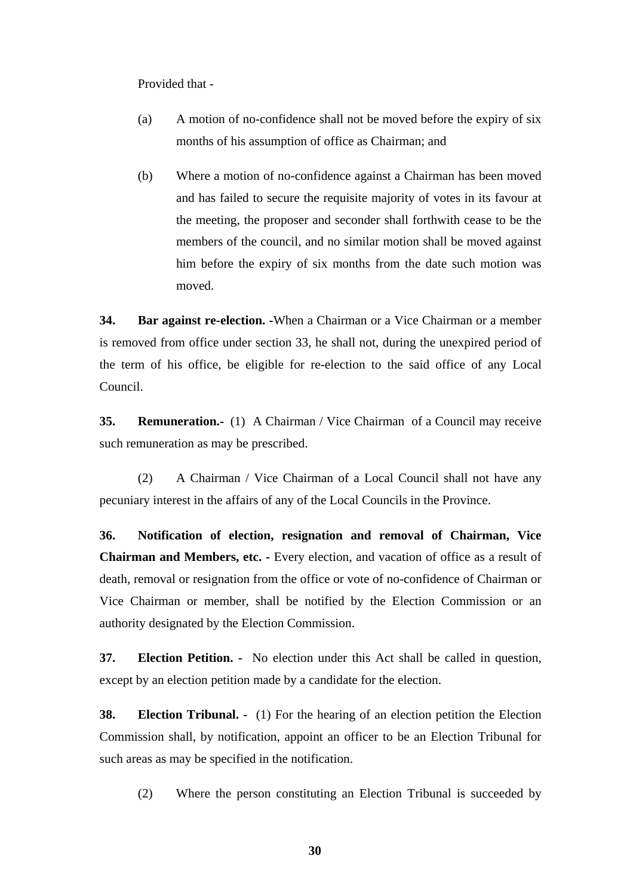Provided that -

- (a) A motion of no-confidence shall not be moved before the expiry of six months of his assumption of office as Chairman; and
- (b) Where a motion of no-confidence against a Chairman has been moved and has failed to secure the requisite majority of votes in its favour at the meeting, the proposer and seconder shall forthwith cease to be the members of the council, and no similar motion shall be moved against him before the expiry of six months from the date such motion was moved.

**34. Bar against re-election. -**When a Chairman or a Vice Chairman or a member is removed from office under section 33, he shall not, during the unexpired period of the term of his office, be eligible for re-election to the said office of any Local Council.

**35. Remuneration.-** (1) A Chairman / Vice Chairman of a Council may receive such remuneration as may be prescribed.

(2) A Chairman / Vice Chairman of a Local Council shall not have any pecuniary interest in the affairs of any of the Local Councils in the Province.

**36. Notification of election, resignation and removal of Chairman, Vice Chairman and Members, etc. -** Every election, and vacation of office as a result of death, removal or resignation from the office or vote of no-confidence of Chairman or Vice Chairman or member, shall be notified by the Election Commission or an authority designated by the Election Commission.

**37. Election Petition. -** No election under this Act shall be called in question, except by an election petition made by a candidate for the election.

**38. Election Tribunal.** - (1) For the hearing of an election petition the Election Commission shall, by notification, appoint an officer to be an Election Tribunal for such areas as may be specified in the notification.

(2) Where the person constituting an Election Tribunal is succeeded by

**30**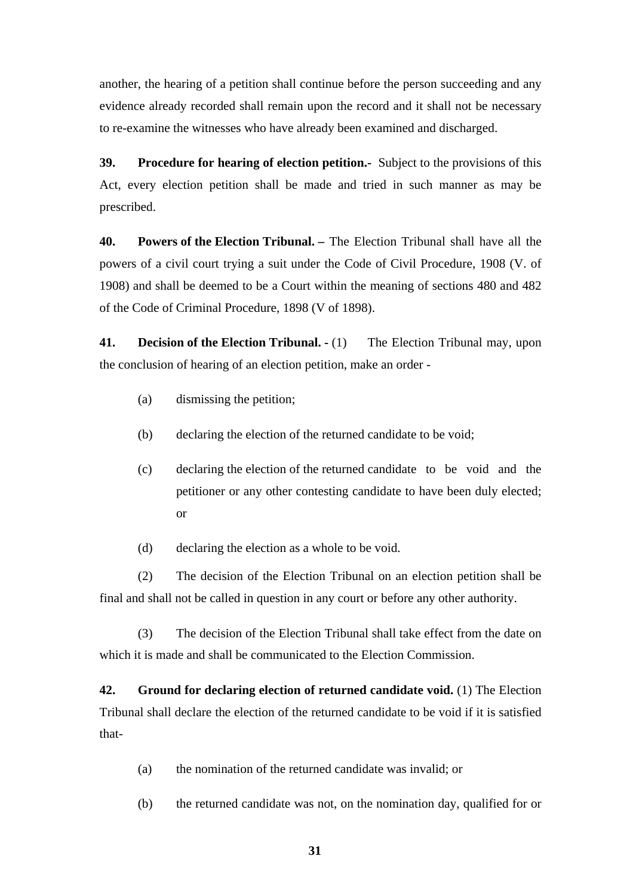another, the hearing of a petition shall continue before the person succeeding and any evidence already recorded shall remain upon the record and it shall not be necessary to re-examine the witnesses who have already been examined and discharged.

**39. Procedure for hearing of election petition.-** Subject to the provisions of this Act, every election petition shall be made and tried in such manner as may be prescribed.

**40. Powers of the Election Tribunal. –** The Election Tribunal shall have all the powers of a civil court trying a suit under the Code of Civil Procedure, 1908 (V. of 1908) and shall be deemed to be a Court within the meaning of sections 480 and 482 of the Code of Criminal Procedure, 1898 (V of 1898).

**41.** Decision of the Election Tribunal.  $\cdot$  (1) The Election Tribunal may, upon the conclusion of hearing of an election petition, make an order -

- (a) dismissing the petition;
- (b) declaring the election of the returned candidate to be void;
- (c) declaring the election of the returned candidate to be void and the petitioner or any other contesting candidate to have been duly elected; or
- (d) declaring the election as a whole to be void.

(2) The decision of the Election Tribunal on an election petition shall be final and shall not be called in question in any court or before any other authority.

(3) The decision of the Election Tribunal shall take effect from the date on which it is made and shall be communicated to the Election Commission.

**42. Ground for declaring election of returned candidate void.** (1) The Election Tribunal shall declare the election of the returned candidate to be void if it is satisfied that-

- (a) the nomination of the returned candidate was invalid; or
- (b) the returned candidate was not, on the nomination day, qualified for or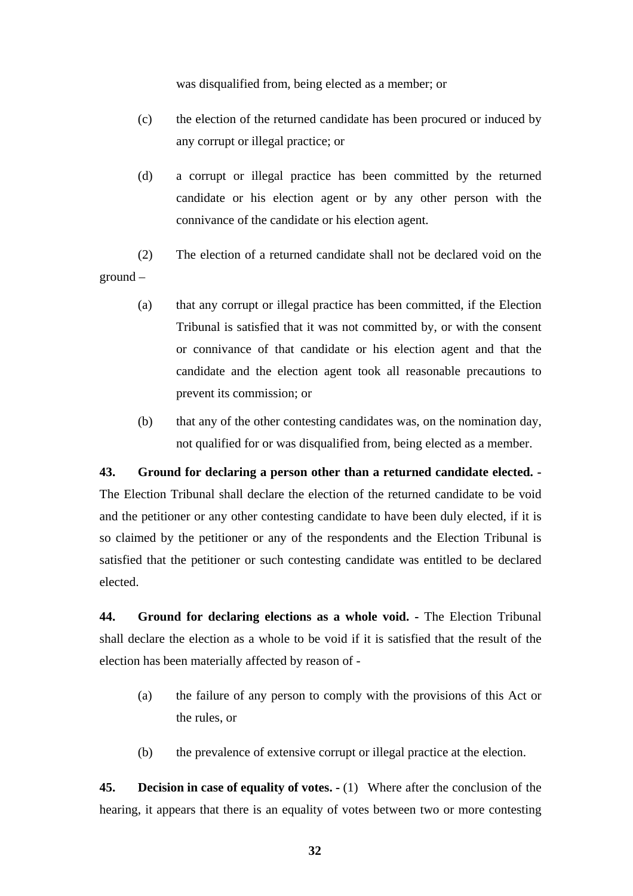was disqualified from, being elected as a member; or

- (c) the election of the returned candidate has been procured or induced by any corrupt or illegal practice; or
- (d) a corrupt or illegal practice has been committed by the returned candidate or his election agent or by any other person with the connivance of the candidate or his election agent.
- (2) The election of a returned candidate shall not be declared void on the ground –
	- (a) that any corrupt or illegal practice has been committed, if the Election Tribunal is satisfied that it was not committed by, or with the consent or connivance of that candidate or his election agent and that the candidate and the election agent took all reasonable precautions to prevent its commission; or
	- (b) that any of the other contesting candidates was, on the nomination day, not qualified for or was disqualified from, being elected as a member.

#### **43. Ground for declaring a person other than a returned candidate elected. -**

The Election Tribunal shall declare the election of the returned candidate to be void and the petitioner or any other contesting candidate to have been duly elected, if it is so claimed by the petitioner or any of the respondents and the Election Tribunal is satisfied that the petitioner or such contesting candidate was entitled to be declared elected.

**44.** Ground for declaring elections as a whole void. - The Election Tribunal shall declare the election as a whole to be void if it is satisfied that the result of the election has been materially affected by reason of -

- (a) the failure of any person to comply with the provisions of this Act or the rules, or
- (b) the prevalence of extensive corrupt or illegal practice at the election.

**45.** Decision in case of equality of votes.  $\cdot$  (1) Where after the conclusion of the hearing, it appears that there is an equality of votes between two or more contesting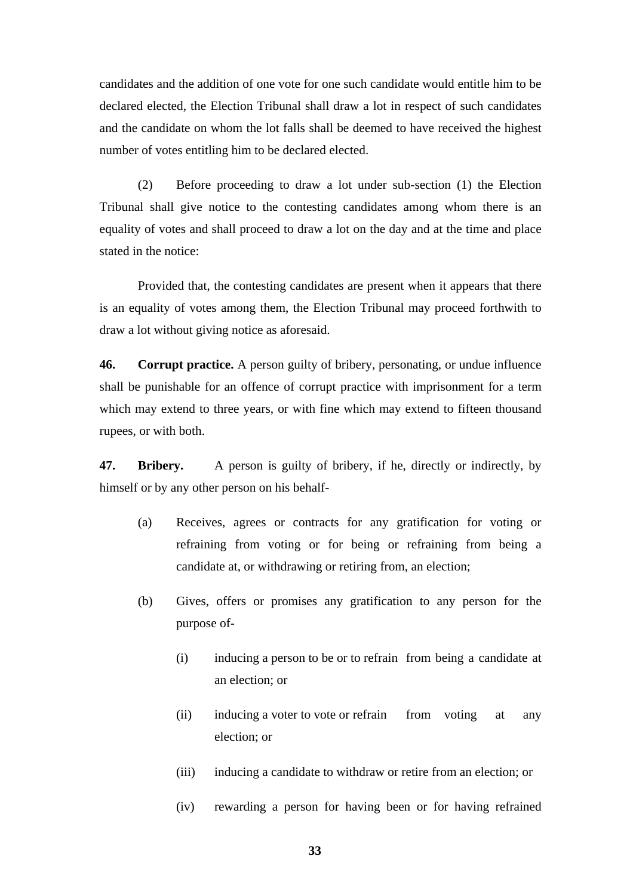candidates and the addition of one vote for one such candidate would entitle him to be declared elected, the Election Tribunal shall draw a lot in respect of such candidates and the candidate on whom the lot falls shall be deemed to have received the highest number of votes entitling him to be declared elected.

(2) Before proceeding to draw a lot under sub-section (1) the Election Tribunal shall give notice to the contesting candidates among whom there is an equality of votes and shall proceed to draw a lot on the day and at the time and place stated in the notice:

Provided that, the contesting candidates are present when it appears that there is an equality of votes among them, the Election Tribunal may proceed forthwith to draw a lot without giving notice as aforesaid.

**46. Corrupt practice.** A person guilty of bribery, personating, or undue influence shall be punishable for an offence of corrupt practice with imprisonment for a term which may extend to three years, or with fine which may extend to fifteen thousand rupees, or with both.

**47. Bribery.** A person is guilty of bribery, if he, directly or indirectly, by himself or by any other person on his behalf-

- (a) Receives, agrees or contracts for any gratification for voting or refraining from voting or for being or refraining from being a candidate at, or withdrawing or retiring from, an election;
- (b) Gives, offers or promises any gratification to any person for the purpose of-
	- (i) inducing a person to be or to refrain from being a candidate at an election; or
	- (ii) inducing a voter to vote or refrain from voting at any election; or
	- (iii) inducing a candidate to withdraw or retire from an election; or
	- (iv) rewarding a person for having been or for having refrained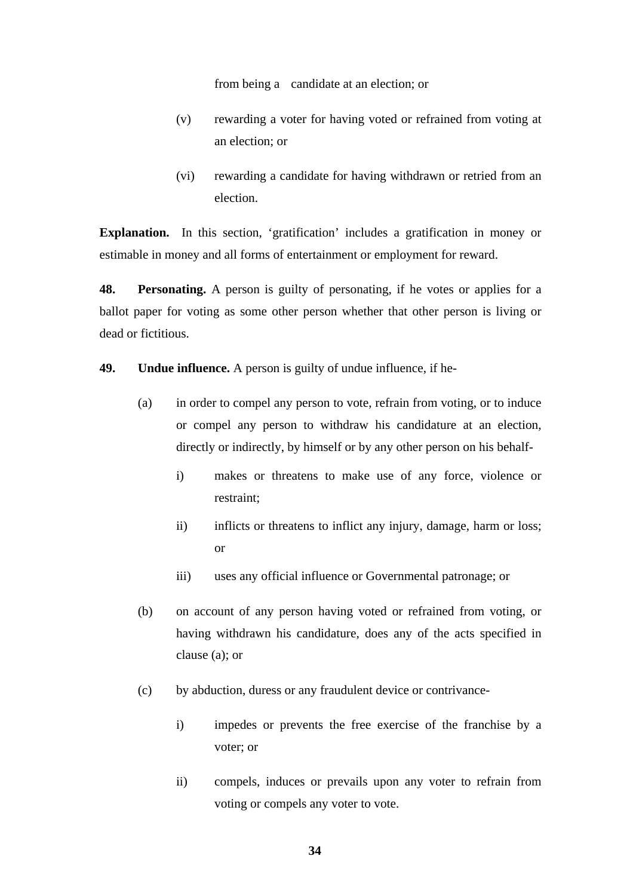from being a candidate at an election; or

- (v) rewarding a voter for having voted or refrained from voting at an election; or
- (vi) rewarding a candidate for having withdrawn or retried from an election.

**Explanation.** In this section, 'gratification' includes a gratification in money or estimable in money and all forms of entertainment or employment for reward.

**48. Personating.** A person is guilty of personating, if he votes or applies for a ballot paper for voting as some other person whether that other person is living or dead or fictitious.

**49. Undue influence.** A person is guilty of undue influence, if he-

- (a) in order to compel any person to vote, refrain from voting, or to induce or compel any person to withdraw his candidature at an election, directly or indirectly, by himself or by any other person on his behalf
	- i) makes or threatens to make use of any force, violence or restraint;
	- ii) inflicts or threatens to inflict any injury, damage, harm or loss; or
	- iii) uses any official influence or Governmental patronage; or
- (b) on account of any person having voted or refrained from voting, or having withdrawn his candidature, does any of the acts specified in clause (a); or
- (c) by abduction, duress or any fraudulent device or contrivance
	- i) impedes or prevents the free exercise of the franchise by a voter; or
	- ii) compels, induces or prevails upon any voter to refrain from voting or compels any voter to vote.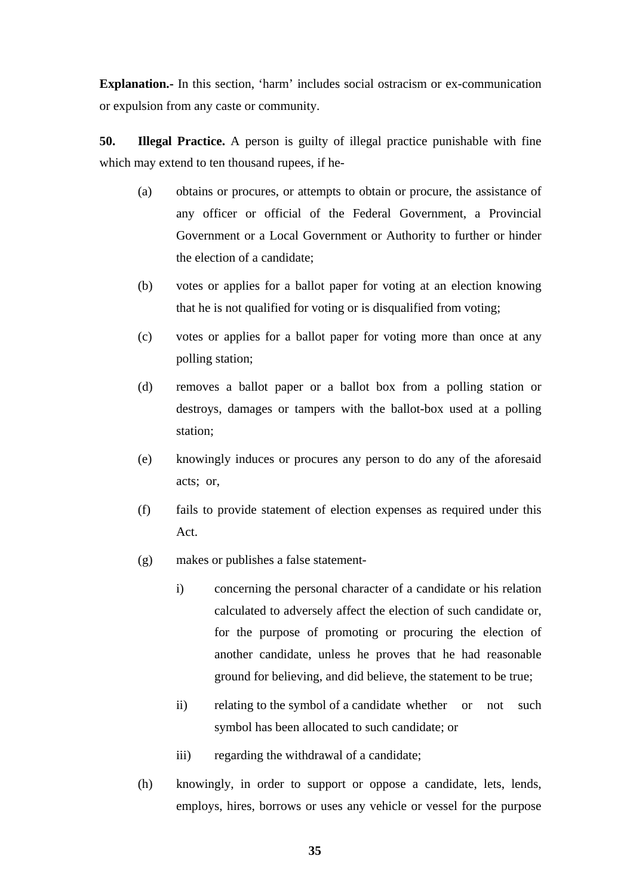**Explanation.-** In this section, 'harm' includes social ostracism or ex-communication or expulsion from any caste or community.

**50. Illegal Practice.** A person is guilty of illegal practice punishable with fine which may extend to ten thousand rupees, if he-

- (a) obtains or procures, or attempts to obtain or procure, the assistance of any officer or official of the Federal Government, a Provincial Government or a Local Government or Authority to further or hinder the election of a candidate;
- (b) votes or applies for a ballot paper for voting at an election knowing that he is not qualified for voting or is disqualified from voting;
- (c) votes or applies for a ballot paper for voting more than once at any polling station;
- (d) removes a ballot paper or a ballot box from a polling station or destroys, damages or tampers with the ballot-box used at a polling station;
- (e) knowingly induces or procures any person to do any of the aforesaid acts; or,
- (f) fails to provide statement of election expenses as required under this Act.
- (g) makes or publishes a false statement
	- i) concerning the personal character of a candidate or his relation calculated to adversely affect the election of such candidate or, for the purpose of promoting or procuring the election of another candidate, unless he proves that he had reasonable ground for believing, and did believe, the statement to be true;
	- ii) relating to the symbol of a candidate whether or not such symbol has been allocated to such candidate; or
	- iii) regarding the withdrawal of a candidate;
- (h) knowingly, in order to support or oppose a candidate, lets, lends, employs, hires, borrows or uses any vehicle or vessel for the purpose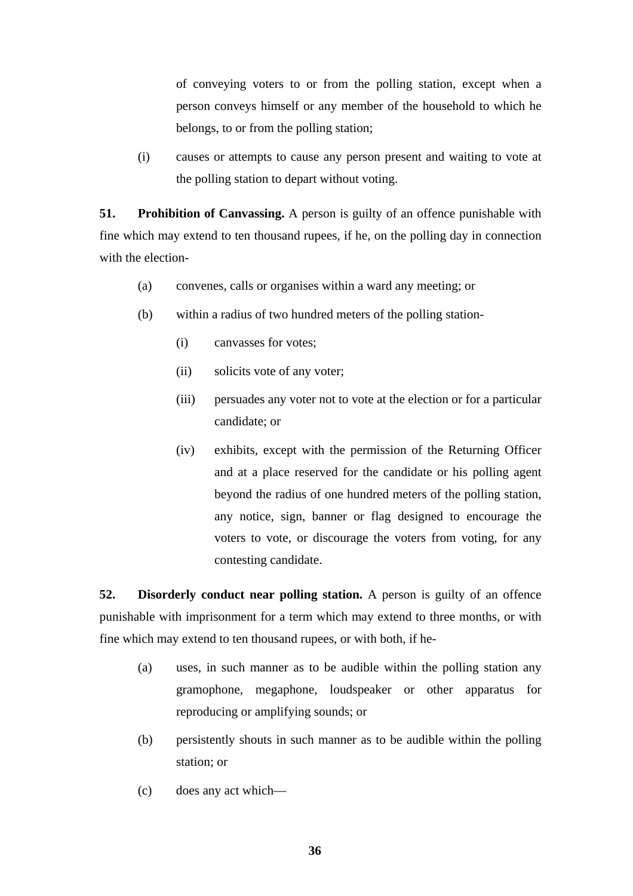of conveying voters to or from the polling station, except when a person conveys himself or any member of the household to which he belongs, to or from the polling station;

(i) causes or attempts to cause any person present and waiting to vote at the polling station to depart without voting.

**51.** Prohibition of Canvassing. A person is guilty of an offence punishable with fine which may extend to ten thousand rupees, if he, on the polling day in connection with the election-

- (a) convenes, calls or organises within a ward any meeting; or
- (b) within a radius of two hundred meters of the polling station-
	- (i) canvasses for votes;
	- (ii) solicits vote of any voter;
	- (iii) persuades any voter not to vote at the election or for a particular candidate; or
	- (iv) exhibits, except with the permission of the Returning Officer and at a place reserved for the candidate or his polling agent beyond the radius of one hundred meters of the polling station, any notice, sign, banner or flag designed to encourage the voters to vote, or discourage the voters from voting, for any contesting candidate.

**52. Disorderly conduct near polling station.** A person is guilty of an offence punishable with imprisonment for a term which may extend to three months, or with fine which may extend to ten thousand rupees, or with both, if he-

- (a) uses, in such manner as to be audible within the polling station any gramophone, megaphone, loudspeaker or other apparatus for reproducing or amplifying sounds; or
- (b) persistently shouts in such manner as to be audible within the polling station; or
- (c) does any act which—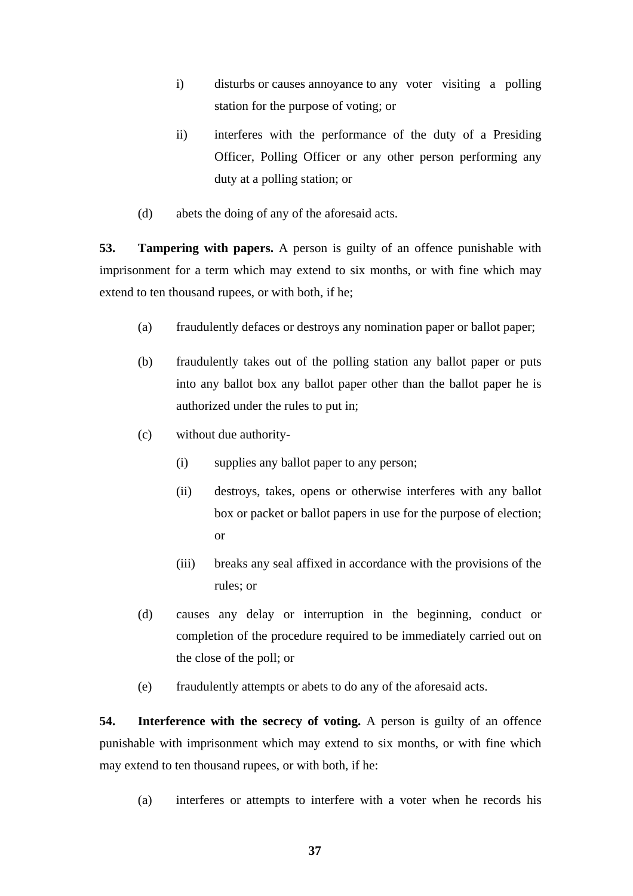- i) disturbs or causes annoyance to any voter visiting a polling station for the purpose of voting; or
- ii) interferes with the performance of the duty of a Presiding Officer, Polling Officer or any other person performing any duty at a polling station; or
- (d) abets the doing of any of the aforesaid acts.

**53. Tampering with papers.** A person is guilty of an offence punishable with imprisonment for a term which may extend to six months, or with fine which may extend to ten thousand rupees, or with both, if he;

- (a) fraudulently defaces or destroys any nomination paper or ballot paper;
- (b) fraudulently takes out of the polling station any ballot paper or puts into any ballot box any ballot paper other than the ballot paper he is authorized under the rules to put in;
- (c) without due authority-
	- (i) supplies any ballot paper to any person;
	- (ii) destroys, takes, opens or otherwise interferes with any ballot box or packet or ballot papers in use for the purpose of election; or
	- (iii) breaks any seal affixed in accordance with the provisions of the rules; or
- (d) causes any delay or interruption in the beginning, conduct or completion of the procedure required to be immediately carried out on the close of the poll; or
- (e) fraudulently attempts or abets to do any of the aforesaid acts.

**54.** Interference with the secrecy of voting. A person is guilty of an offence punishable with imprisonment which may extend to six months, or with fine which may extend to ten thousand rupees, or with both, if he:

(a) interferes or attempts to interfere with a voter when he records his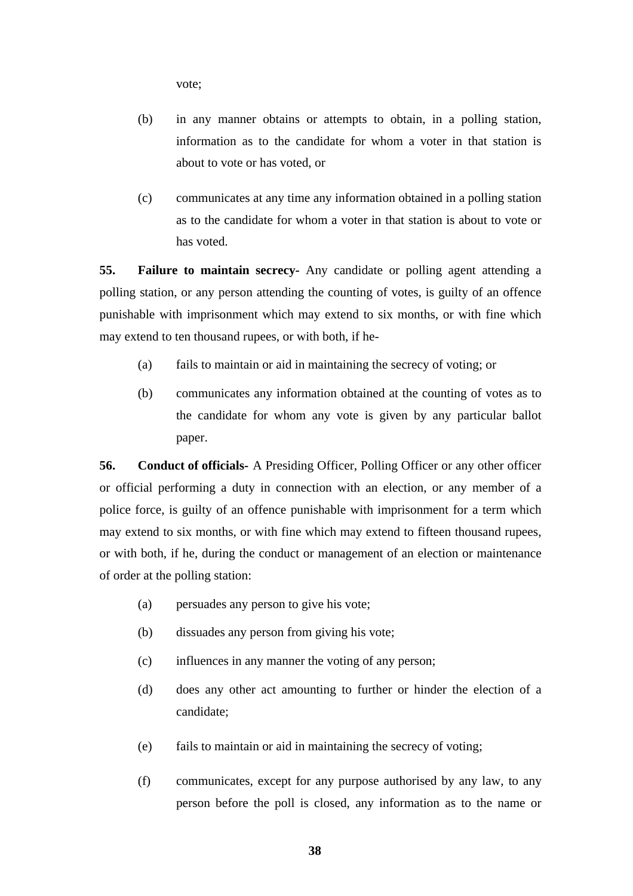vote;

- (b) in any manner obtains or attempts to obtain, in a polling station, information as to the candidate for whom a voter in that station is about to vote or has voted, or
- (c) communicates at any time any information obtained in a polling station as to the candidate for whom a voter in that station is about to vote or has voted.

**55. Failure to maintain secrecy-** Any candidate or polling agent attending a polling station, or any person attending the counting of votes, is guilty of an offence punishable with imprisonment which may extend to six months, or with fine which may extend to ten thousand rupees, or with both, if he-

- (a) fails to maintain or aid in maintaining the secrecy of voting; or
- (b) communicates any information obtained at the counting of votes as to the candidate for whom any vote is given by any particular ballot paper.

**56. Conduct of officials-** A Presiding Officer, Polling Officer or any other officer or official performing a duty in connection with an election, or any member of a police force, is guilty of an offence punishable with imprisonment for a term which may extend to six months, or with fine which may extend to fifteen thousand rupees, or with both, if he, during the conduct or management of an election or maintenance of order at the polling station:

- (a) persuades any person to give his vote;
- (b) dissuades any person from giving his vote;
- (c) influences in any manner the voting of any person;
- (d) does any other act amounting to further or hinder the election of a candidate;
- (e) fails to maintain or aid in maintaining the secrecy of voting;
- (f) communicates, except for any purpose authorised by any law, to any person before the poll is closed, any information as to the name or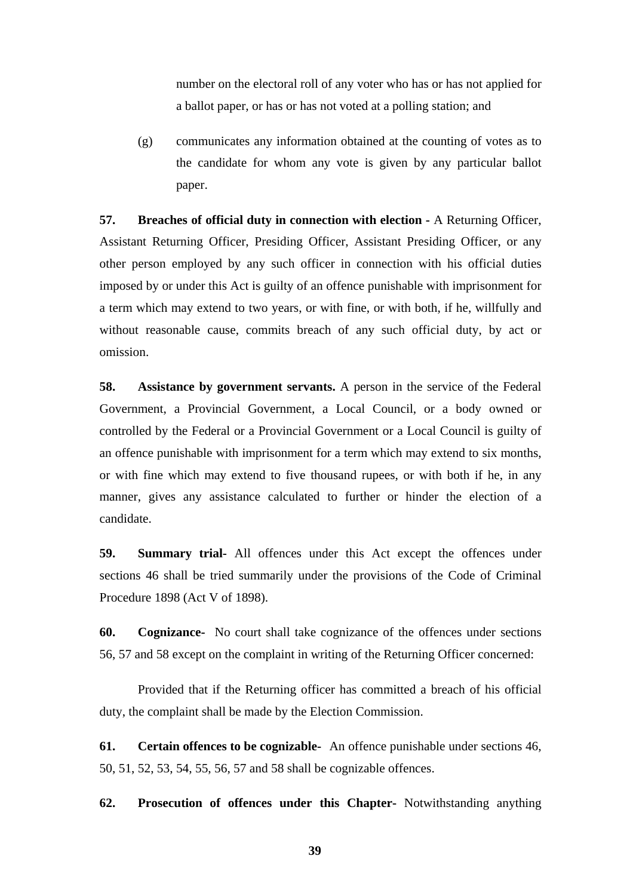number on the electoral roll of any voter who has or has not applied for a ballot paper, or has or has not voted at a polling station; and

(g) communicates any information obtained at the counting of votes as to the candidate for whom any vote is given by any particular ballot paper.

**57.** Breaches of official duty in connection with election - A Returning Officer, Assistant Returning Officer, Presiding Officer, Assistant Presiding Officer, or any other person employed by any such officer in connection with his official duties imposed by or under this Act is guilty of an offence punishable with imprisonment for a term which may extend to two years, or with fine, or with both, if he, willfully and without reasonable cause, commits breach of any such official duty, by act or omission.

**58. Assistance by government servants.** A person in the service of the Federal Government, a Provincial Government, a Local Council, or a body owned or controlled by the Federal or a Provincial Government or a Local Council is guilty of an offence punishable with imprisonment for a term which may extend to six months, or with fine which may extend to five thousand rupees, or with both if he, in any manner, gives any assistance calculated to further or hinder the election of a candidate.

**59. Summary trial-** All offences under this Act except the offences under sections 46 shall be tried summarily under the provisions of the Code of Criminal Procedure 1898 (Act V of 1898).

**60. Cognizance-** No court shall take cognizance of the offences under sections 56, 57 and 58 except on the complaint in writing of the Returning Officer concerned:

Provided that if the Returning officer has committed a breach of his official duty, the complaint shall be made by the Election Commission.

**61. Certain offences to be cognizable-** An offence punishable under sections 46, 50, 51, 52, 53, 54, 55, 56, 57 and 58 shall be cognizable offences.

**62. Prosecution of offences under this Chapter-** Notwithstanding anything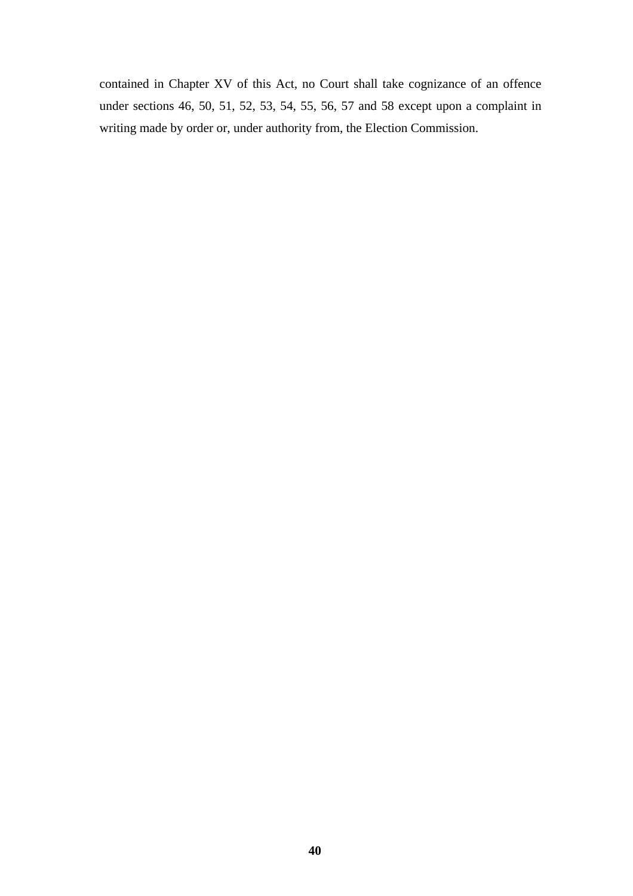contained in Chapter XV of this Act, no Court shall take cognizance of an offence under sections 46, 50, 51, 52, 53, 54, 55, 56, 57 and 58 except upon a complaint in writing made by order or, under authority from, the Election Commission.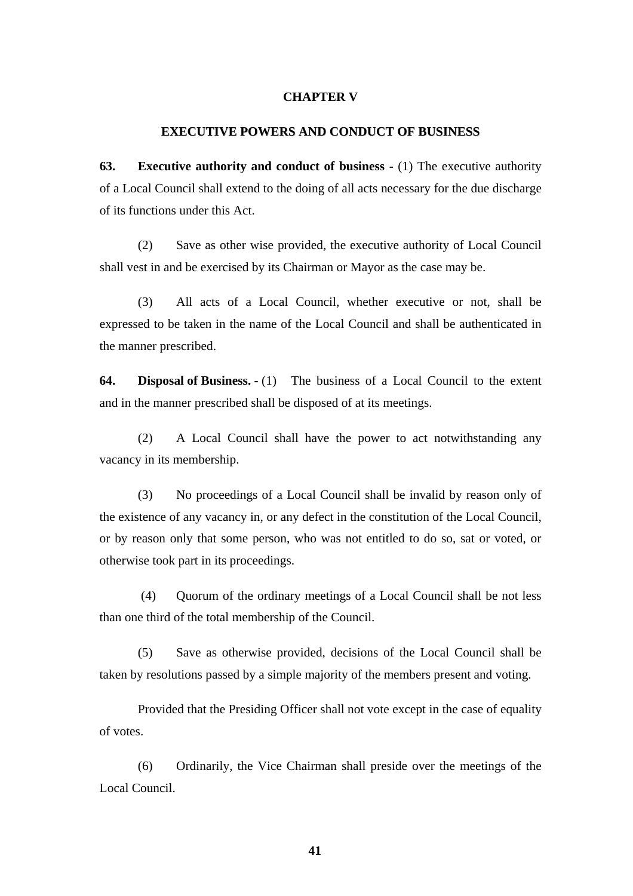#### **CHAPTER V**

#### **EXECUTIVE POWERS AND CONDUCT OF BUSINESS**

**63.** Executive authority and conduct of business - (1) The executive authority of a Local Council shall extend to the doing of all acts necessary for the due discharge of its functions under this Act.

(2) Save as other wise provided, the executive authority of Local Council shall vest in and be exercised by its Chairman or Mayor as the case may be.

(3) All acts of a Local Council, whether executive or not, shall be expressed to be taken in the name of the Local Council and shall be authenticated in the manner prescribed.

**64. Disposal of Business. -** (1) The business of a Local Council to the extent and in the manner prescribed shall be disposed of at its meetings.

(2) A Local Council shall have the power to act notwithstanding any vacancy in its membership.

(3) No proceedings of a Local Council shall be invalid by reason only of the existence of any vacancy in, or any defect in the constitution of the Local Council, or by reason only that some person, who was not entitled to do so, sat or voted, or otherwise took part in its proceedings.

(4) Quorum of the ordinary meetings of a Local Council shall be not less than one third of the total membership of the Council.

(5) Save as otherwise provided, decisions of the Local Council shall be taken by resolutions passed by a simple majority of the members present and voting.

Provided that the Presiding Officer shall not vote except in the case of equality of votes.

(6) Ordinarily, the Vice Chairman shall preside over the meetings of the Local Council.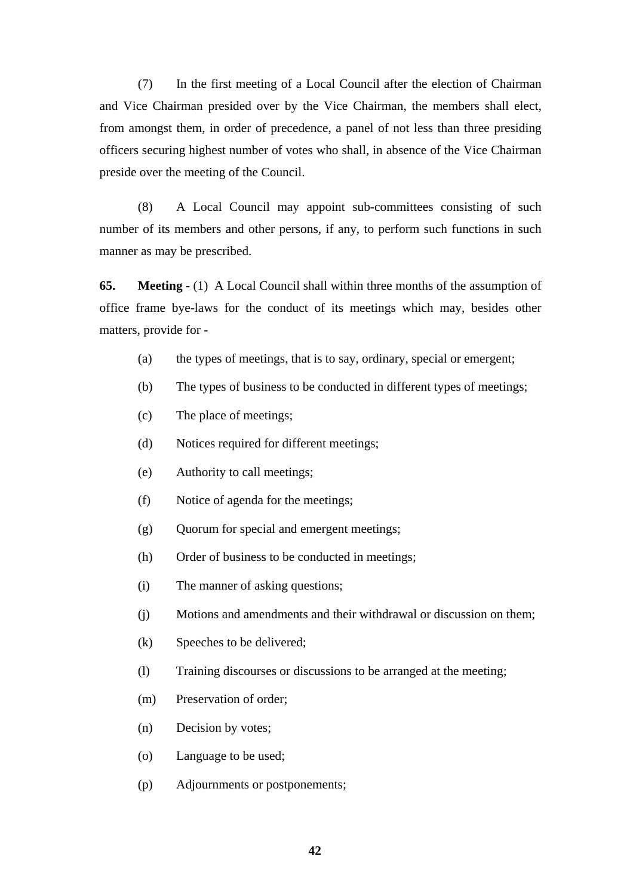(7) In the first meeting of a Local Council after the election of Chairman and Vice Chairman presided over by the Vice Chairman, the members shall elect, from amongst them, in order of precedence, a panel of not less than three presiding officers securing highest number of votes who shall, in absence of the Vice Chairman preside over the meeting of the Council.

(8) A Local Council may appoint sub-committees consisting of such number of its members and other persons, if any, to perform such functions in such manner as may be prescribed.

**65.** Meeting - (1) A Local Council shall within three months of the assumption of office frame bye-laws for the conduct of its meetings which may, besides other matters, provide for -

- (a) the types of meetings, that is to say, ordinary, special or emergent;
- (b) The types of business to be conducted in different types of meetings;
- (c) The place of meetings;
- (d) Notices required for different meetings;
- (e) Authority to call meetings;
- (f) Notice of agenda for the meetings;
- (g) Quorum for special and emergent meetings;
- (h) Order of business to be conducted in meetings;
- (i) The manner of asking questions;
- (j) Motions and amendments and their withdrawal or discussion on them;
- (k) Speeches to be delivered;
- (l) Training discourses or discussions to be arranged at the meeting;
- (m) Preservation of order;
- (n) Decision by votes;
- (o) Language to be used;
- (p) Adjournments or postponements;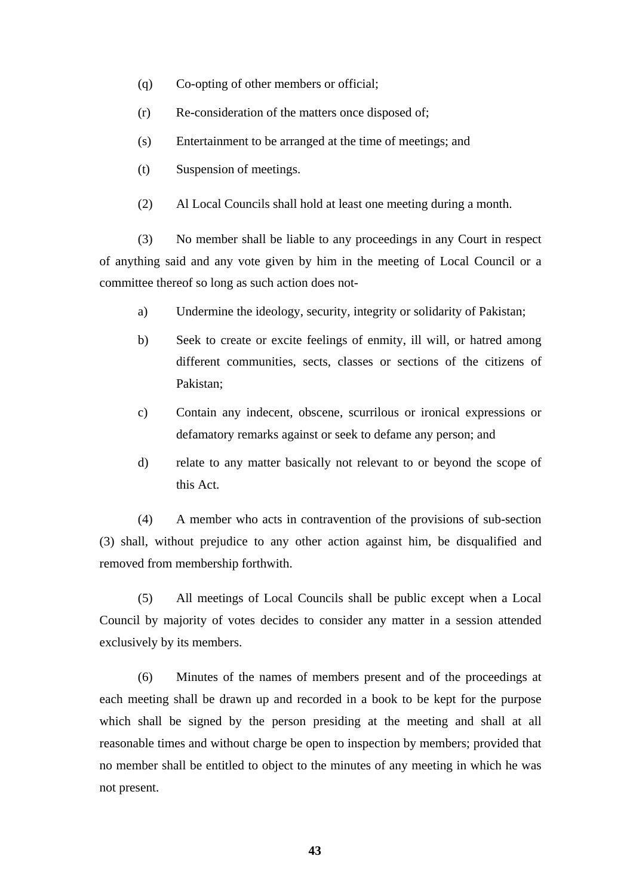- (q) Co-opting of other members or official;
- (r) Re-consideration of the matters once disposed of;
- (s) Entertainment to be arranged at the time of meetings; and
- (t) Suspension of meetings.
- (2) Al Local Councils shall hold at least one meeting during a month.

(3) No member shall be liable to any proceedings in any Court in respect of anything said and any vote given by him in the meeting of Local Council or a committee thereof so long as such action does not-

- a) Undermine the ideology, security, integrity or solidarity of Pakistan;
- b) Seek to create or excite feelings of enmity, ill will, or hatred among different communities, sects, classes or sections of the citizens of Pakistan;
- c) Contain any indecent, obscene, scurrilous or ironical expressions or defamatory remarks against or seek to defame any person; and
- d) relate to any matter basically not relevant to or beyond the scope of this Act.

(4) A member who acts in contravention of the provisions of sub-section (3) shall, without prejudice to any other action against him, be disqualified and removed from membership forthwith.

(5) All meetings of Local Councils shall be public except when a Local Council by majority of votes decides to consider any matter in a session attended exclusively by its members.

(6) Minutes of the names of members present and of the proceedings at each meeting shall be drawn up and recorded in a book to be kept for the purpose which shall be signed by the person presiding at the meeting and shall at all reasonable times and without charge be open to inspection by members; provided that no member shall be entitled to object to the minutes of any meeting in which he was not present.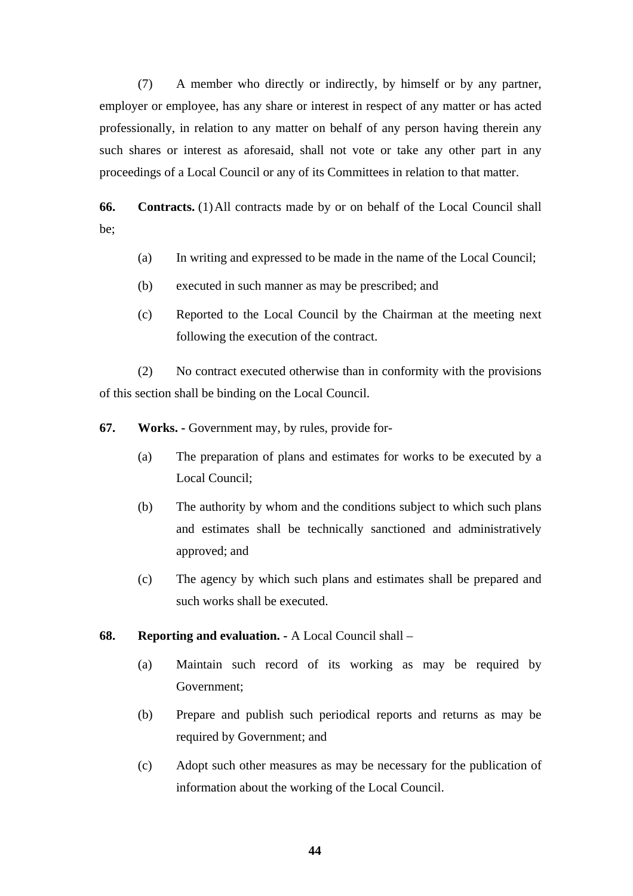(7) A member who directly or indirectly, by himself or by any partner, employer or employee, has any share or interest in respect of any matter or has acted professionally, in relation to any matter on behalf of any person having therein any such shares or interest as aforesaid, shall not vote or take any other part in any proceedings of a Local Council or any of its Committees in relation to that matter.

**66. Contracts.** (1) All contracts made by or on behalf of the Local Council shall be;

- (a) In writing and expressed to be made in the name of the Local Council;
- (b) executed in such manner as may be prescribed; and
- (c) Reported to the Local Council by the Chairman at the meeting next following the execution of the contract.

(2) No contract executed otherwise than in conformity with the provisions of this section shall be binding on the Local Council.

- **67. Works.** Government may, by rules, provide for-
	- (a) The preparation of plans and estimates for works to be executed by a Local Council;
	- (b) The authority by whom and the conditions subject to which such plans and estimates shall be technically sanctioned and administratively approved; and
	- (c) The agency by which such plans and estimates shall be prepared and such works shall be executed.

## **68. Reporting and evaluation. -** A Local Council shall –

- (a) Maintain such record of its working as may be required by Government;
- (b) Prepare and publish such periodical reports and returns as may be required by Government; and
- (c) Adopt such other measures as may be necessary for the publication of information about the working of the Local Council.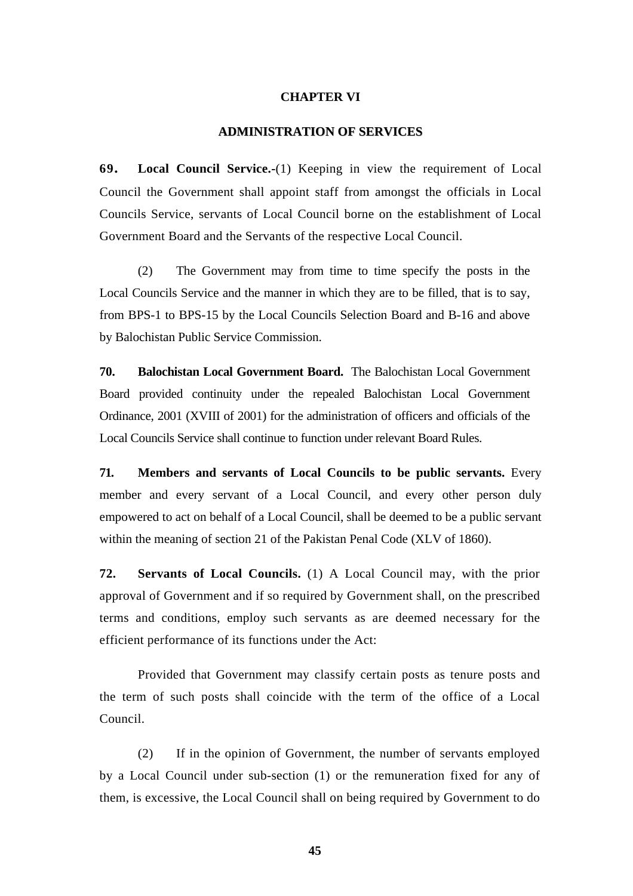### **CHAPTER VI**

#### **ADMINISTRATION OF SERVICES**

**69. Local Council Service.-**(1) Keeping in view the requirement of Local Council the Government shall appoint staff from amongst the officials in Local Councils Service, servants of Local Council borne on the establishment of Local Government Board and the Servants of the respective Local Council.

(2) The Government may from time to time specify the posts in the Local Councils Service and the manner in which they are to be filled, that is to say, from BPS-1 to BPS-15 by the Local Councils Selection Board and B-16 and above by Balochistan Public Service Commission.

**70. Balochistan Local Government Board.** The Balochistan Local Government Board provided continuity under the repealed Balochistan Local Government Ordinance, 2001 (XVIII of 2001) for the administration of officers and officials of the Local Councils Service shall continue to function under relevant Board Rules.

**71. Members and servants of Local Councils to be public servants.** Every member and every servant of a Local Council, and every other person duly empowered to act on behalf of a Local Council, shall be deemed to be a public servant within the meaning of section 21 of the Pakistan Penal Code (XLV of 1860).

**72. Servants of Local Councils.** (1) A Local Council may, with the prior approval of Government and if so required by Government shall, on the prescribed terms and conditions, employ such servants as are deemed necessary for the efficient performance of its functions under the Act:

Provided that Government may classify certain posts as tenure posts and the term of such posts shall coincide with the term of the office of a Local Council.

(2) If in the opinion of Government, the number of servants employed by a Local Council under sub-section (1) or the remuneration fixed for any of them, is excessive, the Local Council shall on being required by Government to do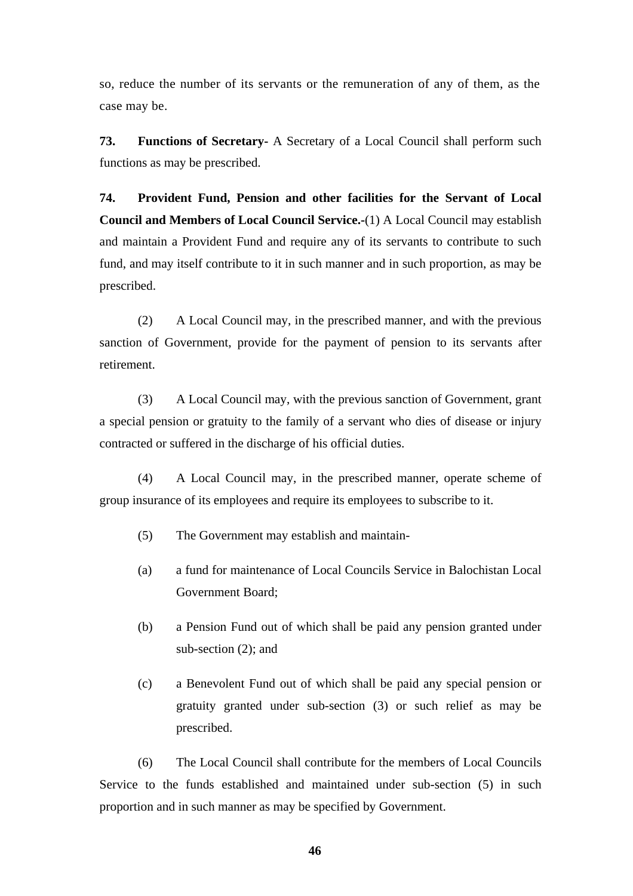so, reduce the number of its servants or the remuneration of any of them, as the case may be.

**73. Functions of Secretary-** A Secretary of a Local Council shall perform such functions as may be prescribed.

**74. Provident Fund, Pension and other facilities for the Servant of Local Council and Members of Local Council Service.-**(1) A Local Council may establish and maintain a Provident Fund and require any of its servants to contribute to such fund, and may itself contribute to it in such manner and in such proportion, as may be prescribed.

(2) A Local Council may, in the prescribed manner, and with the previous sanction of Government, provide for the payment of pension to its servants after retirement.

(3) A Local Council may, with the previous sanction of Government, grant a special pension or gratuity to the family of a servant who dies of disease or injury contracted or suffered in the discharge of his official duties.

(4) A Local Council may, in the prescribed manner, operate scheme of group insurance of its employees and require its employees to subscribe to it.

- (5) The Government may establish and maintain-
- (a) a fund for maintenance of Local Councils Service in Balochistan Local Government Board;
- (b) a Pension Fund out of which shall be paid any pension granted under sub-section (2); and
- (c) a Benevolent Fund out of which shall be paid any special pension or gratuity granted under sub-section (3) or such relief as may be prescribed.

(6) The Local Council shall contribute for the members of Local Councils Service to the funds established and maintained under sub-section (5) in such proportion and in such manner as may be specified by Government.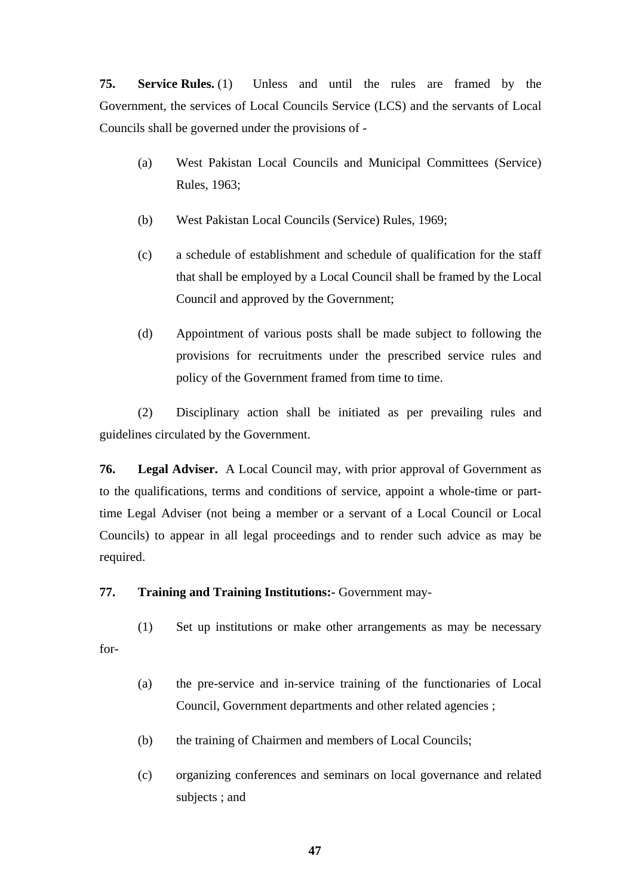**75. Service Rules.** (1) Unless and until the rules are framed by the Government, the services of Local Councils Service (LCS) and the servants of Local Councils shall be governed under the provisions of -

- (a) West Pakistan Local Councils and Municipal Committees (Service) Rules, 1963;
- (b) West Pakistan Local Councils (Service) Rules, 1969;
- (c) a schedule of establishment and schedule of qualification for the staff that shall be employed by a Local Council shall be framed by the Local Council and approved by the Government;
- (d) Appointment of various posts shall be made subject to following the provisions for recruitments under the prescribed service rules and policy of the Government framed from time to time.

(2) Disciplinary action shall be initiated as per prevailing rules and guidelines circulated by the Government.

**76. Legal Adviser.** A Local Council may, with prior approval of Government as to the qualifications, terms and conditions of service, appoint a whole-time or parttime Legal Adviser (not being a member or a servant of a Local Council or Local Councils) to appear in all legal proceedings and to render such advice as may be required.

# **77. Training and Training Institutions:-** Government may-

(1) Set up institutions or make other arrangements as may be necessary for-

- (a) the pre-service and in-service training of the functionaries of Local Council, Government departments and other related agencies ;
- (b) the training of Chairmen and members of Local Councils;
- (c) organizing conferences and seminars on local governance and related subjects ; and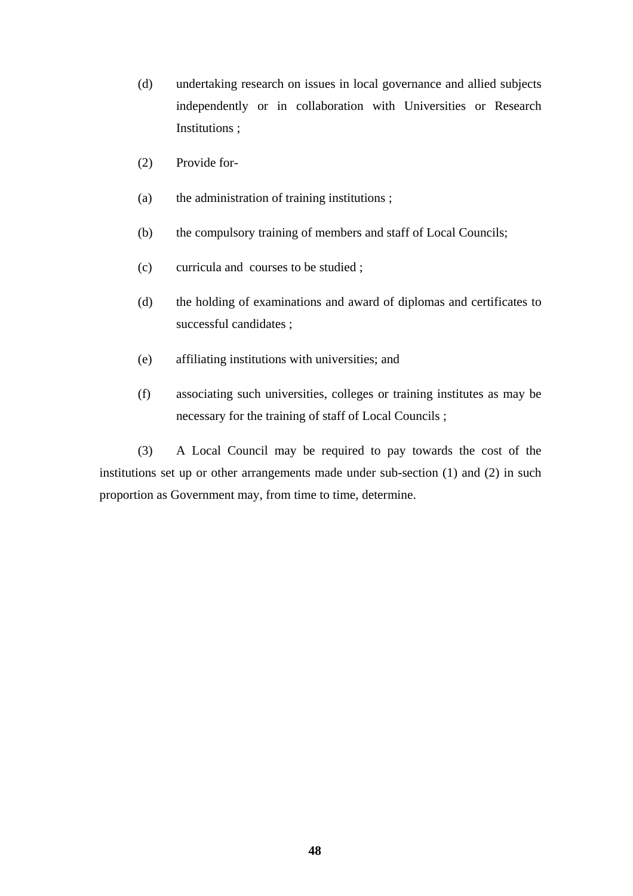- (d) undertaking research on issues in local governance and allied subjects independently or in collaboration with Universities or Research Institutions ;
- (2) Provide for-
- (a) the administration of training institutions ;
- (b) the compulsory training of members and staff of Local Councils;
- (c) curricula and courses to be studied ;
- (d) the holding of examinations and award of diplomas and certificates to successful candidates ;
- (e) affiliating institutions with universities; and
- (f) associating such universities, colleges or training institutes as may be necessary for the training of staff of Local Councils ;

(3) A Local Council may be required to pay towards the cost of the institutions set up or other arrangements made under sub-section (1) and (2) in such proportion as Government may, from time to time, determine.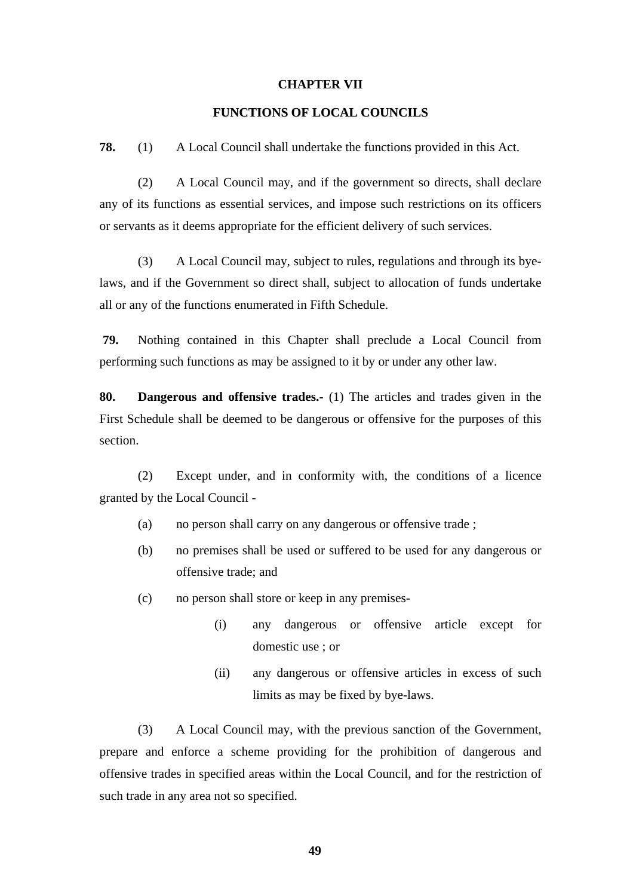#### **CHAPTER VII**

## **FUNCTIONS OF LOCAL COUNCILS**

**78.** (1) A Local Council shall undertake the functions provided in this Act.

(2) A Local Council may, and if the government so directs, shall declare any of its functions as essential services, and impose such restrictions on its officers or servants as it deems appropriate for the efficient delivery of such services.

(3) A Local Council may, subject to rules, regulations and through its byelaws, and if the Government so direct shall, subject to allocation of funds undertake all or any of the functions enumerated in Fifth Schedule.

 **79.** Nothing contained in this Chapter shall preclude a Local Council from performing such functions as may be assigned to it by or under any other law.

**80. Dangerous and offensive trades.-** (1) The articles and trades given in the First Schedule shall be deemed to be dangerous or offensive for the purposes of this section.

(2) Except under, and in conformity with, the conditions of a licence granted by the Local Council -

- (a) no person shall carry on any dangerous or offensive trade ;
- (b) no premises shall be used or suffered to be used for any dangerous or offensive trade; and
- (c) no person shall store or keep in any premises-
	- (i) any dangerous or offensive article except for domestic use ; or
	- (ii) any dangerous or offensive articles in excess of such limits as may be fixed by bye-laws.

(3) A Local Council may, with the previous sanction of the Government, prepare and enforce a scheme providing for the prohibition of dangerous and offensive trades in specified areas within the Local Council, and for the restriction of such trade in any area not so specified.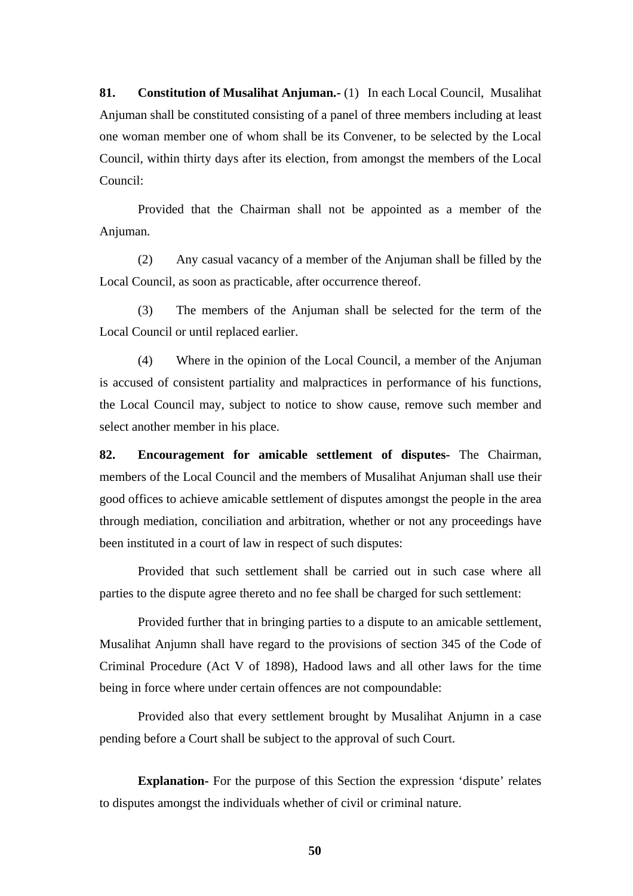**81. Constitution of Musalihat Anjuman.-** (1) In each Local Council, Musalihat Anjuman shall be constituted consisting of a panel of three members including at least one woman member one of whom shall be its Convener, to be selected by the Local Council, within thirty days after its election, from amongst the members of the Local Council:

Provided that the Chairman shall not be appointed as a member of the Anjuman.

(2) Any casual vacancy of a member of the Anjuman shall be filled by the Local Council, as soon as practicable, after occurrence thereof.

(3) The members of the Anjuman shall be selected for the term of the Local Council or until replaced earlier.

(4) Where in the opinion of the Local Council, a member of the Anjuman is accused of consistent partiality and malpractices in performance of his functions, the Local Council may, subject to notice to show cause, remove such member and select another member in his place.

**82. Encouragement for amicable settlement of disputes-** The Chairman, members of the Local Council and the members of Musalihat Anjuman shall use their good offices to achieve amicable settlement of disputes amongst the people in the area through mediation, conciliation and arbitration, whether or not any proceedings have been instituted in a court of law in respect of such disputes:

Provided that such settlement shall be carried out in such case where all parties to the dispute agree thereto and no fee shall be charged for such settlement:

Provided further that in bringing parties to a dispute to an amicable settlement, Musalihat Anjumn shall have regard to the provisions of section 345 of the Code of Criminal Procedure (Act V of 1898), Hadood laws and all other laws for the time being in force where under certain offences are not compoundable:

Provided also that every settlement brought by Musalihat Anjumn in a case pending before a Court shall be subject to the approval of such Court.

**Explanation-** For the purpose of this Section the expression 'dispute' relates to disputes amongst the individuals whether of civil or criminal nature.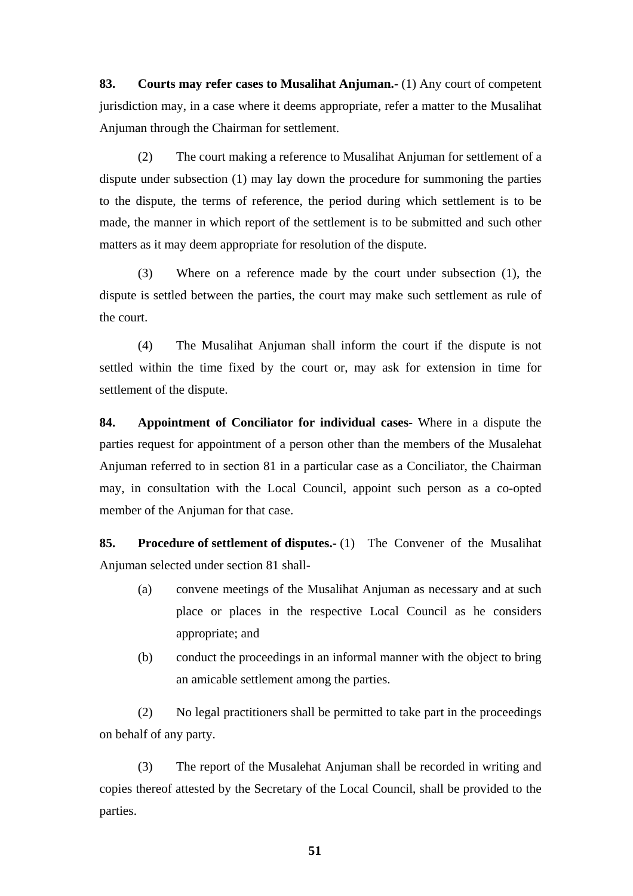**83. Courts may refer cases to Musalihat Anjuman.-** (1) Any court of competent jurisdiction may, in a case where it deems appropriate, refer a matter to the Musalihat Anjuman through the Chairman for settlement.

(2) The court making a reference to Musalihat Anjuman for settlement of a dispute under subsection (1) may lay down the procedure for summoning the parties to the dispute, the terms of reference, the period during which settlement is to be made, the manner in which report of the settlement is to be submitted and such other matters as it may deem appropriate for resolution of the dispute.

(3) Where on a reference made by the court under subsection (1), the dispute is settled between the parties, the court may make such settlement as rule of the court.

(4) The Musalihat Anjuman shall inform the court if the dispute is not settled within the time fixed by the court or, may ask for extension in time for settlement of the dispute.

**84. Appointment of Conciliator for individual cases-** Where in a dispute the parties request for appointment of a person other than the members of the Musalehat Anjuman referred to in section 81 in a particular case as a Conciliator, the Chairman may, in consultation with the Local Council, appoint such person as a co-opted member of the Anjuman for that case.

**85. Procedure of settlement of disputes.-** (1) The Convener of the Musalihat Anjuman selected under section 81 shall-

- (a) convene meetings of the Musalihat Anjuman as necessary and at such place or places in the respective Local Council as he considers appropriate; and
- (b) conduct the proceedings in an informal manner with the object to bring an amicable settlement among the parties.

(2) No legal practitioners shall be permitted to take part in the proceedings on behalf of any party.

(3) The report of the Musalehat Anjuman shall be recorded in writing and copies thereof attested by the Secretary of the Local Council, shall be provided to the parties.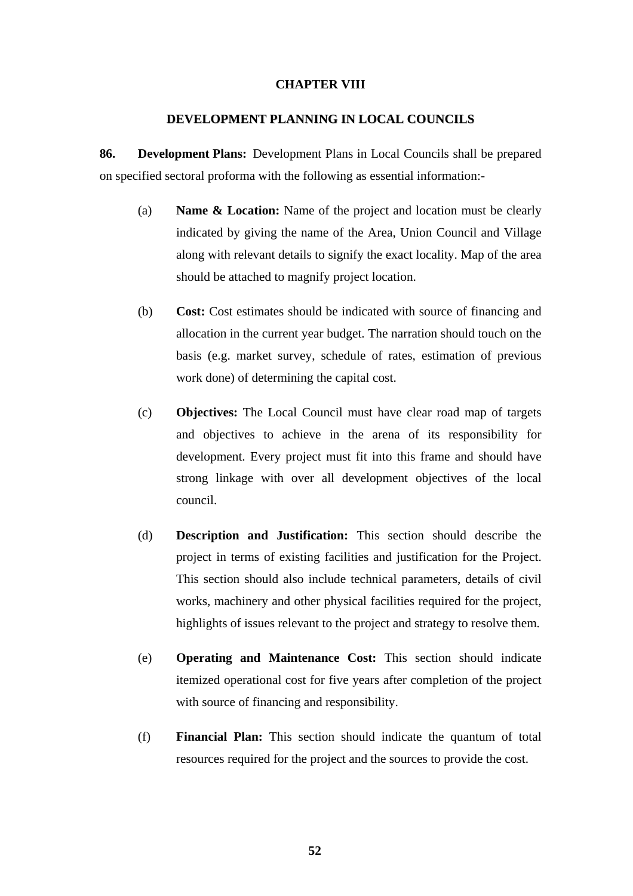### **CHAPTER VIII**

### **DEVELOPMENT PLANNING IN LOCAL COUNCILS**

**86. Development Plans:** Development Plans in Local Councils shall be prepared on specified sectoral proforma with the following as essential information:-

- (a) **Name & Location:** Name of the project and location must be clearly indicated by giving the name of the Area, Union Council and Village along with relevant details to signify the exact locality. Map of the area should be attached to magnify project location.
- (b) **Cost:** Cost estimates should be indicated with source of financing and allocation in the current year budget. The narration should touch on the basis (e.g. market survey, schedule of rates, estimation of previous work done) of determining the capital cost.
- (c) **Objectives:** The Local Council must have clear road map of targets and objectives to achieve in the arena of its responsibility for development. Every project must fit into this frame and should have strong linkage with over all development objectives of the local council.
- (d) **Description and Justification:** This section should describe the project in terms of existing facilities and justification for the Project. This section should also include technical parameters, details of civil works, machinery and other physical facilities required for the project, highlights of issues relevant to the project and strategy to resolve them.
- (e) **Operating and Maintenance Cost:** This section should indicate itemized operational cost for five years after completion of the project with source of financing and responsibility.
- (f) **Financial Plan:** This section should indicate the quantum of total resources required for the project and the sources to provide the cost.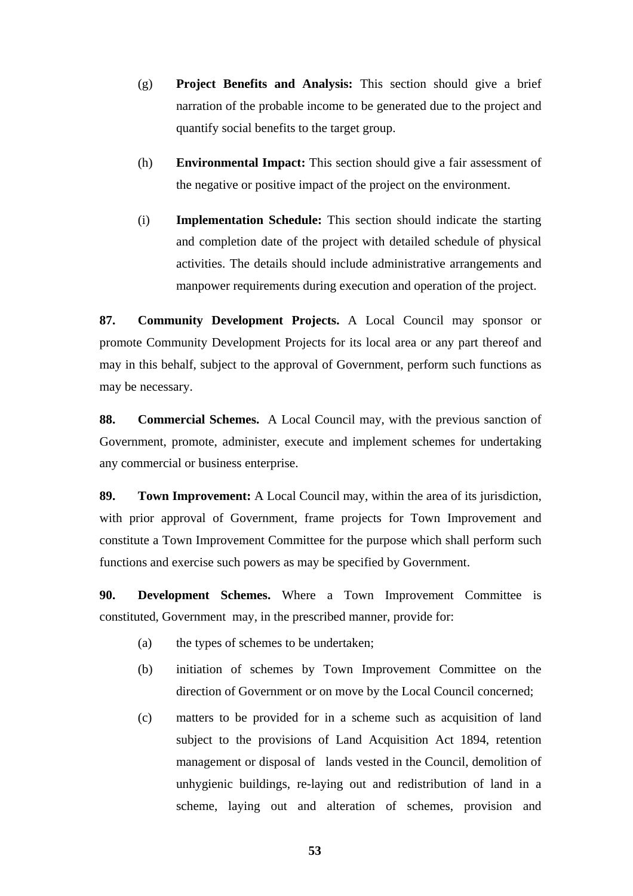- (g) **Project Benefits and Analysis:** This section should give a brief narration of the probable income to be generated due to the project and quantify social benefits to the target group.
- (h) **Environmental Impact:** This section should give a fair assessment of the negative or positive impact of the project on the environment.
- (i) **Implementation Schedule:** This section should indicate the starting and completion date of the project with detailed schedule of physical activities. The details should include administrative arrangements and manpower requirements during execution and operation of the project.

**87. Community Development Projects.** A Local Council may sponsor or promote Community Development Projects for its local area or any part thereof and may in this behalf, subject to the approval of Government, perform such functions as may be necessary.

**88. Commercial Schemes.** A Local Council may, with the previous sanction of Government, promote, administer, execute and implement schemes for undertaking any commercial or business enterprise.

**89. Town Improvement:** A Local Council may, within the area of its jurisdiction, with prior approval of Government, frame projects for Town Improvement and constitute a Town Improvement Committee for the purpose which shall perform such functions and exercise such powers as may be specified by Government.

**90. Development Schemes.** Where a Town Improvement Committee is constituted, Government may, in the prescribed manner, provide for:

- (a) the types of schemes to be undertaken;
- (b) initiation of schemes by Town Improvement Committee on the direction of Government or on move by the Local Council concerned;
- (c) matters to be provided for in a scheme such as acquisition of land subject to the provisions of Land Acquisition Act 1894, retention management or disposal of lands vested in the Council, demolition of unhygienic buildings, re-laying out and redistribution of land in a scheme, laying out and alteration of schemes, provision and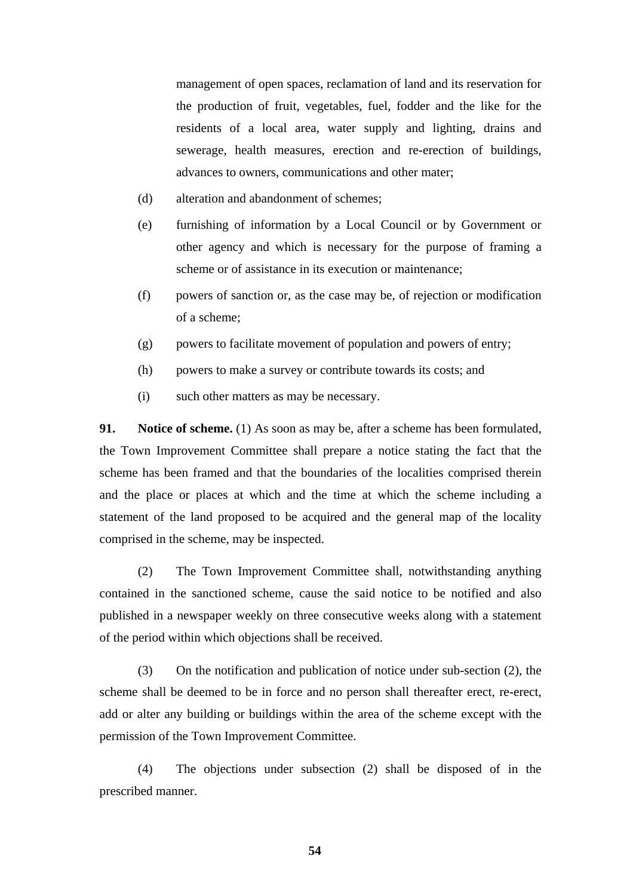management of open spaces, reclamation of land and its reservation for the production of fruit, vegetables, fuel, fodder and the like for the residents of a local area, water supply and lighting, drains and sewerage, health measures, erection and re-erection of buildings, advances to owners, communications and other mater;

- (d) alteration and abandonment of schemes;
- (e) furnishing of information by a Local Council or by Government or other agency and which is necessary for the purpose of framing a scheme or of assistance in its execution or maintenance;
- (f) powers of sanction or, as the case may be, of rejection or modification of a scheme;
- (g) powers to facilitate movement of population and powers of entry;
- (h) powers to make a survey or contribute towards its costs; and
- (i) such other matters as may be necessary.

**91.** Notice of scheme. (1) As soon as may be, after a scheme has been formulated, the Town Improvement Committee shall prepare a notice stating the fact that the scheme has been framed and that the boundaries of the localities comprised therein and the place or places at which and the time at which the scheme including a statement of the land proposed to be acquired and the general map of the locality comprised in the scheme, may be inspected.

(2) The Town Improvement Committee shall, notwithstanding anything contained in the sanctioned scheme, cause the said notice to be notified and also published in a newspaper weekly on three consecutive weeks along with a statement of the period within which objections shall be received.

(3) On the notification and publication of notice under sub-section (2), the scheme shall be deemed to be in force and no person shall thereafter erect, re-erect, add or alter any building or buildings within the area of the scheme except with the permission of the Town Improvement Committee.

(4) The objections under subsection (2) shall be disposed of in the prescribed manner.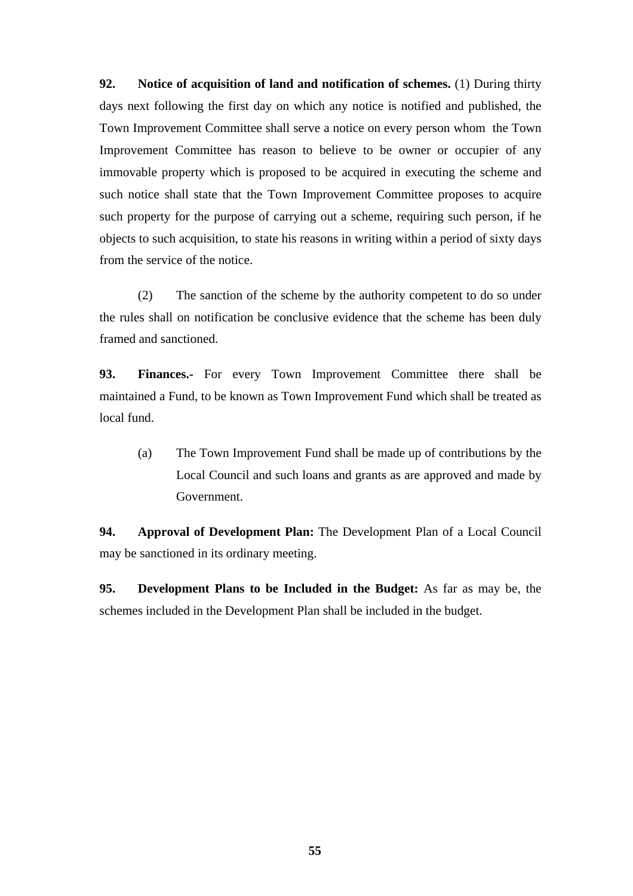**92. Notice of acquisition of land and notification of schemes.** (1) During thirty days next following the first day on which any notice is notified and published, the Town Improvement Committee shall serve a notice on every person whom the Town Improvement Committee has reason to believe to be owner or occupier of any immovable property which is proposed to be acquired in executing the scheme and such notice shall state that the Town Improvement Committee proposes to acquire such property for the purpose of carrying out a scheme, requiring such person, if he objects to such acquisition, to state his reasons in writing within a period of sixty days from the service of the notice.

(2) The sanction of the scheme by the authority competent to do so under the rules shall on notification be conclusive evidence that the scheme has been duly framed and sanctioned.

**93. Finances.-** For every Town Improvement Committee there shall be maintained a Fund, to be known as Town Improvement Fund which shall be treated as local fund.

(a) The Town Improvement Fund shall be made up of contributions by the Local Council and such loans and grants as are approved and made by Government.

**94. Approval of Development Plan:** The Development Plan of a Local Council may be sanctioned in its ordinary meeting.

**95. Development Plans to be Included in the Budget:** As far as may be, the schemes included in the Development Plan shall be included in the budget.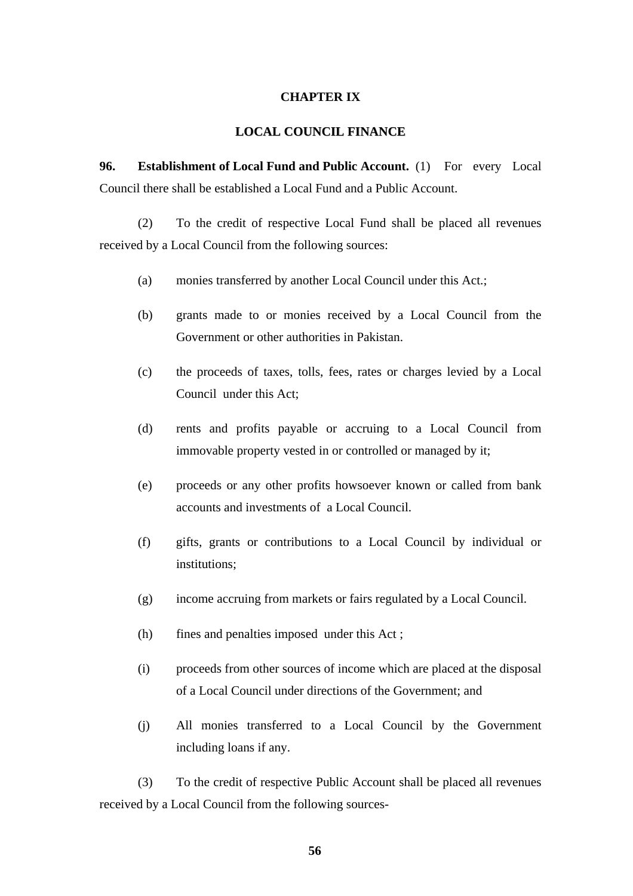### **CHAPTER IX**

#### **LOCAL COUNCIL FINANCE**

**96.** Establishment of Local Fund and Public Account. (1) For every Local Council there shall be established a Local Fund and a Public Account.

(2) To the credit of respective Local Fund shall be placed all revenues received by a Local Council from the following sources:

- (a) monies transferred by another Local Council under this Act.;
- (b) grants made to or monies received by a Local Council from the Government or other authorities in Pakistan.
- (c) the proceeds of taxes, tolls, fees, rates or charges levied by a Local Council under this Act;
- (d) rents and profits payable or accruing to a Local Council from immovable property vested in or controlled or managed by it;
- (e) proceeds or any other profits howsoever known or called from bank accounts and investments of a Local Council.
- (f) gifts, grants or contributions to a Local Council by individual or institutions;
- (g) income accruing from markets or fairs regulated by a Local Council.
- (h) fines and penalties imposed under this Act ;
- (i) proceeds from other sources of income which are placed at the disposal of a Local Council under directions of the Government; and
- (j) All monies transferred to a Local Council by the Government including loans if any.

(3) To the credit of respective Public Account shall be placed all revenues received by a Local Council from the following sources-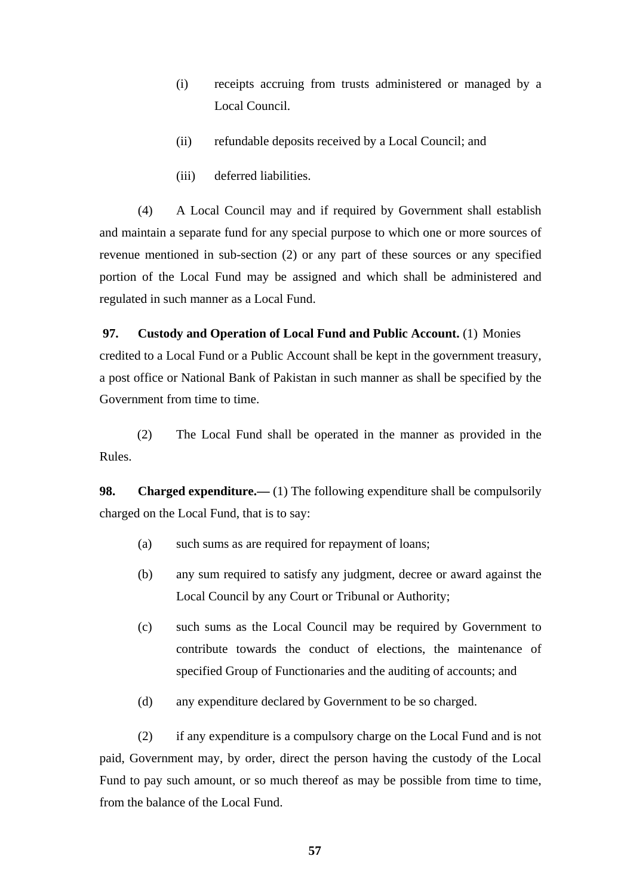- (i) receipts accruing from trusts administered or managed by a Local Council.
- (ii) refundable deposits received by a Local Council; and
- (iii) deferred liabilities.

(4) A Local Council may and if required by Government shall establish and maintain a separate fund for any special purpose to which one or more sources of revenue mentioned in sub-section (2) or any part of these sources or any specified portion of the Local Fund may be assigned and which shall be administered and regulated in such manner as a Local Fund.

### **97. Custody and Operation of Local Fund and Public Account.** (1) Monies

credited to a Local Fund or a Public Account shall be kept in the government treasury, a post office or National Bank of Pakistan in such manner as shall be specified by the Government from time to time.

(2) The Local Fund shall be operated in the manner as provided in the Rules.

**98.** Charged expenditure.— (1) The following expenditure shall be compulsorily charged on the Local Fund, that is to say:

- (a) such sums as are required for repayment of loans;
- (b) any sum required to satisfy any judgment, decree or award against the Local Council by any Court or Tribunal or Authority;
- (c) such sums as the Local Council may be required by Government to contribute towards the conduct of elections, the maintenance of specified Group of Functionaries and the auditing of accounts; and
- (d) any expenditure declared by Government to be so charged.

(2) if any expenditure is a compulsory charge on the Local Fund and is not paid, Government may, by order, direct the person having the custody of the Local Fund to pay such amount, or so much thereof as may be possible from time to time, from the balance of the Local Fund.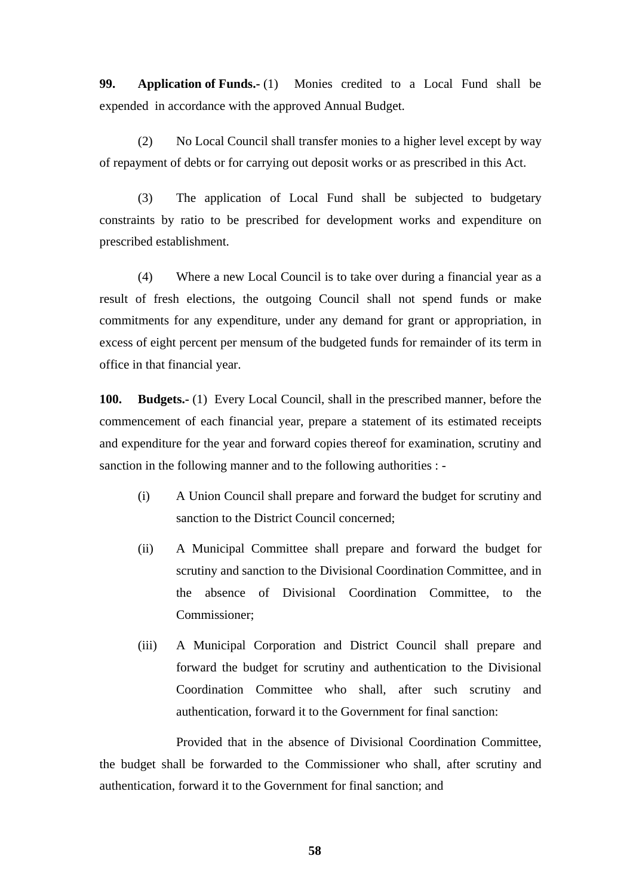**99. Application of Funds.-** (1) Monies credited to a Local Fund shall be expended in accordance with the approved Annual Budget.

(2) No Local Council shall transfer monies to a higher level except by way of repayment of debts or for carrying out deposit works or as prescribed in this Act.

(3) The application of Local Fund shall be subjected to budgetary constraints by ratio to be prescribed for development works and expenditure on prescribed establishment.

(4) Where a new Local Council is to take over during a financial year as a result of fresh elections, the outgoing Council shall not spend funds or make commitments for any expenditure, under any demand for grant or appropriation, in excess of eight percent per mensum of the budgeted funds for remainder of its term in office in that financial year.

**100. Budgets.-** (1) Every Local Council, shall in the prescribed manner, before the commencement of each financial year, prepare a statement of its estimated receipts and expenditure for the year and forward copies thereof for examination, scrutiny and sanction in the following manner and to the following authorities : -

- (i) A Union Council shall prepare and forward the budget for scrutiny and sanction to the District Council concerned;
- (ii) A Municipal Committee shall prepare and forward the budget for scrutiny and sanction to the Divisional Coordination Committee, and in the absence of Divisional Coordination Committee, to the Commissioner;
- (iii) A Municipal Corporation and District Council shall prepare and forward the budget for scrutiny and authentication to the Divisional Coordination Committee who shall, after such scrutiny and authentication, forward it to the Government for final sanction:

Provided that in the absence of Divisional Coordination Committee, the budget shall be forwarded to the Commissioner who shall, after scrutiny and authentication, forward it to the Government for final sanction; and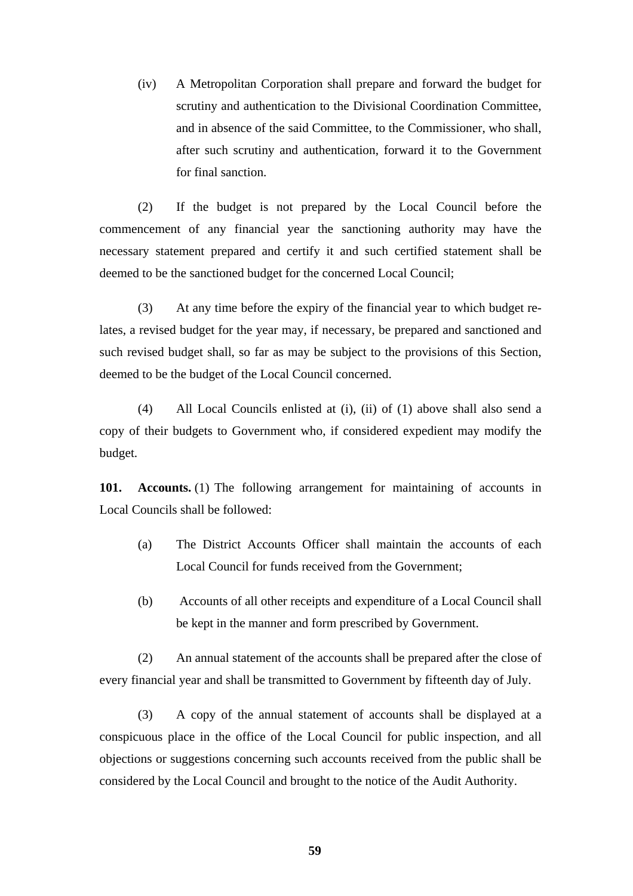(iv) A Metropolitan Corporation shall prepare and forward the budget for scrutiny and authentication to the Divisional Coordination Committee, and in absence of the said Committee, to the Commissioner, who shall, after such scrutiny and authentication, forward it to the Government for final sanction.

(2) If the budget is not prepared by the Local Council before the commencement of any financial year the sanctioning authority may have the necessary statement prepared and certify it and such certified statement shall be deemed to be the sanctioned budget for the concerned Local Council;

(3) At any time before the expiry of the financial year to which budget relates, a revised budget for the year may, if necessary, be prepared and sanctioned and such revised budget shall, so far as may be subject to the provisions of this Section, deemed to be the budget of the Local Council concerned.

(4) All Local Councils enlisted at (i), (ii) of (1) above shall also send a copy of their budgets to Government who, if considered expedient may modify the budget.

**101.** Accounts. (1) The following arrangement for maintaining of accounts in Local Councils shall be followed:

- (a) The District Accounts Officer shall maintain the accounts of each Local Council for funds received from the Government;
- (b) Accounts of all other receipts and expenditure of a Local Council shall be kept in the manner and form prescribed by Government.

(2) An annual statement of the accounts shall be prepared after the close of every financial year and shall be transmitted to Government by fifteenth day of July.

(3) A copy of the annual statement of accounts shall be displayed at a conspicuous place in the office of the Local Council for public inspection, and all objections or suggestions concerning such accounts received from the public shall be considered by the Local Council and brought to the notice of the Audit Authority.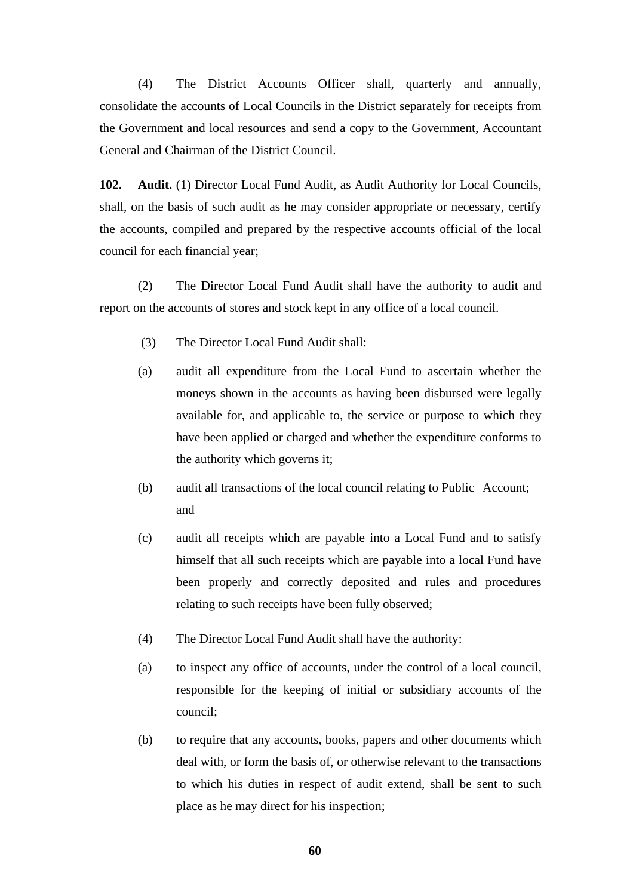(4) The District Accounts Officer shall, quarterly and annually, consolidate the accounts of Local Councils in the District separately for receipts from the Government and local resources and send a copy to the Government, Accountant General and Chairman of the District Council.

**102. Audit.** (1) Director Local Fund Audit, as Audit Authority for Local Councils, shall, on the basis of such audit as he may consider appropriate or necessary, certify the accounts, compiled and prepared by the respective accounts official of the local council for each financial year;

(2) The Director Local Fund Audit shall have the authority to audit and report on the accounts of stores and stock kept in any office of a local council.

- (3) The Director Local Fund Audit shall:
- (a) audit all expenditure from the Local Fund to ascertain whether the moneys shown in the accounts as having been disbursed were legally available for, and applicable to, the service or purpose to which they have been applied or charged and whether the expenditure conforms to the authority which governs it;
- (b) audit all transactions of the local council relating to Public Account; and
- (c) audit all receipts which are payable into a Local Fund and to satisfy himself that all such receipts which are payable into a local Fund have been properly and correctly deposited and rules and procedures relating to such receipts have been fully observed;
- (4) The Director Local Fund Audit shall have the authority:
- (a) to inspect any office of accounts, under the control of a local council, responsible for the keeping of initial or subsidiary accounts of the council;
- (b) to require that any accounts, books, papers and other documents which deal with, or form the basis of, or otherwise relevant to the transactions to which his duties in respect of audit extend, shall be sent to such place as he may direct for his inspection;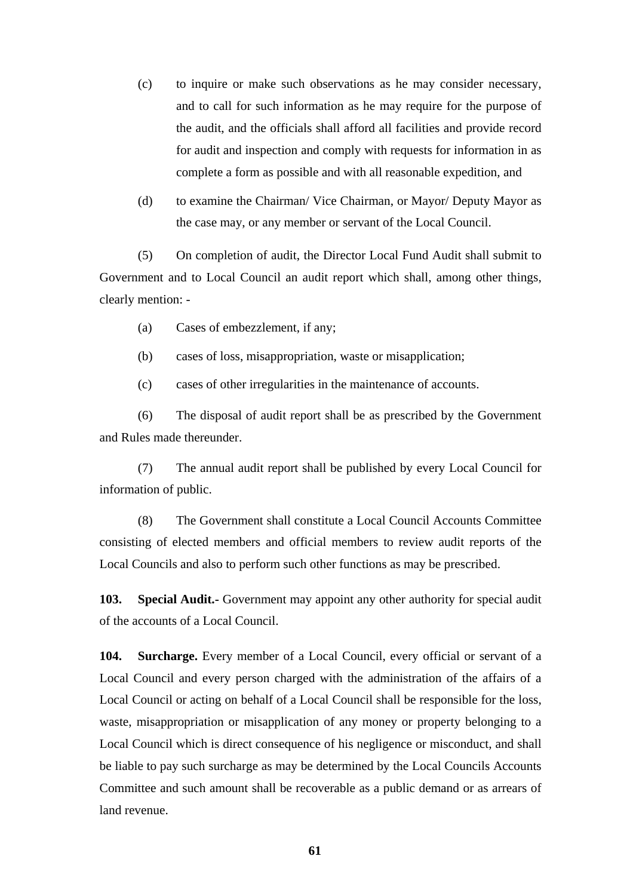- (c) to inquire or make such observations as he may consider necessary, and to call for such information as he may require for the purpose of the audit, and the officials shall afford all facilities and provide record for audit and inspection and comply with requests for information in as complete a form as possible and with all reasonable expedition, and
- (d) to examine the Chairman/ Vice Chairman, or Mayor/ Deputy Mayor as the case may, or any member or servant of the Local Council.

(5) On completion of audit, the Director Local Fund Audit shall submit to Government and to Local Council an audit report which shall, among other things, clearly mention: -

- (a) Cases of embezzlement, if any;
- (b) cases of loss, misappropriation, waste or misapplication;

(c) cases of other irregularities in the maintenance of accounts.

(6) The disposal of audit report shall be as prescribed by the Government and Rules made thereunder.

(7) The annual audit report shall be published by every Local Council for information of public.

(8) The Government shall constitute a Local Council Accounts Committee consisting of elected members and official members to review audit reports of the Local Councils and also to perform such other functions as may be prescribed.

**103. Special Audit.-** Government may appoint any other authority for special audit of the accounts of a Local Council.

**104. Surcharge.** Every member of a Local Council, every official or servant of a Local Council and every person charged with the administration of the affairs of a Local Council or acting on behalf of a Local Council shall be responsible for the loss, waste, misappropriation or misapplication of any money or property belonging to a Local Council which is direct consequence of his negligence or misconduct, and shall be liable to pay such surcharge as may be determined by the Local Councils Accounts Committee and such amount shall be recoverable as a public demand or as arrears of land revenue.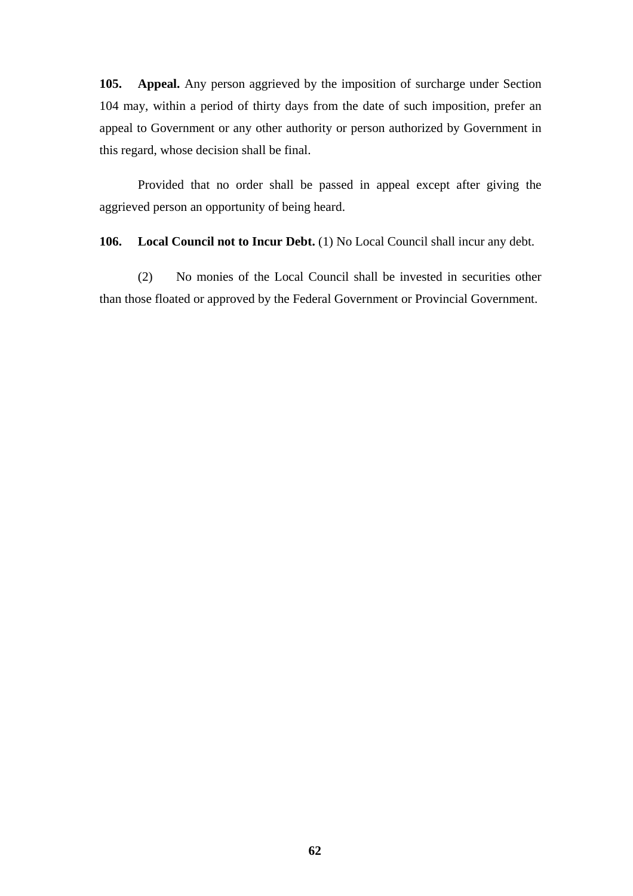**105. Appeal.** Any person aggrieved by the imposition of surcharge under Section 104 may, within a period of thirty days from the date of such imposition, prefer an appeal to Government or any other authority or person authorized by Government in this regard, whose decision shall be final.

Provided that no order shall be passed in appeal except after giving the aggrieved person an opportunity of being heard.

**106.** Local Council not to Incur Debt. (1) No Local Council shall incur any debt.

(2) No monies of the Local Council shall be invested in securities other than those floated or approved by the Federal Government or Provincial Government.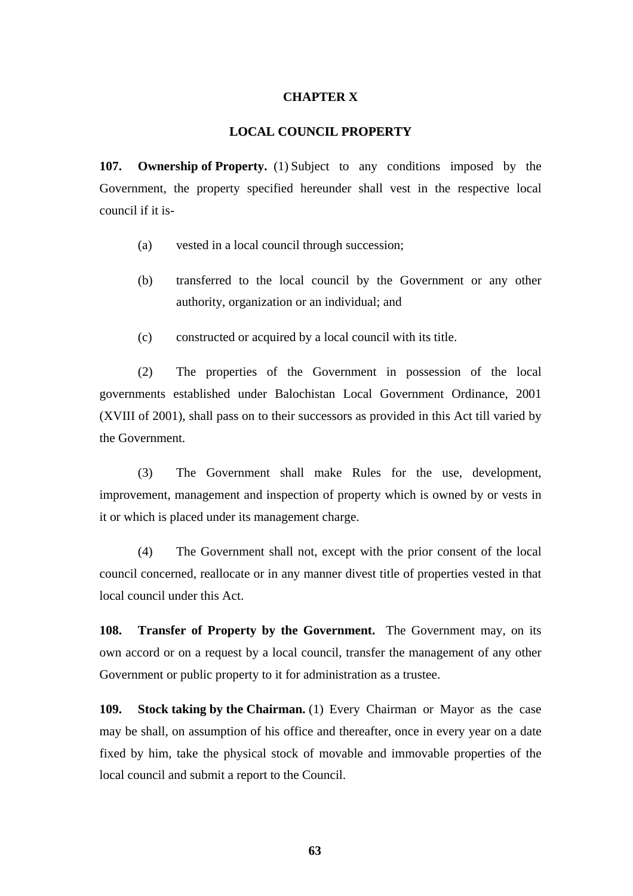### **CHAPTER X**

#### **LOCAL COUNCIL PROPERTY**

**107. Ownership of Property.** (1) Subject to any conditions imposed by the Government, the property specified hereunder shall vest in the respective local council if it is-

- (a) vested in a local council through succession;
- (b) transferred to the local council by the Government or any other authority, organization or an individual; and
- (c) constructed or acquired by a local council with its title.

(2) The properties of the Government in possession of the local governments established under Balochistan Local Government Ordinance, 2001 (XVIII of 2001), shall pass on to their successors as provided in this Act till varied by the Government.

(3) The Government shall make Rules for the use, development, improvement, management and inspection of property which is owned by or vests in it or which is placed under its management charge.

(4) The Government shall not, except with the prior consent of the local council concerned, reallocate or in any manner divest title of properties vested in that local council under this Act.

**108. Transfer of Property by the Government.** The Government may, on its own accord or on a request by a local council, transfer the management of any other Government or public property to it for administration as a trustee.

**109. Stock taking by the Chairman.** (1) Every Chairman or Mayor as the case may be shall, on assumption of his office and thereafter, once in every year on a date fixed by him, take the physical stock of movable and immovable properties of the local council and submit a report to the Council.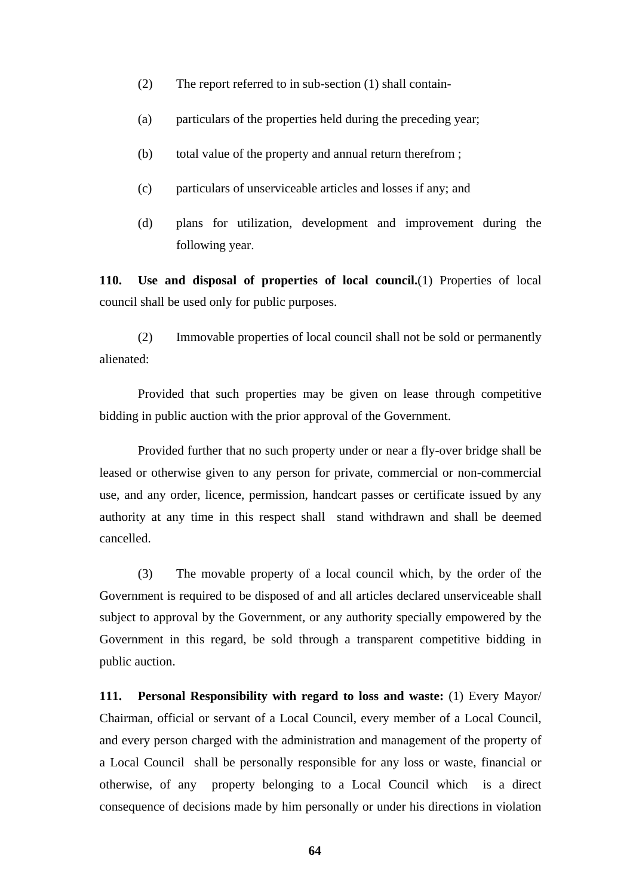- (2) The report referred to in sub-section (1) shall contain-
- (a) particulars of the properties held during the preceding year;
- (b) total value of the property and annual return therefrom ;
- (c) particulars of unserviceable articles and losses if any; and
- (d) plans for utilization, development and improvement during the following year.

**110. Use and disposal of properties of local council.**(1) Properties of local council shall be used only for public purposes.

(2) Immovable properties of local council shall not be sold or permanently alienated:

Provided that such properties may be given on lease through competitive bidding in public auction with the prior approval of the Government.

Provided further that no such property under or near a fly-over bridge shall be leased or otherwise given to any person for private, commercial or non-commercial use, and any order, licence, permission, handcart passes or certificate issued by any authority at any time in this respect shall stand withdrawn and shall be deemed cancelled.

(3) The movable property of a local council which, by the order of the Government is required to be disposed of and all articles declared unserviceable shall subject to approval by the Government, or any authority specially empowered by the Government in this regard, be sold through a transparent competitive bidding in public auction.

**111. Personal Responsibility with regard to loss and waste:** (1) Every Mayor/ Chairman, official or servant of a Local Council, every member of a Local Council, and every person charged with the administration and management of the property of a Local Council shall be personally responsible for any loss or waste, financial or otherwise, of any property belonging to a Local Council which is a direct consequence of decisions made by him personally or under his directions in violation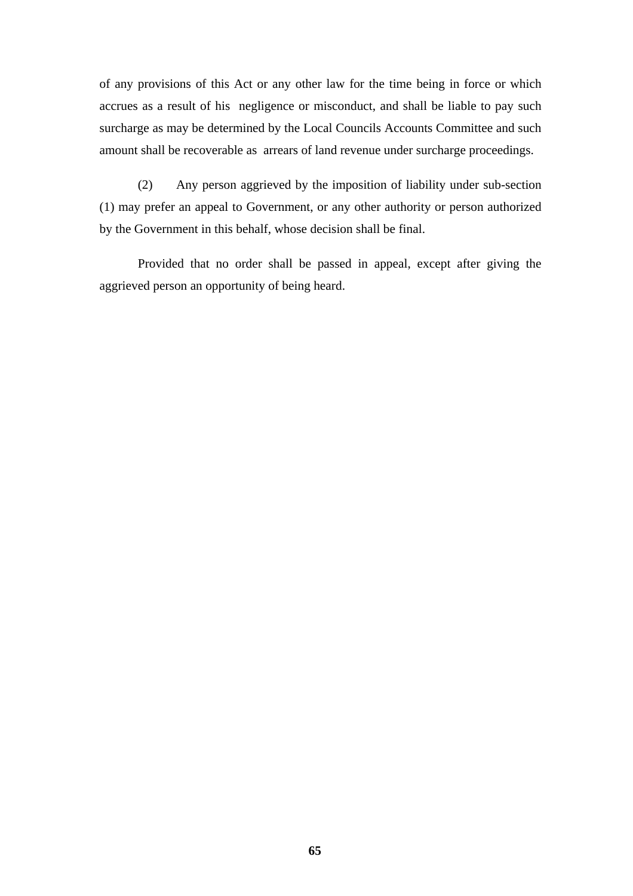of any provisions of this Act or any other law for the time being in force or which accrues as a result of his negligence or misconduct, and shall be liable to pay such surcharge as may be determined by the Local Councils Accounts Committee and such amount shall be recoverable as arrears of land revenue under surcharge proceedings.

(2) Any person aggrieved by the imposition of liability under sub-section (1) may prefer an appeal to Government, or any other authority or person authorized by the Government in this behalf, whose decision shall be final.

Provided that no order shall be passed in appeal, except after giving the aggrieved person an opportunity of being heard.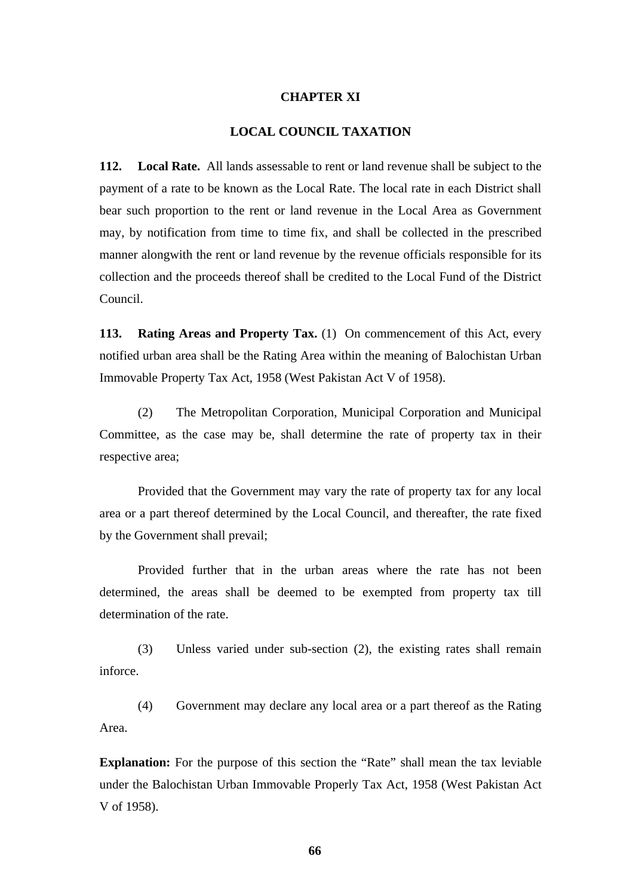#### **CHAPTER XI**

### **LOCAL COUNCIL TAXATION**

**112. Local Rate.** All lands assessable to rent or land revenue shall be subject to the payment of a rate to be known as the Local Rate. The local rate in each District shall bear such proportion to the rent or land revenue in the Local Area as Government may, by notification from time to time fix, and shall be collected in the prescribed manner alongwith the rent or land revenue by the revenue officials responsible for its collection and the proceeds thereof shall be credited to the Local Fund of the District Council.

**113. Rating Areas and Property Tax.** (1) On commencement of this Act, every notified urban area shall be the Rating Area within the meaning of Balochistan Urban Immovable Property Tax Act, 1958 (West Pakistan Act V of 1958).

(2) The Metropolitan Corporation, Municipal Corporation and Municipal Committee, as the case may be, shall determine the rate of property tax in their respective area;

Provided that the Government may vary the rate of property tax for any local area or a part thereof determined by the Local Council, and thereafter, the rate fixed by the Government shall prevail;

Provided further that in the urban areas where the rate has not been determined, the areas shall be deemed to be exempted from property tax till determination of the rate.

(3) Unless varied under sub-section (2), the existing rates shall remain inforce.

(4) Government may declare any local area or a part thereof as the Rating Area.

**Explanation:** For the purpose of this section the "Rate" shall mean the tax leviable under the Balochistan Urban Immovable Properly Tax Act, 1958 (West Pakistan Act V of 1958).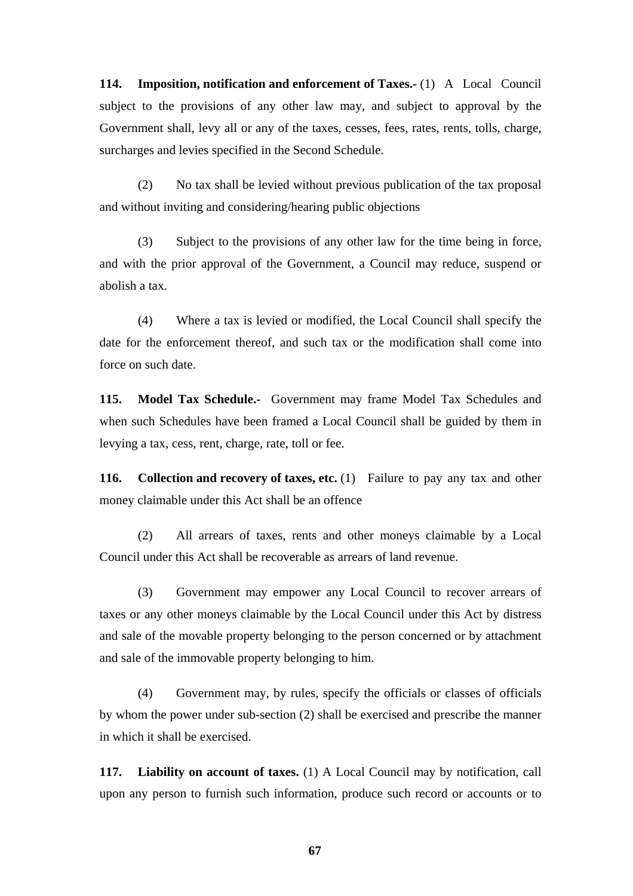**114. Imposition, notification and enforcement of Taxes.-** (1) A Local Council subject to the provisions of any other law may, and subject to approval by the Government shall, levy all or any of the taxes, cesses, fees, rates, rents, tolls, charge, surcharges and levies specified in the Second Schedule.

(2) No tax shall be levied without previous publication of the tax proposal and without inviting and considering/hearing public objections

(3) Subject to the provisions of any other law for the time being in force, and with the prior approval of the Government, a Council may reduce, suspend or abolish a tax.

(4) Where a tax is levied or modified, the Local Council shall specify the date for the enforcement thereof, and such tax or the modification shall come into force on such date.

**115. Model Tax Schedule.-** Government may frame Model Tax Schedules and when such Schedules have been framed a Local Council shall be guided by them in levying a tax, cess, rent, charge, rate, toll or fee.

**116.** Collection and recovery of taxes, etc. (1) Failure to pay any tax and other money claimable under this Act shall be an offence

(2) All arrears of taxes, rents and other moneys claimable by a Local Council under this Act shall be recoverable as arrears of land revenue.

(3) Government may empower any Local Council to recover arrears of taxes or any other moneys claimable by the Local Council under this Act by distress and sale of the movable property belonging to the person concerned or by attachment and sale of the immovable property belonging to him.

(4) Government may, by rules, specify the officials or classes of officials by whom the power under sub-section (2) shall be exercised and prescribe the manner in which it shall be exercised.

**117. Liability on account of taxes.** (1) A Local Council may by notification, call upon any person to furnish such information, produce such record or accounts or to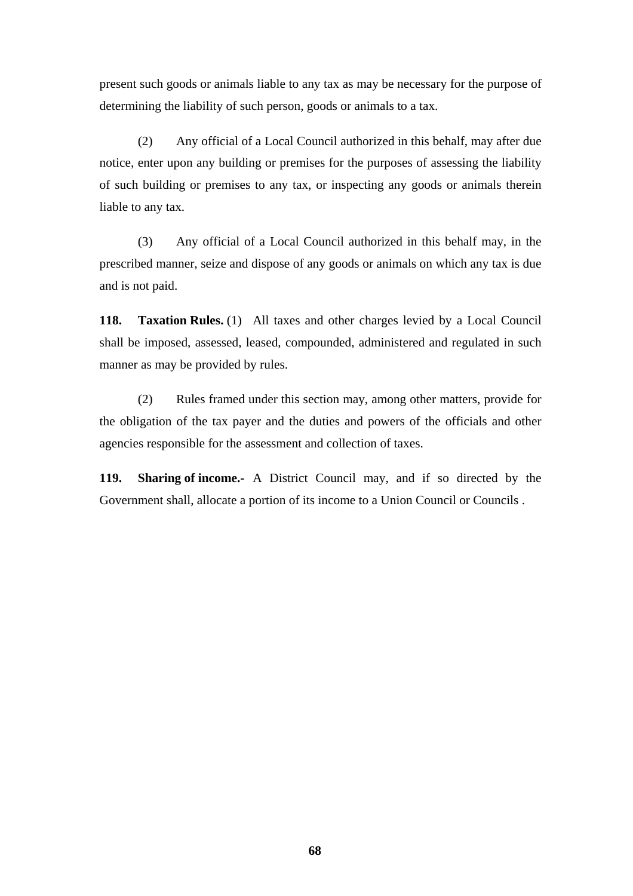present such goods or animals liable to any tax as may be necessary for the purpose of determining the liability of such person, goods or animals to a tax.

(2) Any official of a Local Council authorized in this behalf, may after due notice, enter upon any building or premises for the purposes of assessing the liability of such building or premises to any tax, or inspecting any goods or animals therein liable to any tax.

(3) Any official of a Local Council authorized in this behalf may, in the prescribed manner, seize and dispose of any goods or animals on which any tax is due and is not paid.

**118. Taxation Rules.** (1) All taxes and other charges levied by a Local Council shall be imposed, assessed, leased, compounded, administered and regulated in such manner as may be provided by rules.

(2) Rules framed under this section may, among other matters, provide for the obligation of the tax payer and the duties and powers of the officials and other agencies responsible for the assessment and collection of taxes.

**119. Sharing of income.-** A District Council may, and if so directed by the Government shall, allocate a portion of its income to a Union Council or Councils .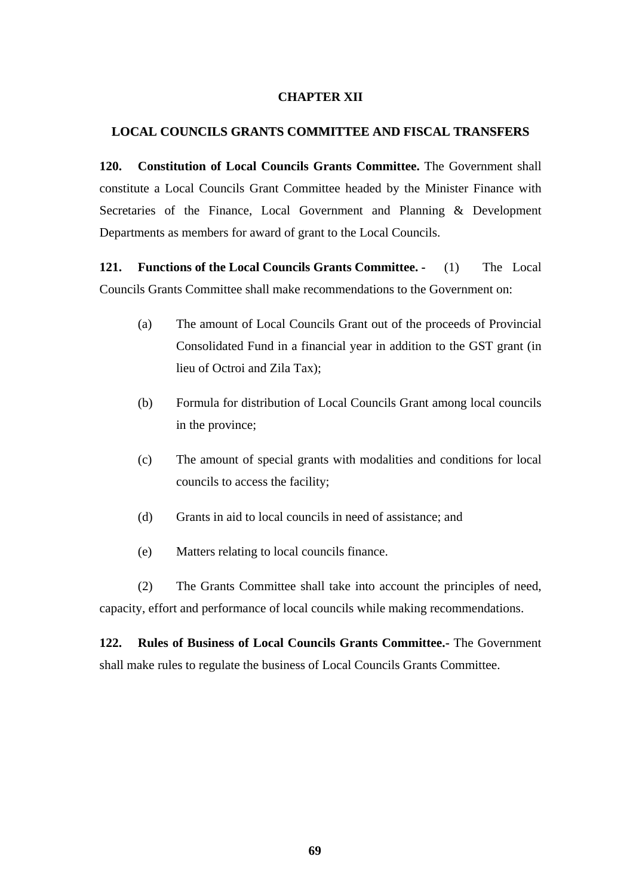## **CHAPTER XII**

## **LOCAL COUNCILS GRANTS COMMITTEE AND FISCAL TRANSFERS**

**120. Constitution of Local Councils Grants Committee.** The Government shall constitute a Local Councils Grant Committee headed by the Minister Finance with Secretaries of the Finance, Local Government and Planning & Development Departments as members for award of grant to the Local Councils.

**121. Functions of the Local Councils Grants Committee. -** (1) The Local Councils Grants Committee shall make recommendations to the Government on:

- (a) The amount of Local Councils Grant out of the proceeds of Provincial Consolidated Fund in a financial year in addition to the GST grant (in lieu of Octroi and Zila Tax);
- (b) Formula for distribution of Local Councils Grant among local councils in the province;
- (c) The amount of special grants with modalities and conditions for local councils to access the facility;
- (d) Grants in aid to local councils in need of assistance; and
- (e) Matters relating to local councils finance.

(2) The Grants Committee shall take into account the principles of need, capacity, effort and performance of local councils while making recommendations.

**122. Rules of Business of Local Councils Grants Committee.-** The Government shall make rules to regulate the business of Local Councils Grants Committee.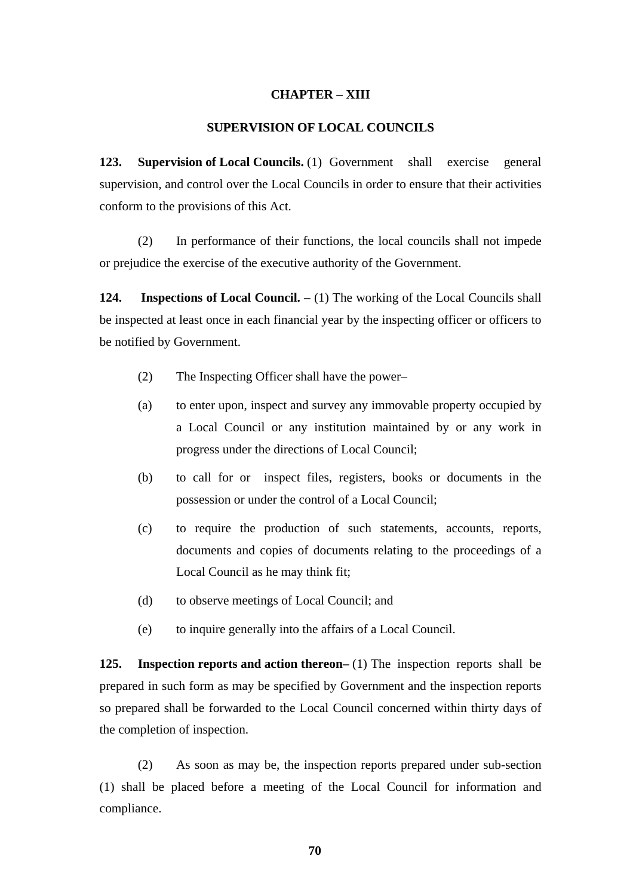## **CHAPTER – XIII**

## **SUPERVISION OF LOCAL COUNCILS**

**123. Supervision of Local Councils.** (1) Government shall exercise general supervision, and control over the Local Councils in order to ensure that their activities conform to the provisions of this Act.

(2) In performance of their functions, the local councils shall not impede or prejudice the exercise of the executive authority of the Government.

**124.** Inspections of Local Council. – (1) The working of the Local Councils shall be inspected at least once in each financial year by the inspecting officer or officers to be notified by Government.

- (2) The Inspecting Officer shall have the power–
- (a) to enter upon, inspect and survey any immovable property occupied by a Local Council or any institution maintained by or any work in progress under the directions of Local Council;
- (b) to call for or inspect files, registers, books or documents in the possession or under the control of a Local Council;
- (c) to require the production of such statements, accounts, reports, documents and copies of documents relating to the proceedings of a Local Council as he may think fit;
- (d) to observe meetings of Local Council; and
- (e) to inquire generally into the affairs of a Local Council.

**125.** Inspection reports and action thereon– (1) The inspection reports shall be prepared in such form as may be specified by Government and the inspection reports so prepared shall be forwarded to the Local Council concerned within thirty days of the completion of inspection.

(2) As soon as may be, the inspection reports prepared under sub-section (1) shall be placed before a meeting of the Local Council for information and compliance.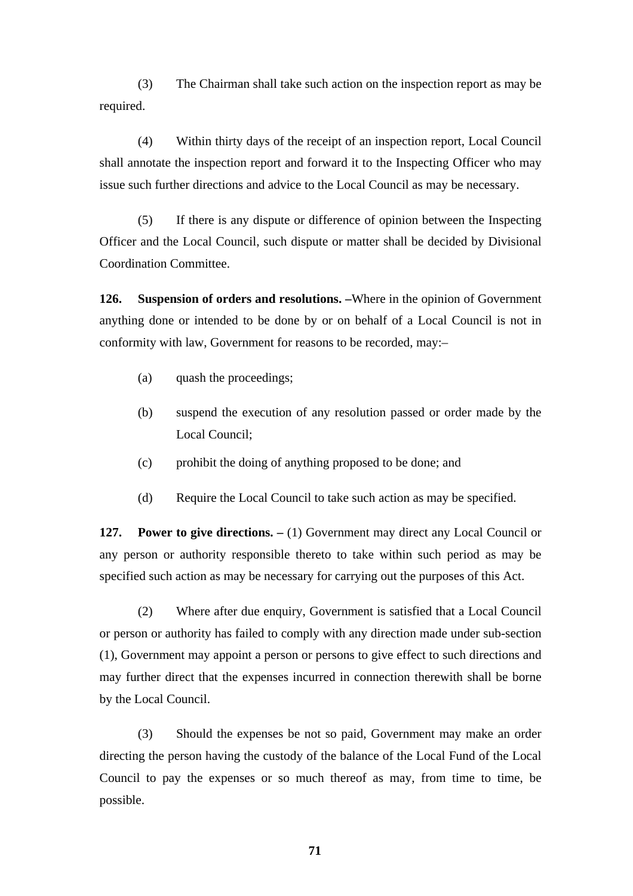(3) The Chairman shall take such action on the inspection report as may be required.

(4) Within thirty days of the receipt of an inspection report, Local Council shall annotate the inspection report and forward it to the Inspecting Officer who may issue such further directions and advice to the Local Council as may be necessary.

(5) If there is any dispute or difference of opinion between the Inspecting Officer and the Local Council, such dispute or matter shall be decided by Divisional Coordination Committee.

**126. Suspension of orders and resolutions. –**Where in the opinion of Government anything done or intended to be done by or on behalf of a Local Council is not in conformity with law, Government for reasons to be recorded, may:–

- (a) quash the proceedings;
- (b) suspend the execution of any resolution passed or order made by the Local Council;
- (c) prohibit the doing of anything proposed to be done; and
- (d) Require the Local Council to take such action as may be specified.

**127.** Power to give directions.  $- (1)$  Government may direct any Local Council or any person or authority responsible thereto to take within such period as may be specified such action as may be necessary for carrying out the purposes of this Act.

(2) Where after due enquiry, Government is satisfied that a Local Council or person or authority has failed to comply with any direction made under sub-section (1), Government may appoint a person or persons to give effect to such directions and may further direct that the expenses incurred in connection therewith shall be borne by the Local Council.

(3) Should the expenses be not so paid, Government may make an order directing the person having the custody of the balance of the Local Fund of the Local Council to pay the expenses or so much thereof as may, from time to time, be possible.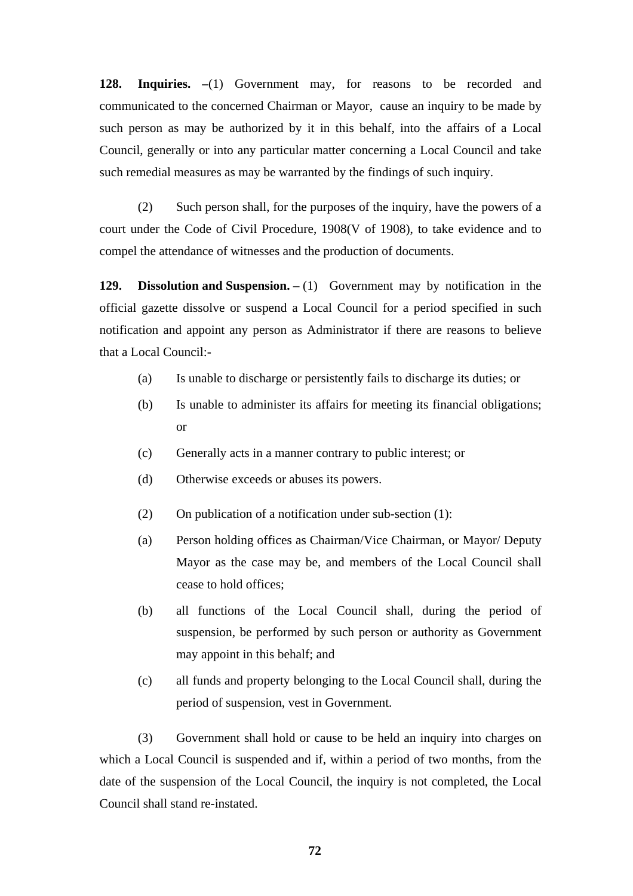**128. Inquiries. –**(1) Government may, for reasons to be recorded and communicated to the concerned Chairman or Mayor, cause an inquiry to be made by such person as may be authorized by it in this behalf, into the affairs of a Local Council, generally or into any particular matter concerning a Local Council and take such remedial measures as may be warranted by the findings of such inquiry.

(2) Such person shall, for the purposes of the inquiry, have the powers of a court under the Code of Civil Procedure, 1908(V of 1908), to take evidence and to compel the attendance of witnesses and the production of documents.

**129.** Dissolution and Suspension.  $- (1)$  Government may by notification in the official gazette dissolve or suspend a Local Council for a period specified in such notification and appoint any person as Administrator if there are reasons to believe that a Local Council:-

- (a) Is unable to discharge or persistently fails to discharge its duties; or
- (b) Is unable to administer its affairs for meeting its financial obligations; or
- (c) Generally acts in a manner contrary to public interest; or
- (d) Otherwise exceeds or abuses its powers.
- (2) On publication of a notification under sub-section (1):
- (a) Person holding offices as Chairman/Vice Chairman, or Mayor/ Deputy Mayor as the case may be, and members of the Local Council shall cease to hold offices;
- (b) all functions of the Local Council shall, during the period of suspension, be performed by such person or authority as Government may appoint in this behalf; and
- (c) all funds and property belonging to the Local Council shall, during the period of suspension, vest in Government.

(3) Government shall hold or cause to be held an inquiry into charges on which a Local Council is suspended and if, within a period of two months, from the date of the suspension of the Local Council, the inquiry is not completed, the Local Council shall stand re-instated.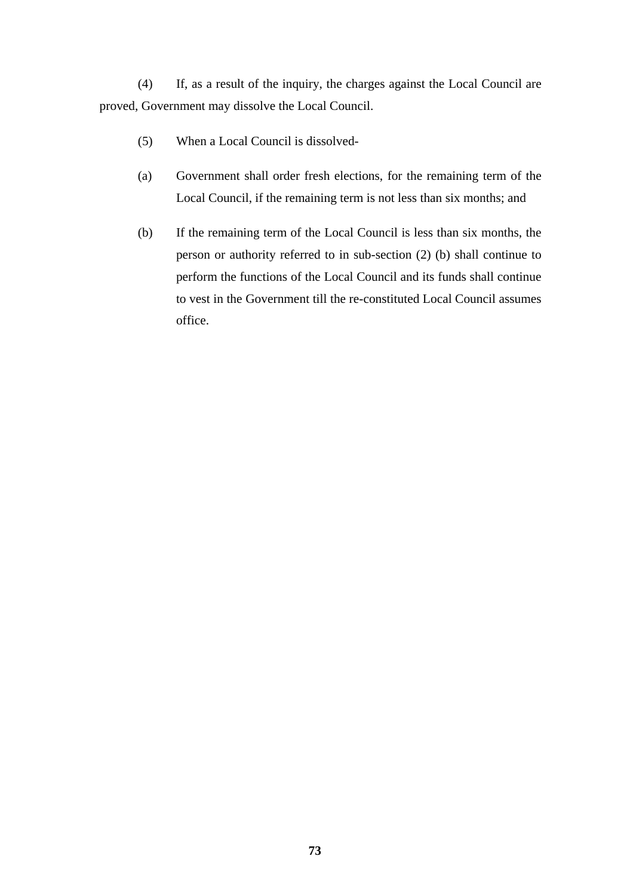(4) If, as a result of the inquiry, the charges against the Local Council are proved, Government may dissolve the Local Council.

- (5) When a Local Council is dissolved-
- (a) Government shall order fresh elections, for the remaining term of the Local Council, if the remaining term is not less than six months; and
- (b) If the remaining term of the Local Council is less than six months, the person or authority referred to in sub-section (2) (b) shall continue to perform the functions of the Local Council and its funds shall continue to vest in the Government till the re-constituted Local Council assumes office.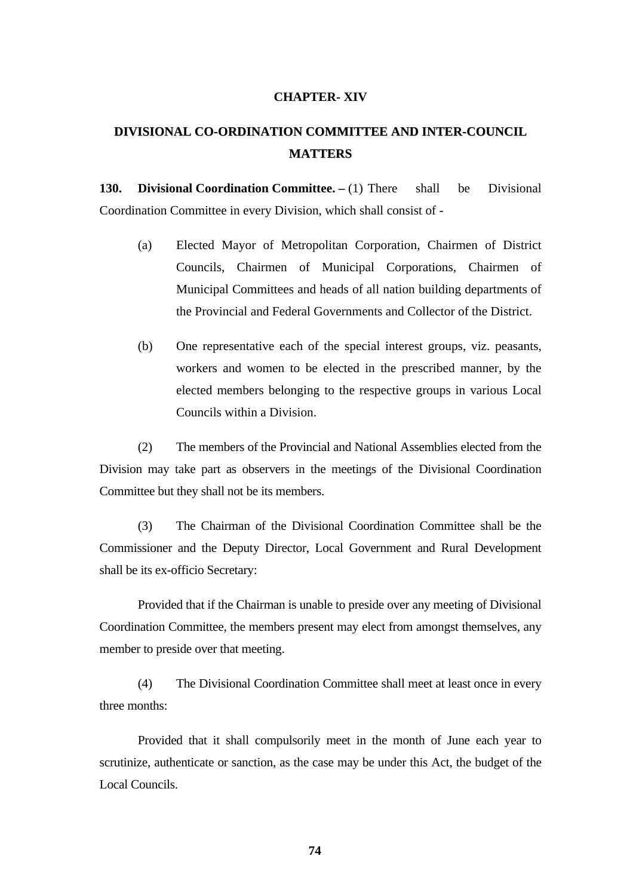#### **CHAPTER- XIV**

# **DIVISIONAL CO-ORDINATION COMMITTEE AND INTER-COUNCIL MATTERS**

**130. Divisional Coordination Committee.** – (1) There shall be Divisional Coordination Committee in every Division, which shall consist of -

- (a) Elected Mayor of Metropolitan Corporation, Chairmen of District Councils, Chairmen of Municipal Corporations, Chairmen of Municipal Committees and heads of all nation building departments of the Provincial and Federal Governments and Collector of the District.
- (b) One representative each of the special interest groups, viz. peasants, workers and women to be elected in the prescribed manner, by the elected members belonging to the respective groups in various Local Councils within a Division.

(2) The members of the Provincial and National Assemblies elected from the Division may take part as observers in the meetings of the Divisional Coordination Committee but they shall not be its members.

(3) The Chairman of the Divisional Coordination Committee shall be the Commissioner and the Deputy Director, Local Government and Rural Development shall be its ex-officio Secretary:

Provided that if the Chairman is unable to preside over any meeting of Divisional Coordination Committee, the members present may elect from amongst themselves, any member to preside over that meeting.

(4) The Divisional Coordination Committee shall meet at least once in every three months:

Provided that it shall compulsorily meet in the month of June each year to scrutinize, authenticate or sanction, as the case may be under this Act, the budget of the Local Councils.

**74**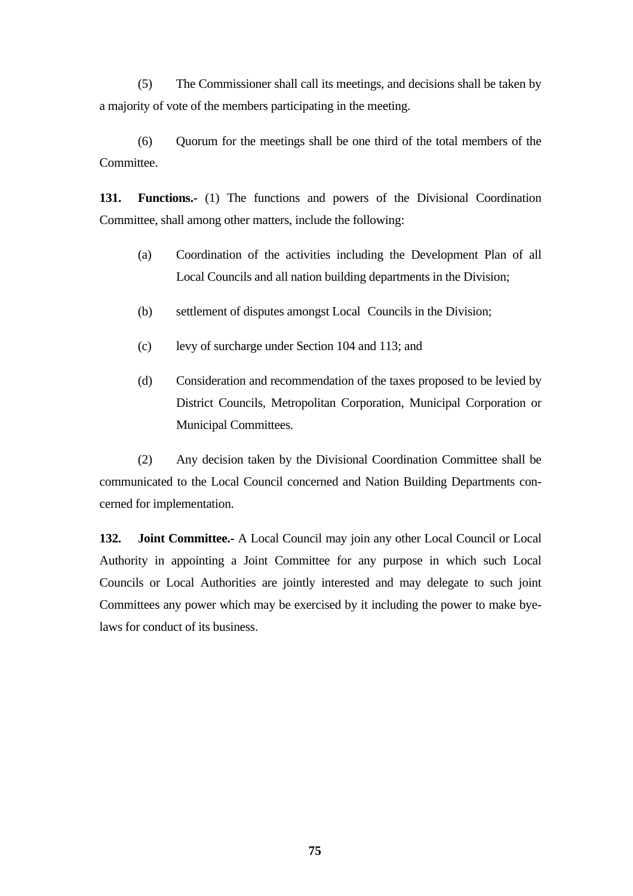(5) The Commissioner shall call its meetings, and decisions shall be taken by a majority of vote of the members participating in the meeting.

(6) Quorum for the meetings shall be one third of the total members of the Committee.

**131. Functions.-** (1) The functions and powers of the Divisional Coordination Committee, shall among other matters, include the following:

- (a) Coordination of the activities including the Development Plan of all Local Councils and all nation building departments in the Division;
- (b) settlement of disputes amongst Local Councils in the Division;
- (c) levy of surcharge under Section 104 and 113; and
- (d) Consideration and recommendation of the taxes proposed to be levied by District Councils, Metropolitan Corporation, Municipal Corporation or Municipal Committees.

(2) Any decision taken by the Divisional Coordination Committee shall be communicated to the Local Council concerned and Nation Building Departments concerned for implementation.

**132. Joint Committee.-** A Local Council may join any other Local Council or Local Authority in appointing a Joint Committee for any purpose in which such Local Councils or Local Authorities are jointly interested and may delegate to such joint Committees any power which may be exercised by it including the power to make byelaws for conduct of its business.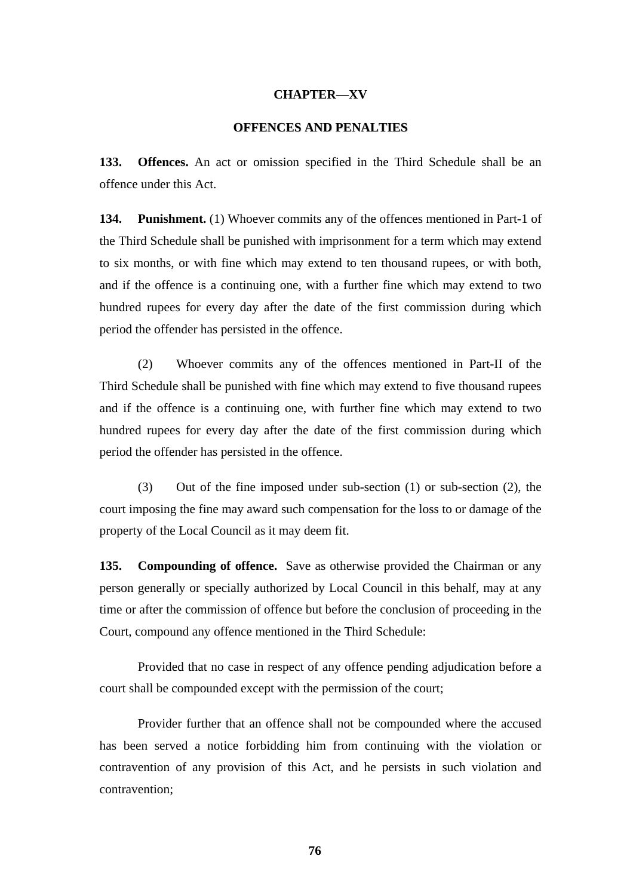#### **CHAPTER—XV**

#### **OFFENCES AND PENALTIES**

**133. Offences.** An act or omission specified in the Third Schedule shall be an offence under this Act.

**134. Punishment.** (1) Whoever commits any of the offences mentioned in Part-1 of the Third Schedule shall be punished with imprisonment for a term which may extend to six months, or with fine which may extend to ten thousand rupees, or with both, and if the offence is a continuing one, with a further fine which may extend to two hundred rupees for every day after the date of the first commission during which period the offender has persisted in the offence.

(2) Whoever commits any of the offences mentioned in Part-II of the Third Schedule shall be punished with fine which may extend to five thousand rupees and if the offence is a continuing one, with further fine which may extend to two hundred rupees for every day after the date of the first commission during which period the offender has persisted in the offence.

(3) Out of the fine imposed under sub-section (1) or sub-section (2), the court imposing the fine may award such compensation for the loss to or damage of the property of the Local Council as it may deem fit.

**135. Compounding of offence.** Save as otherwise provided the Chairman or any person generally or specially authorized by Local Council in this behalf, may at any time or after the commission of offence but before the conclusion of proceeding in the Court, compound any offence mentioned in the Third Schedule:

Provided that no case in respect of any offence pending adjudication before a court shall be compounded except with the permission of the court;

Provider further that an offence shall not be compounded where the accused has been served a notice forbidding him from continuing with the violation or contravention of any provision of this Act, and he persists in such violation and contravention;

**76**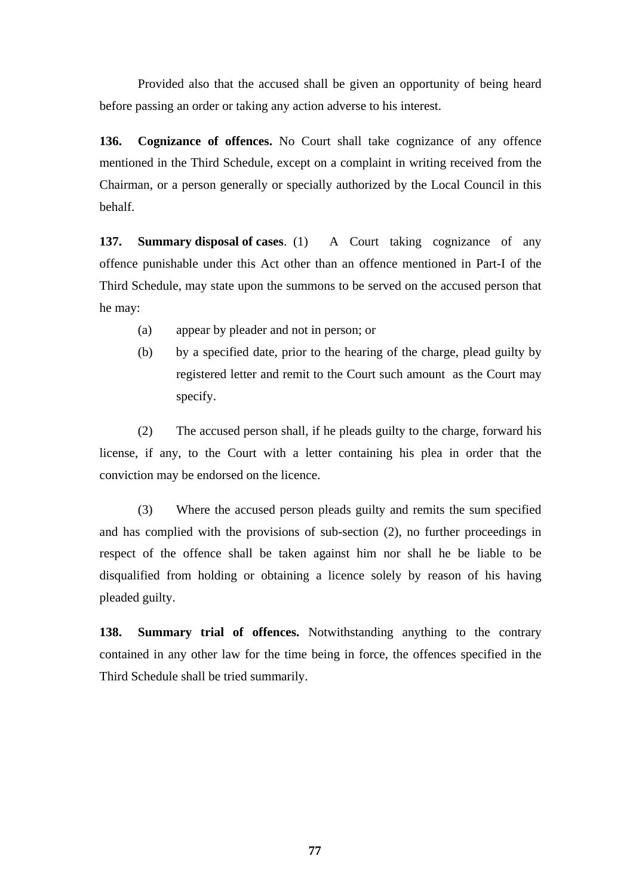Provided also that the accused shall be given an opportunity of being heard before passing an order or taking any action adverse to his interest.

**136. Cognizance of offences.** No Court shall take cognizance of any offence mentioned in the Third Schedule, except on a complaint in writing received from the Chairman, or a person generally or specially authorized by the Local Council in this behalf.

**137. Summary disposal of cases.** (1) A Court taking cognizance of any offence punishable under this Act other than an offence mentioned in Part-I of the Third Schedule, may state upon the summons to be served on the accused person that he may:

- (a) appear by pleader and not in person; or
- (b) by a specified date, prior to the hearing of the charge, plead guilty by registered letter and remit to the Court such amount as the Court may specify.

(2) The accused person shall, if he pleads guilty to the charge, forward his license, if any, to the Court with a letter containing his plea in order that the conviction may be endorsed on the licence.

(3) Where the accused person pleads guilty and remits the sum specified and has complied with the provisions of sub-section (2), no further proceedings in respect of the offence shall be taken against him nor shall he be liable to be disqualified from holding or obtaining a licence solely by reason of his having pleaded guilty.

**138. Summary trial of offences.** Notwithstanding anything to the contrary contained in any other law for the time being in force, the offences specified in the Third Schedule shall be tried summarily.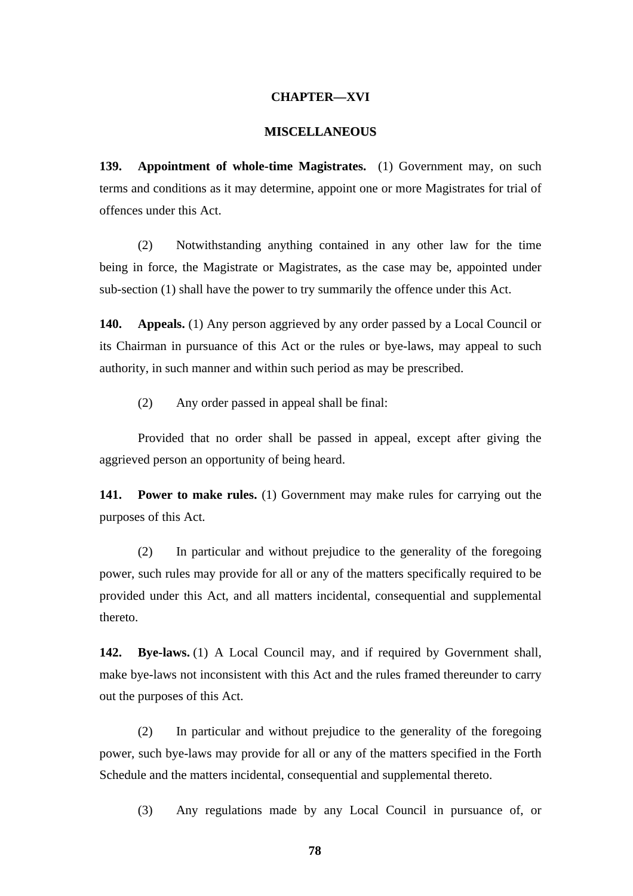#### **CHAPTER—XVI**

#### **MISCELLANEOUS**

**139. Appointment of whole-time Magistrates.** (1) Government may, on such terms and conditions as it may determine, appoint one or more Magistrates for trial of offences under this Act.

(2) Notwithstanding anything contained in any other law for the time being in force, the Magistrate or Magistrates, as the case may be, appointed under sub-section (1) shall have the power to try summarily the offence under this Act.

**140. Appeals.** (1) Any person aggrieved by any order passed by a Local Council or its Chairman in pursuance of this Act or the rules or bye-laws, may appeal to such authority, in such manner and within such period as may be prescribed.

(2) Any order passed in appeal shall be final:

Provided that no order shall be passed in appeal, except after giving the aggrieved person an opportunity of being heard.

**141.** Power to make rules. (1) Government may make rules for carrying out the purposes of this Act.

(2) In particular and without prejudice to the generality of the foregoing power, such rules may provide for all or any of the matters specifically required to be provided under this Act, and all matters incidental, consequential and supplemental thereto.

**142. Bye-laws.** (1) A Local Council may, and if required by Government shall, make bye-laws not inconsistent with this Act and the rules framed thereunder to carry out the purposes of this Act.

(2) In particular and without prejudice to the generality of the foregoing power, such bye-laws may provide for all or any of the matters specified in the Forth Schedule and the matters incidental, consequential and supplemental thereto.

(3) Any regulations made by any Local Council in pursuance of, or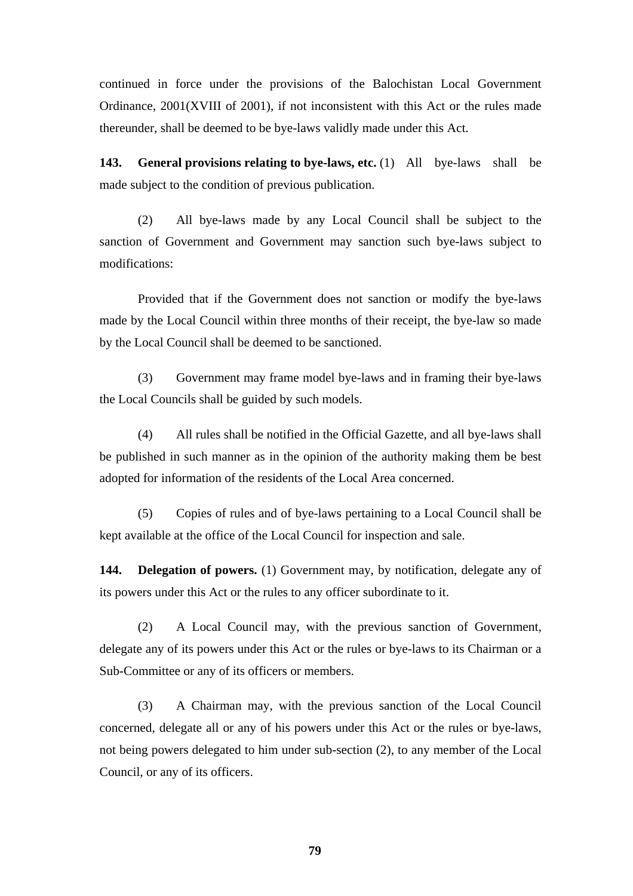continued in force under the provisions of the Balochistan Local Government Ordinance, 2001(XVIII of 2001), if not inconsistent with this Act or the rules made thereunder, shall be deemed to be bye-laws validly made under this Act.

**143.** General provisions relating to bye-laws, etc. (1) All bye-laws shall be made subject to the condition of previous publication.

(2) All bye-laws made by any Local Council shall be subject to the sanction of Government and Government may sanction such bye-laws subject to modifications:

Provided that if the Government does not sanction or modify the bye-laws made by the Local Council within three months of their receipt, the bye-law so made by the Local Council shall be deemed to be sanctioned.

(3) Government may frame model bye-laws and in framing their bye-laws the Local Councils shall be guided by such models.

(4) All rules shall be notified in the Official Gazette, and all bye-laws shall be published in such manner as in the opinion of the authority making them be best adopted for information of the residents of the Local Area concerned.

(5) Copies of rules and of bye-laws pertaining to a Local Council shall be kept available at the office of the Local Council for inspection and sale.

144. **Delegation of powers.** (1) Government may, by notification, delegate any of its powers under this Act or the rules to any officer subordinate to it.

(2) A Local Council may, with the previous sanction of Government, delegate any of its powers under this Act or the rules or bye-laws to its Chairman or a Sub-Committee or any of its officers or members.

(3) A Chairman may, with the previous sanction of the Local Council concerned, delegate all or any of his powers under this Act or the rules or bye-laws, not being powers delegated to him under sub-section (2), to any member of the Local Council, or any of its officers.

**79**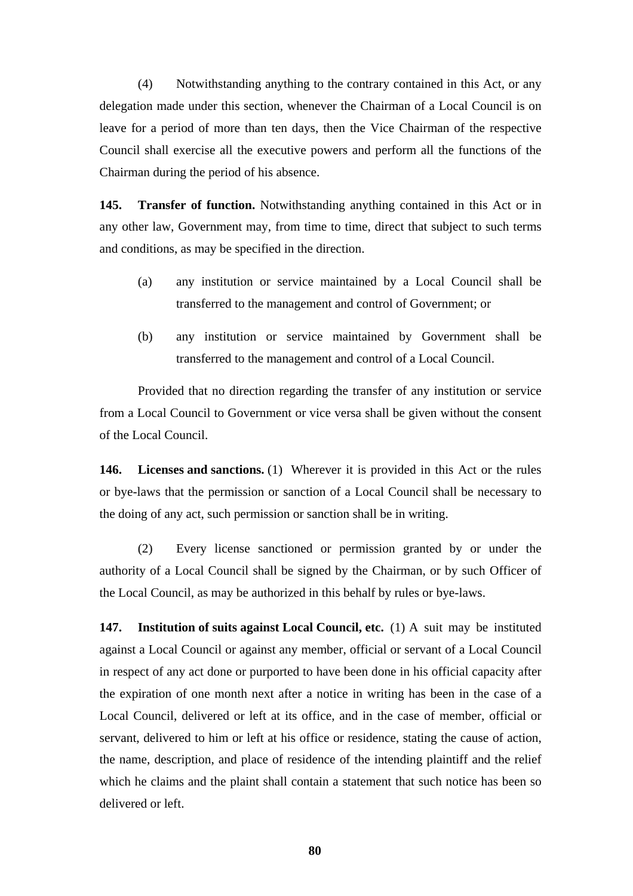(4) Notwithstanding anything to the contrary contained in this Act, or any delegation made under this section, whenever the Chairman of a Local Council is on leave for a period of more than ten days, then the Vice Chairman of the respective Council shall exercise all the executive powers and perform all the functions of the Chairman during the period of his absence.

**145. Transfer of function.** Notwithstanding anything contained in this Act or in any other law, Government may, from time to time, direct that subject to such terms and conditions, as may be specified in the direction.

- (a) any institution or service maintained by a Local Council shall be transferred to the management and control of Government; or
- (b) any institution or service maintained by Government shall be transferred to the management and control of a Local Council.

Provided that no direction regarding the transfer of any institution or service from a Local Council to Government or vice versa shall be given without the consent of the Local Council.

**146. Licenses and sanctions.** (1) Wherever it is provided in this Act or the rules or bye-laws that the permission or sanction of a Local Council shall be necessary to the doing of any act, such permission or sanction shall be in writing.

(2) Every license sanctioned or permission granted by or under the authority of a Local Council shall be signed by the Chairman, or by such Officer of the Local Council, as may be authorized in this behalf by rules or bye-laws.

**147. Institution of suits against Local Council, etc.** (1) A suit may be instituted against a Local Council or against any member, official or servant of a Local Council in respect of any act done or purported to have been done in his official capacity after the expiration of one month next after a notice in writing has been in the case of a Local Council, delivered or left at its office, and in the case of member, official or servant, delivered to him or left at his office or residence, stating the cause of action, the name, description, and place of residence of the intending plaintiff and the relief which he claims and the plaint shall contain a statement that such notice has been so delivered or left.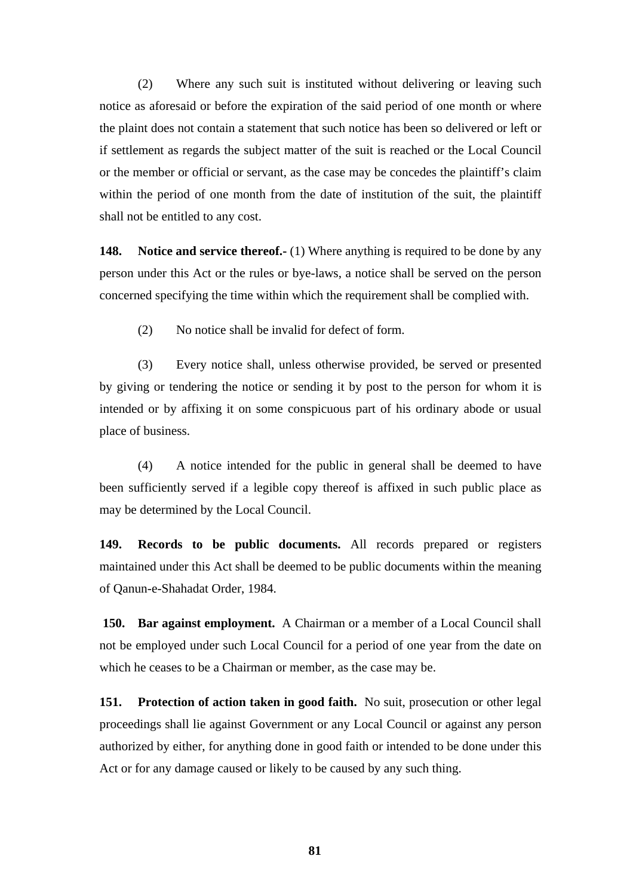(2) Where any such suit is instituted without delivering or leaving such notice as aforesaid or before the expiration of the said period of one month or where the plaint does not contain a statement that such notice has been so delivered or left or if settlement as regards the subject matter of the suit is reached or the Local Council or the member or official or servant, as the case may be concedes the plaintiff's claim within the period of one month from the date of institution of the suit, the plaintiff shall not be entitled to any cost.

**148.** Notice and service thereof.- (1) Where anything is required to be done by any person under this Act or the rules or bye-laws, a notice shall be served on the person concerned specifying the time within which the requirement shall be complied with.

(2) No notice shall be invalid for defect of form.

(3) Every notice shall, unless otherwise provided, be served or presented by giving or tendering the notice or sending it by post to the person for whom it is intended or by affixing it on some conspicuous part of his ordinary abode or usual place of business.

(4) A notice intended for the public in general shall be deemed to have been sufficiently served if a legible copy thereof is affixed in such public place as may be determined by the Local Council.

**149. Records to be public documents.** All records prepared or registers maintained under this Act shall be deemed to be public documents within the meaning of Qanun-e-Shahadat Order, 1984.

**150. Bar against employment.** A Chairman or a member of a Local Council shall not be employed under such Local Council for a period of one year from the date on which he ceases to be a Chairman or member, as the case may be.

**151. Protection of action taken in good faith.** No suit, prosecution or other legal proceedings shall lie against Government or any Local Council or against any person authorized by either, for anything done in good faith or intended to be done under this Act or for any damage caused or likely to be caused by any such thing.

**81**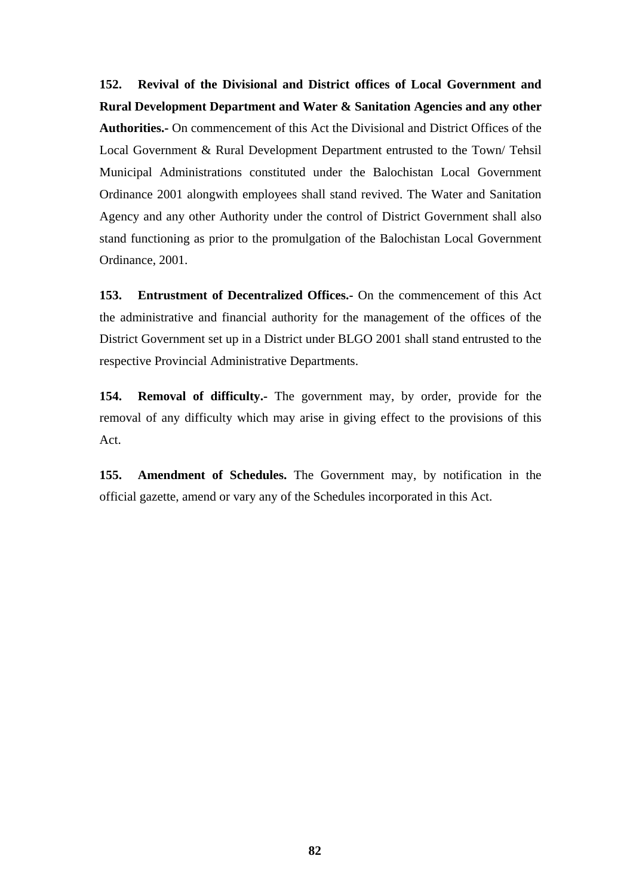**152. Revival of the Divisional and District offices of Local Government and Rural Development Department and Water & Sanitation Agencies and any other Authorities.-** On commencement of this Act the Divisional and District Offices of the Local Government & Rural Development Department entrusted to the Town/ Tehsil Municipal Administrations constituted under the Balochistan Local Government Ordinance 2001 alongwith employees shall stand revived. The Water and Sanitation Agency and any other Authority under the control of District Government shall also stand functioning as prior to the promulgation of the Balochistan Local Government Ordinance, 2001.

**153. Entrustment of Decentralized Offices.-** On the commencement of this Act the administrative and financial authority for the management of the offices of the District Government set up in a District under BLGO 2001 shall stand entrusted to the respective Provincial Administrative Departments.

**154. Removal of difficulty.-** The government may, by order, provide for the removal of any difficulty which may arise in giving effect to the provisions of this Act.

**155. Amendment of Schedules.** The Government may, by notification in the official gazette, amend or vary any of the Schedules incorporated in this Act.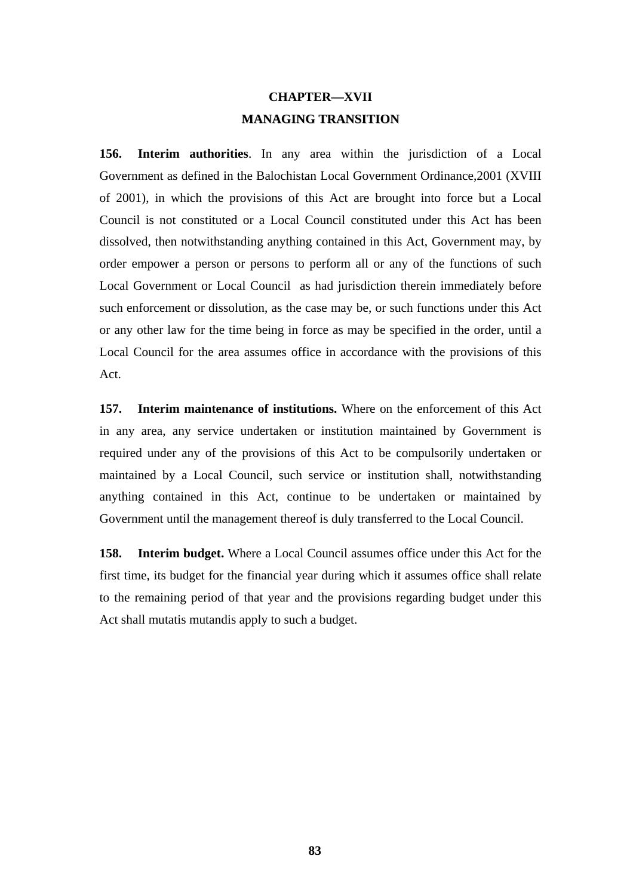# **CHAPTER—XVII MANAGING TRANSITION**

**156. Interim authorities**. In any area within the jurisdiction of a Local Government as defined in the Balochistan Local Government Ordinance,2001 (XVIII of 2001), in which the provisions of this Act are brought into force but a Local Council is not constituted or a Local Council constituted under this Act has been dissolved, then notwithstanding anything contained in this Act, Government may, by order empower a person or persons to perform all or any of the functions of such Local Government or Local Council as had jurisdiction therein immediately before such enforcement or dissolution, as the case may be, or such functions under this Act or any other law for the time being in force as may be specified in the order, until a Local Council for the area assumes office in accordance with the provisions of this Act.

**157. Interim maintenance of institutions.** Where on the enforcement of this Act in any area, any service undertaken or institution maintained by Government is required under any of the provisions of this Act to be compulsorily undertaken or maintained by a Local Council, such service or institution shall, notwithstanding anything contained in this Act, continue to be undertaken or maintained by Government until the management thereof is duly transferred to the Local Council.

**158. Interim budget.** Where a Local Council assumes office under this Act for the first time, its budget for the financial year during which it assumes office shall relate to the remaining period of that year and the provisions regarding budget under this Act shall mutatis mutandis apply to such a budget.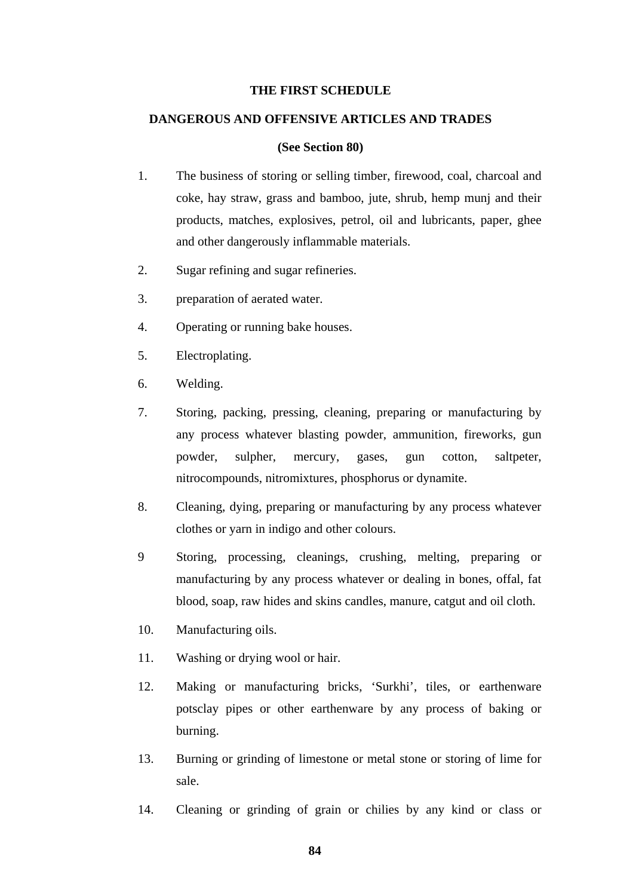#### **THE FIRST SCHEDULE**

#### **DANGEROUS AND OFFENSIVE ARTICLES AND TRADES**

#### **(See Section 80)**

- 1. The business of storing or selling timber, firewood, coal, charcoal and coke, hay straw, grass and bamboo, jute, shrub, hemp munj and their products, matches, explosives, petrol, oil and lubricants, paper, ghee and other dangerously inflammable materials.
- 2. Sugar refining and sugar refineries.
- 3. preparation of aerated water.
- 4. Operating or running bake houses.
- 5. Electroplating.
- 6. Welding.
- 7. Storing, packing, pressing, cleaning, preparing or manufacturing by any process whatever blasting powder, ammunition, fireworks, gun powder, sulpher, mercury, gases, gun cotton, saltpeter, nitrocompounds, nitromixtures, phosphorus or dynamite.
- 8. Cleaning, dying, preparing or manufacturing by any process whatever clothes or yarn in indigo and other colours.
- 9 Storing, processing, cleanings, crushing, melting, preparing or manufacturing by any process whatever or dealing in bones, offal, fat blood, soap, raw hides and skins candles, manure, catgut and oil cloth.
- 10. Manufacturing oils.
- 11. Washing or drying wool or hair.
- 12. Making or manufacturing bricks, 'Surkhi', tiles, or earthenware potsclay pipes or other earthenware by any process of baking or burning.
- 13. Burning or grinding of limestone or metal stone or storing of lime for sale.
- 14. Cleaning or grinding of grain or chilies by any kind or class or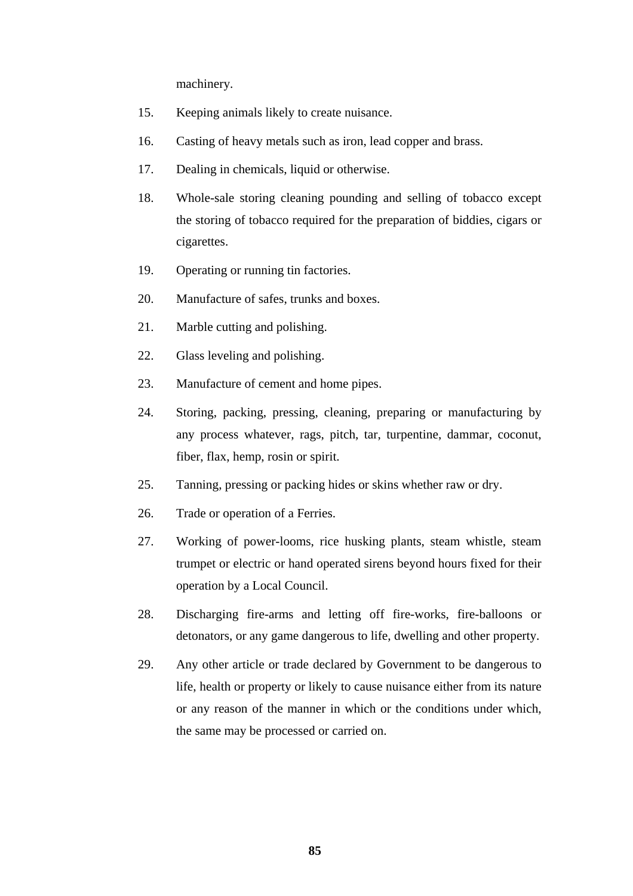machinery.

- 15. Keeping animals likely to create nuisance.
- 16. Casting of heavy metals such as iron, lead copper and brass.
- 17. Dealing in chemicals, liquid or otherwise.
- 18. Whole-sale storing cleaning pounding and selling of tobacco except the storing of tobacco required for the preparation of biddies, cigars or cigarettes.
- 19. Operating or running tin factories.
- 20. Manufacture of safes, trunks and boxes.
- 21. Marble cutting and polishing.
- 22. Glass leveling and polishing.
- 23. Manufacture of cement and home pipes.
- 24. Storing, packing, pressing, cleaning, preparing or manufacturing by any process whatever, rags, pitch, tar, turpentine, dammar, coconut, fiber, flax, hemp, rosin or spirit.
- 25. Tanning, pressing or packing hides or skins whether raw or dry.
- 26. Trade or operation of a Ferries.
- 27. Working of power-looms, rice husking plants, steam whistle, steam trumpet or electric or hand operated sirens beyond hours fixed for their operation by a Local Council.
- 28. Discharging fire-arms and letting off fire-works, fire-balloons or detonators, or any game dangerous to life, dwelling and other property.
- 29. Any other article or trade declared by Government to be dangerous to life, health or property or likely to cause nuisance either from its nature or any reason of the manner in which or the conditions under which, the same may be processed or carried on.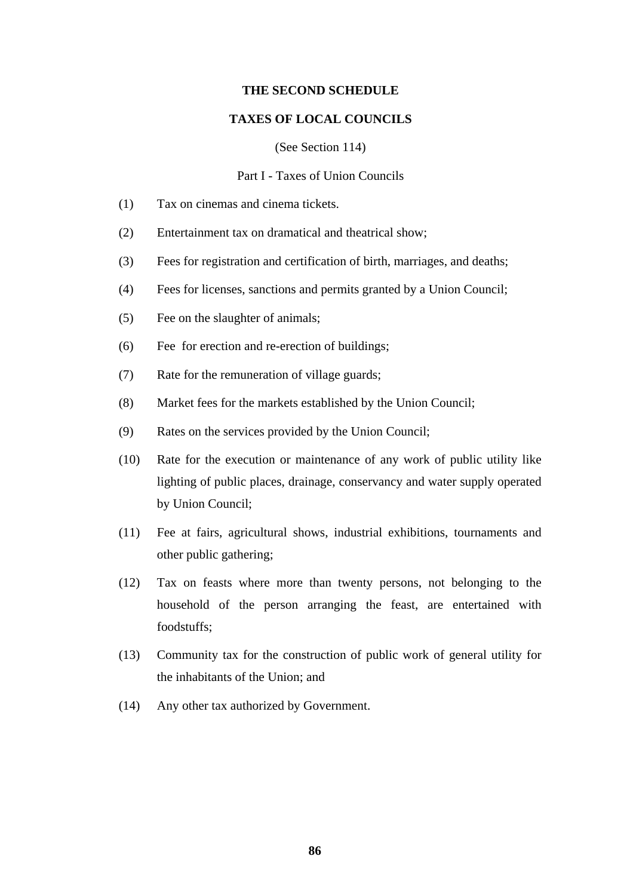#### **THE SECOND SCHEDULE**

#### **TAXES OF LOCAL COUNCILS**

(See Section 114)

#### Part I - Taxes of Union Councils

- (1) Tax on cinemas and cinema tickets.
- (2) Entertainment tax on dramatical and theatrical show;
- (3) Fees for registration and certification of birth, marriages, and deaths;
- (4) Fees for licenses, sanctions and permits granted by a Union Council;
- (5) Fee on the slaughter of animals;
- (6) Fee for erection and re-erection of buildings;
- (7) Rate for the remuneration of village guards;
- (8) Market fees for the markets established by the Union Council;
- (9) Rates on the services provided by the Union Council;
- (10) Rate for the execution or maintenance of any work of public utility like lighting of public places, drainage, conservancy and water supply operated by Union Council;
- (11) Fee at fairs, agricultural shows, industrial exhibitions, tournaments and other public gathering;
- (12) Tax on feasts where more than twenty persons, not belonging to the household of the person arranging the feast, are entertained with foodstuffs;
- (13) Community tax for the construction of public work of general utility for the inhabitants of the Union; and
- (14) Any other tax authorized by Government.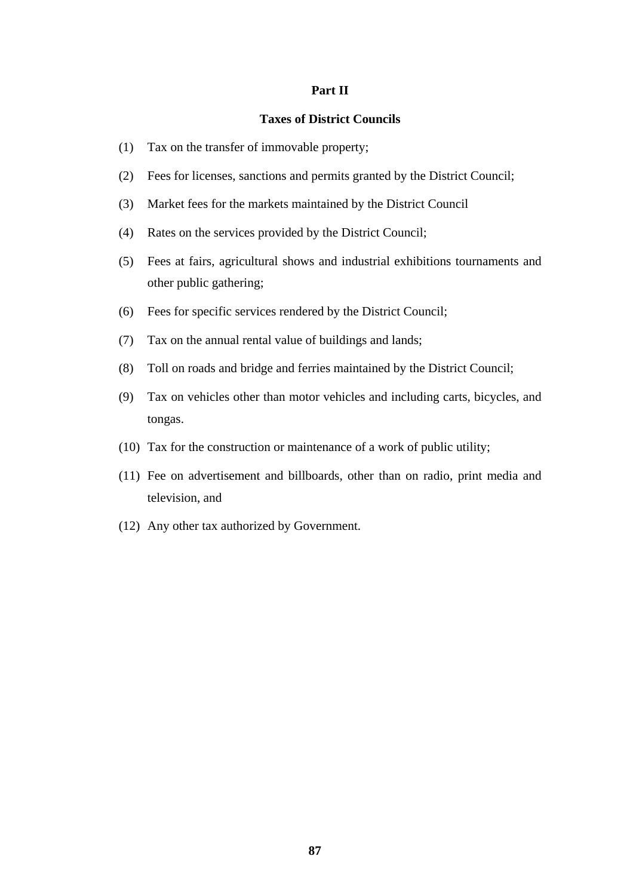#### **Part II**

#### **Taxes of District Councils**

- (1) Tax on the transfer of immovable property;
- (2) Fees for licenses, sanctions and permits granted by the District Council;
- (3) Market fees for the markets maintained by the District Council
- (4) Rates on the services provided by the District Council;
- (5) Fees at fairs, agricultural shows and industrial exhibitions tournaments and other public gathering;
- (6) Fees for specific services rendered by the District Council;
- (7) Tax on the annual rental value of buildings and lands;
- (8) Toll on roads and bridge and ferries maintained by the District Council;
- (9) Tax on vehicles other than motor vehicles and including carts, bicycles, and tongas.
- (10) Tax for the construction or maintenance of a work of public utility;
- (11) Fee on advertisement and billboards, other than on radio, print media and television, and
- (12) Any other tax authorized by Government.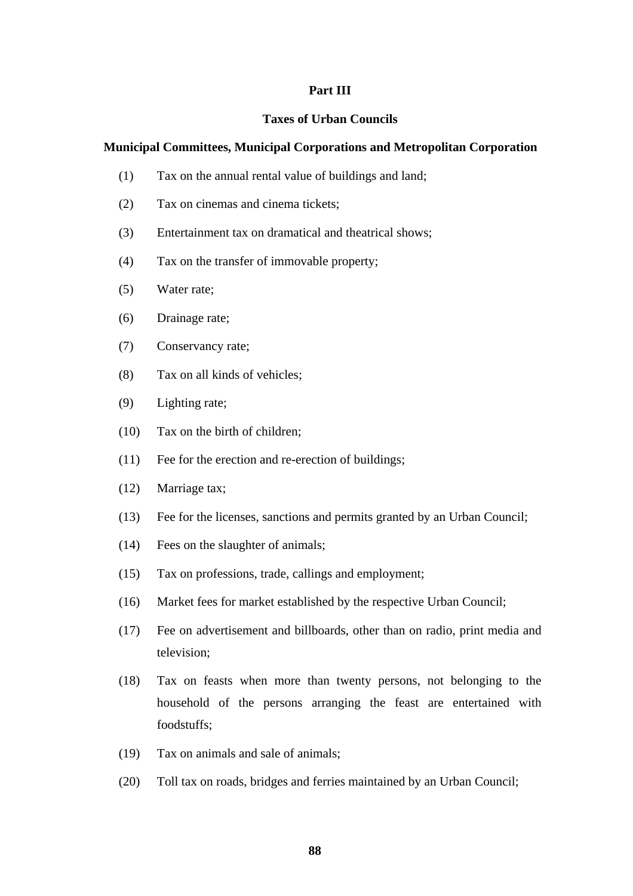#### **Part III**

#### **Taxes of Urban Councils**

#### **Municipal Committees, Municipal Corporations and Metropolitan Corporation**

- (1) Tax on the annual rental value of buildings and land;
- (2) Tax on cinemas and cinema tickets;
- (3) Entertainment tax on dramatical and theatrical shows;
- (4) Tax on the transfer of immovable property;
- (5) Water rate;
- (6) Drainage rate;
- (7) Conservancy rate;
- (8) Tax on all kinds of vehicles;
- (9) Lighting rate;
- (10) Tax on the birth of children;
- (11) Fee for the erection and re-erection of buildings;
- (12) Marriage tax;
- (13) Fee for the licenses, sanctions and permits granted by an Urban Council;
- (14) Fees on the slaughter of animals;
- (15) Tax on professions, trade, callings and employment;
- (16) Market fees for market established by the respective Urban Council;
- (17) Fee on advertisement and billboards, other than on radio, print media and television;
- (18) Tax on feasts when more than twenty persons, not belonging to the household of the persons arranging the feast are entertained with foodstuffs;
- (19) Tax on animals and sale of animals;
- (20) Toll tax on roads, bridges and ferries maintained by an Urban Council;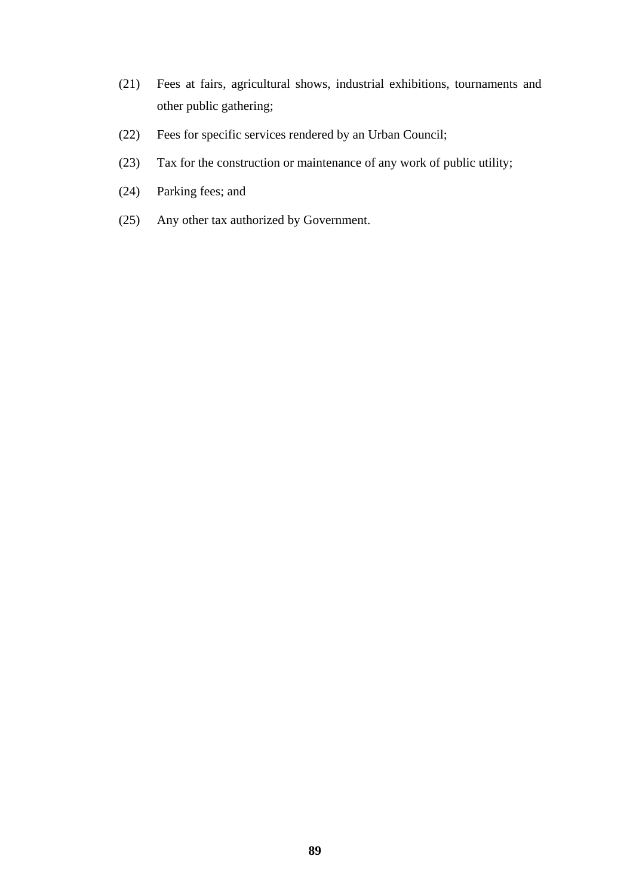- (21) Fees at fairs, agricultural shows, industrial exhibitions, tournaments and other public gathering;
- (22) Fees for specific services rendered by an Urban Council;
- (23) Tax for the construction or maintenance of any work of public utility;
- (24) Parking fees; and
- (25) Any other tax authorized by Government.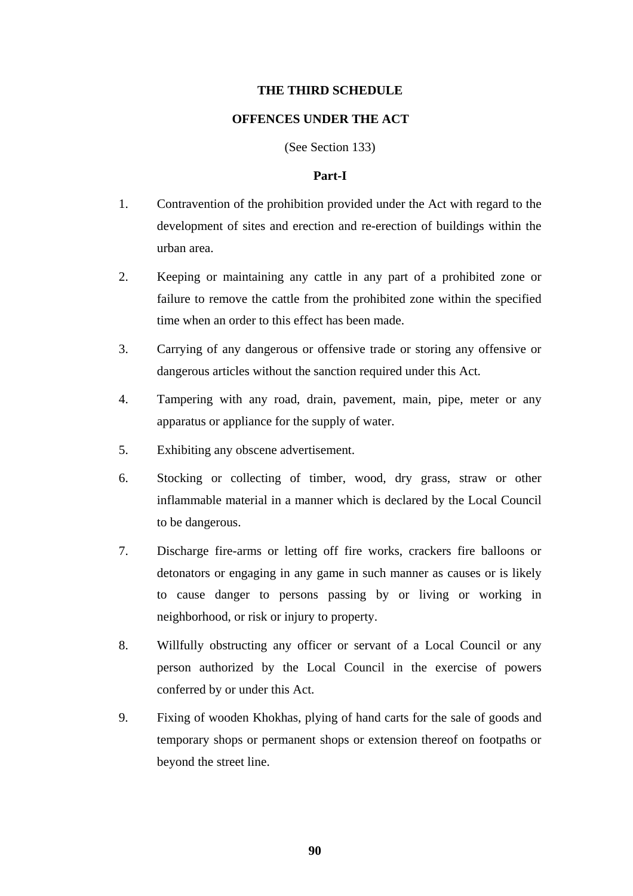#### **THE THIRD SCHEDULE**

#### **OFFENCES UNDER THE ACT**

(See Section 133)

#### **Part-I**

- 1. Contravention of the prohibition provided under the Act with regard to the development of sites and erection and re-erection of buildings within the urban area.
- 2. Keeping or maintaining any cattle in any part of a prohibited zone or failure to remove the cattle from the prohibited zone within the specified time when an order to this effect has been made.
- 3. Carrying of any dangerous or offensive trade or storing any offensive or dangerous articles without the sanction required under this Act.
- 4. Tampering with any road, drain, pavement, main, pipe, meter or any apparatus or appliance for the supply of water.
- 5. Exhibiting any obscene advertisement.
- 6. Stocking or collecting of timber, wood, dry grass, straw or other inflammable material in a manner which is declared by the Local Council to be dangerous.
- 7. Discharge fire-arms or letting off fire works, crackers fire balloons or detonators or engaging in any game in such manner as causes or is likely to cause danger to persons passing by or living or working in neighborhood, or risk or injury to property.
- 8. Willfully obstructing any officer or servant of a Local Council or any person authorized by the Local Council in the exercise of powers conferred by or under this Act.
- 9. Fixing of wooden Khokhas, plying of hand carts for the sale of goods and temporary shops or permanent shops or extension thereof on footpaths or beyond the street line.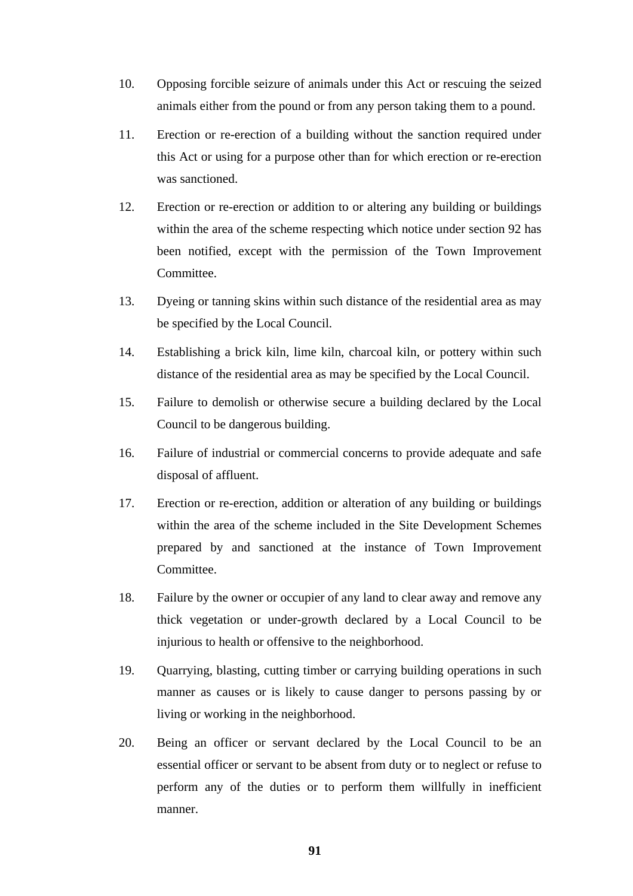- 10. Opposing forcible seizure of animals under this Act or rescuing the seized animals either from the pound or from any person taking them to a pound.
- 11. Erection or re-erection of a building without the sanction required under this Act or using for a purpose other than for which erection or re-erection was sanctioned.
- 12. Erection or re-erection or addition to or altering any building or buildings within the area of the scheme respecting which notice under section 92 has been notified, except with the permission of the Town Improvement Committee.
- 13. Dyeing or tanning skins within such distance of the residential area as may be specified by the Local Council.
- 14. Establishing a brick kiln, lime kiln, charcoal kiln, or pottery within such distance of the residential area as may be specified by the Local Council.
- 15. Failure to demolish or otherwise secure a building declared by the Local Council to be dangerous building.
- 16. Failure of industrial or commercial concerns to provide adequate and safe disposal of affluent.
- 17. Erection or re-erection, addition or alteration of any building or buildings within the area of the scheme included in the Site Development Schemes prepared by and sanctioned at the instance of Town Improvement Committee.
- 18. Failure by the owner or occupier of any land to clear away and remove any thick vegetation or under-growth declared by a Local Council to be injurious to health or offensive to the neighborhood.
- 19. Quarrying, blasting, cutting timber or carrying building operations in such manner as causes or is likely to cause danger to persons passing by or living or working in the neighborhood.
- 20. Being an officer or servant declared by the Local Council to be an essential officer or servant to be absent from duty or to neglect or refuse to perform any of the duties or to perform them willfully in inefficient manner.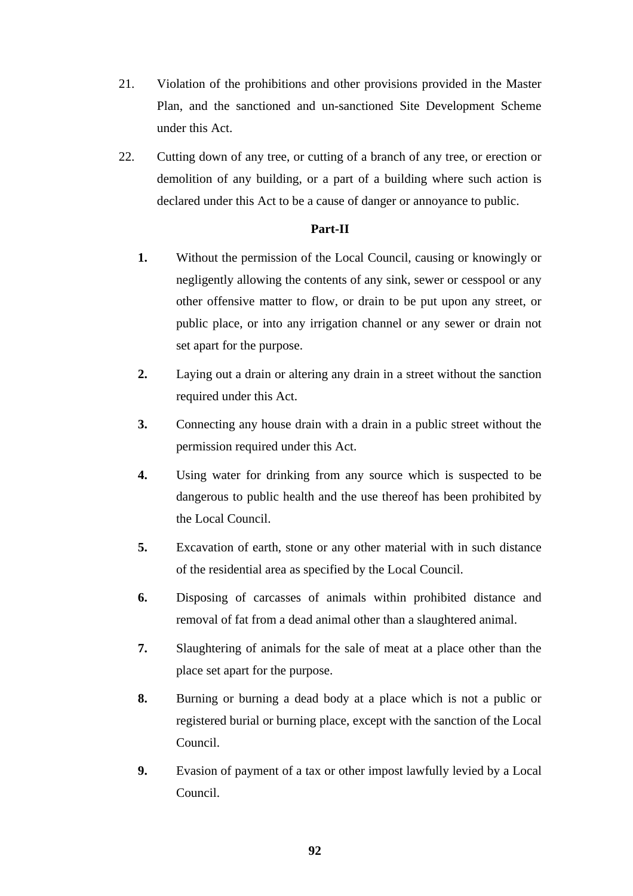- 21. Violation of the prohibitions and other provisions provided in the Master Plan, and the sanctioned and un-sanctioned Site Development Scheme under this Act.
- 22. Cutting down of any tree, or cutting of a branch of any tree, or erection or demolition of any building, or a part of a building where such action is declared under this Act to be a cause of danger or annoyance to public.

# **Part-II**

- **1.** Without the permission of the Local Council, causing or knowingly or negligently allowing the contents of any sink, sewer or cesspool or any other offensive matter to flow, or drain to be put upon any street, or public place, or into any irrigation channel or any sewer or drain not set apart for the purpose.
- **2.** Laying out a drain or altering any drain in a street without the sanction required under this Act.
- **3.** Connecting any house drain with a drain in a public street without the permission required under this Act.
- **4.** Using water for drinking from any source which is suspected to be dangerous to public health and the use thereof has been prohibited by the Local Council.
- **5.** Excavation of earth, stone or any other material with in such distance of the residential area as specified by the Local Council.
- **6.** Disposing of carcasses of animals within prohibited distance and removal of fat from a dead animal other than a slaughtered animal.
- **7.** Slaughtering of animals for the sale of meat at a place other than the place set apart for the purpose.
- **8.** Burning or burning a dead body at a place which is not a public or registered burial or burning place, except with the sanction of the Local Council.
- **9.** Evasion of payment of a tax or other impost lawfully levied by a Local Council.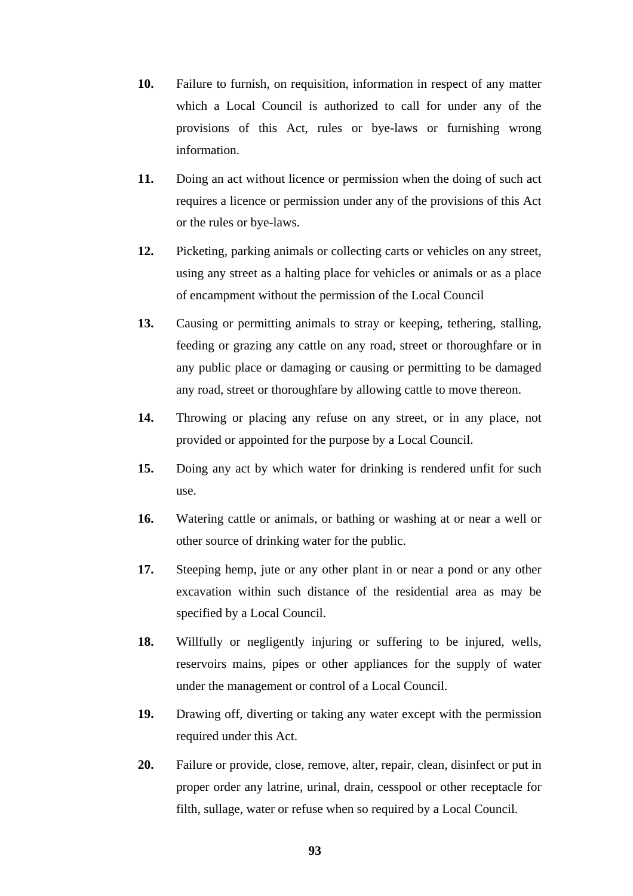- **10.** Failure to furnish, on requisition, information in respect of any matter which a Local Council is authorized to call for under any of the provisions of this Act, rules or bye-laws or furnishing wrong information.
- **11.** Doing an act without licence or permission when the doing of such act requires a licence or permission under any of the provisions of this Act or the rules or bye-laws.
- **12.** Picketing, parking animals or collecting carts or vehicles on any street, using any street as a halting place for vehicles or animals or as a place of encampment without the permission of the Local Council
- **13.** Causing or permitting animals to stray or keeping, tethering, stalling, feeding or grazing any cattle on any road, street or thoroughfare or in any public place or damaging or causing or permitting to be damaged any road, street or thoroughfare by allowing cattle to move thereon.
- **14.** Throwing or placing any refuse on any street, or in any place, not provided or appointed for the purpose by a Local Council.
- **15.** Doing any act by which water for drinking is rendered unfit for such use.
- **16.** Watering cattle or animals, or bathing or washing at or near a well or other source of drinking water for the public.
- **17.** Steeping hemp, jute or any other plant in or near a pond or any other excavation within such distance of the residential area as may be specified by a Local Council.
- **18.** Willfully or negligently injuring or suffering to be injured, wells, reservoirs mains, pipes or other appliances for the supply of water under the management or control of a Local Council.
- **19.** Drawing off, diverting or taking any water except with the permission required under this Act.
- **20.** Failure or provide, close, remove, alter, repair, clean, disinfect or put in proper order any latrine, urinal, drain, cesspool or other receptacle for filth, sullage, water or refuse when so required by a Local Council.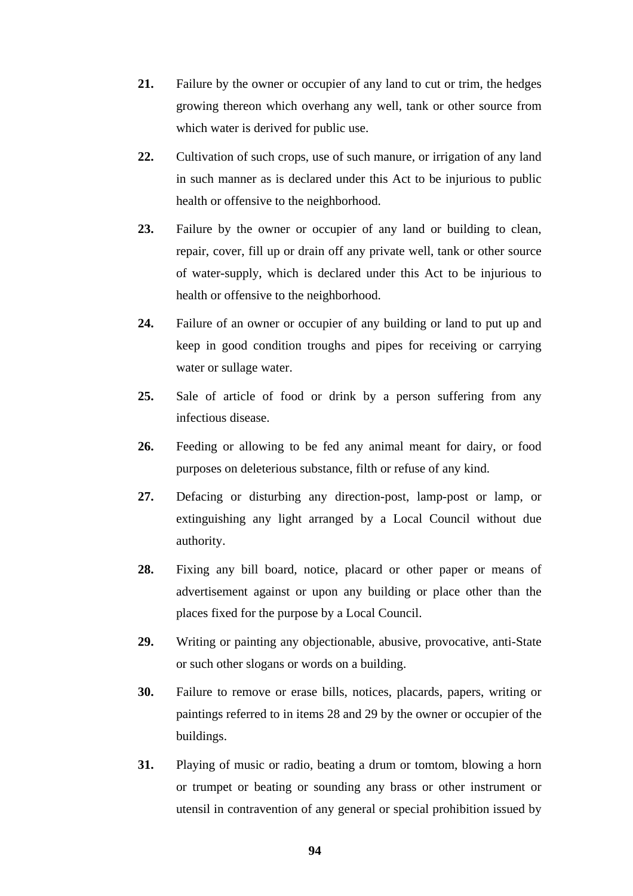- **21.** Failure by the owner or occupier of any land to cut or trim, the hedges growing thereon which overhang any well, tank or other source from which water is derived for public use.
- **22.** Cultivation of such crops, use of such manure, or irrigation of any land in such manner as is declared under this Act to be injurious to public health or offensive to the neighborhood.
- **23.** Failure by the owner or occupier of any land or building to clean, repair, cover, fill up or drain off any private well, tank or other source of water-supply, which is declared under this Act to be injurious to health or offensive to the neighborhood.
- **24.** Failure of an owner or occupier of any building or land to put up and keep in good condition troughs and pipes for receiving or carrying water or sullage water.
- **25.** Sale of article of food or drink by a person suffering from any infectious disease.
- **26.** Feeding or allowing to be fed any animal meant for dairy, or food purposes on deleterious substance, filth or refuse of any kind.
- **27.** Defacing or disturbing any direction-post, lamp-post or lamp, or extinguishing any light arranged by a Local Council without due authority.
- **28.** Fixing any bill board, notice, placard or other paper or means of advertisement against or upon any building or place other than the places fixed for the purpose by a Local Council.
- **29.** Writing or painting any objectionable, abusive, provocative, anti-State or such other slogans or words on a building.
- **30.** Failure to remove or erase bills, notices, placards, papers, writing or paintings referred to in items 28 and 29 by the owner or occupier of the buildings.
- **31.** Playing of music or radio, beating a drum or tomtom, blowing a horn or trumpet or beating or sounding any brass or other instrument or utensil in contravention of any general or special prohibition issued by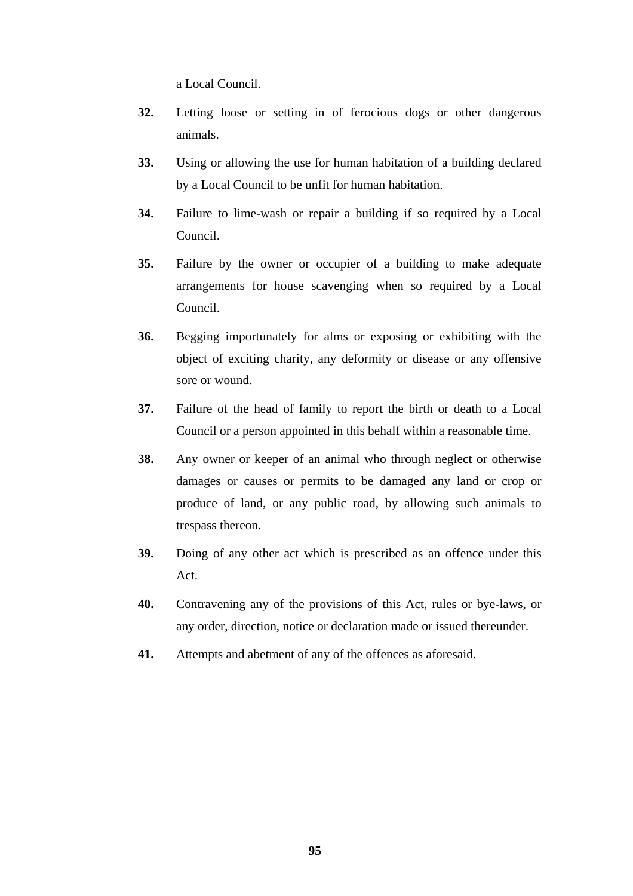a Local Council.

- **32.** Letting loose or setting in of ferocious dogs or other dangerous animals.
- **33.** Using or allowing the use for human habitation of a building declared by a Local Council to be unfit for human habitation.
- **34.** Failure to lime-wash or repair a building if so required by a Local Council.
- **35.** Failure by the owner or occupier of a building to make adequate arrangements for house scavenging when so required by a Local Council.
- **36.** Begging importunately for alms or exposing or exhibiting with the object of exciting charity, any deformity or disease or any offensive sore or wound.
- **37.** Failure of the head of family to report the birth or death to a Local Council or a person appointed in this behalf within a reasonable time.
- **38.** Any owner or keeper of an animal who through neglect or otherwise damages or causes or permits to be damaged any land or crop or produce of land, or any public road, by allowing such animals to trespass thereon.
- **39.** Doing of any other act which is prescribed as an offence under this Act.
- **40.** Contravening any of the provisions of this Act, rules or bye-laws, or any order, direction, notice or declaration made or issued thereunder.
- **41.** Attempts and abetment of any of the offences as aforesaid.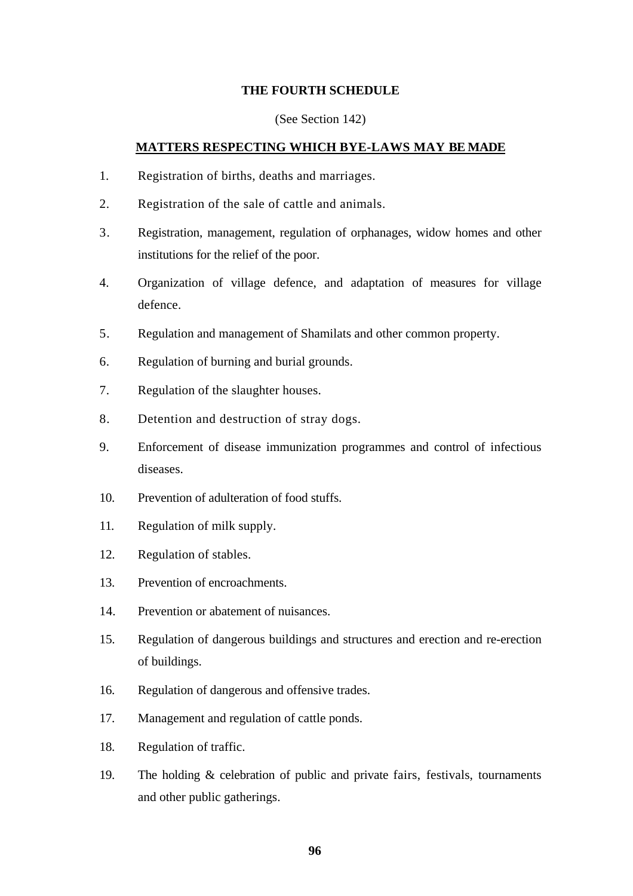## **THE FOURTH SCHEDULE**

#### (See Section 142)

#### **MATTERS RESPECTING WHICH BYE-LAWS MAY BE MADE**

- 1. Registration of births, deaths and marriages.
- 2. Registration of the sale of cattle and animals.
- 3. Registration, management, regulation of orphanages, widow homes and other institutions for the relief of the poor.
- 4. Organization of village defence, and adaptation of measures for village defence.
- 5. Regulation and management of Shamilats and other common property.
- 6. Regulation of burning and burial grounds.
- 7. Regulation of the slaughter houses.
- 8. Detention and destruction of stray dogs.
- 9. Enforcement of disease immunization programmes and control of infectious diseases.
- 10. Prevention of adulteration of food stuffs.
- 11. Regulation of milk supply.
- 12. Regulation of stables.
- 13. Prevention of encroachments.
- 14. Prevention or abatement of nuisances.
- 15. Regulation of dangerous buildings and structures and erection and re-erection of buildings.
- 16. Regulation of dangerous and offensive trades.
- 17. Management and regulation of cattle ponds.
- 18. Regulation of traffic.
- 19. The holding & celebration of public and private fairs, festivals, tournaments and other public gatherings.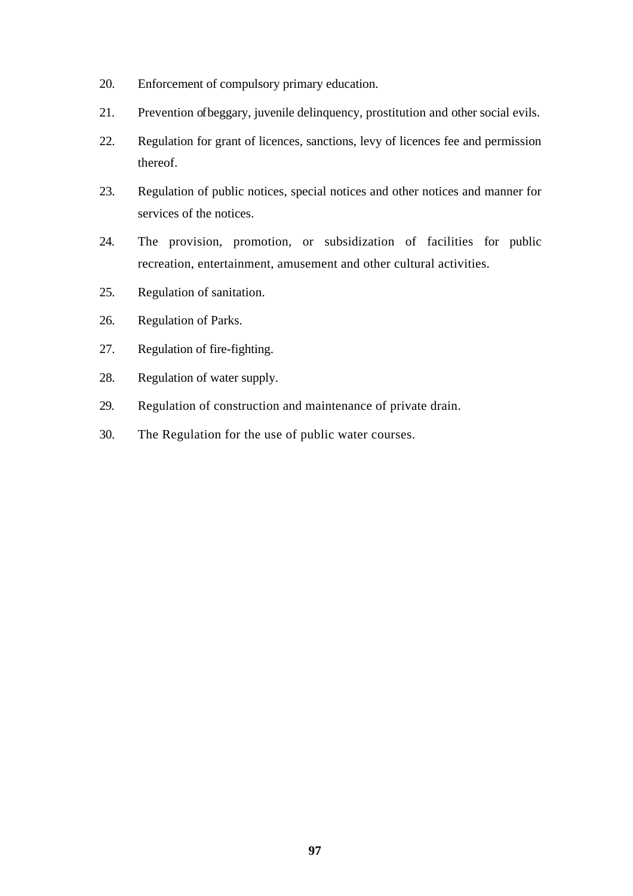- 20. Enforcement of compulsory primary education.
- 21. Prevention ofbeggary, juvenile delinquency, prostitution and other social evils.
- 22. Regulation for grant of licences, sanctions, levy of licences fee and permission thereof.
- 23. Regulation of public notices, special notices and other notices and manner for services of the notices.
- 24. The provision, promotion, or subsidization of facilities for public recreation, entertainment, amusement and other cultural activities.
- 25. Regulation of sanitation.
- 26. Regulation of Parks.
- 27. Regulation of fire-fighting.
- 28. Regulation of water supply.
- 29. Regulation of construction and maintenance of private drain.
- 30. The Regulation for the use of public water courses.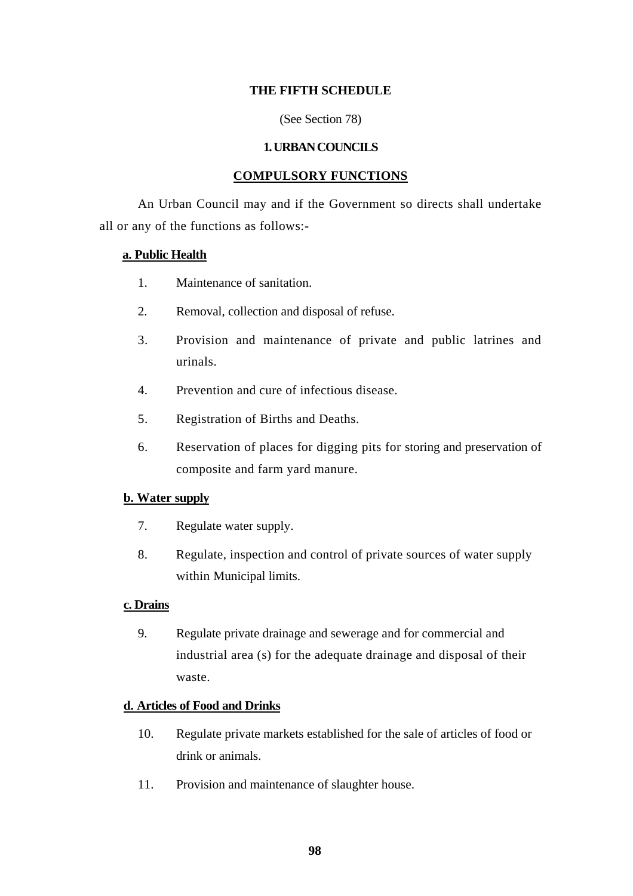## **THE FIFTH SCHEDULE**

(See Section 78)

#### **1. URBAN COUNCILS**

#### **COMPULSORY FUNCTIONS**

An Urban Council may and if the Government so directs shall undertake all or any of the functions as follows:-

#### **a. Public Health**

- 1. Maintenance of sanitation.
- 2. Removal, collection and disposal of refuse.
- 3. Provision and maintenance of private and public latrines and urinals.
- 4. Prevention and cure of infectious disease.
- 5. Registration of Births and Deaths.
- 6. Reservation of places for digging pits for storing and preservation of composite and farm yard manure.

## **b. Water supply**

- 7. Regulate water supply.
- 8. Regulate, inspection and control of private sources of water supply within Municipal limits.

## **c. Drains**

9. Regulate private drainage and sewerage and for commercial and industrial area (s) for the adequate drainage and disposal of their waste.

## **d. Articles of Food and Drinks**

- 10. Regulate private markets established for the sale of articles of food or drink or animals.
- 11. Provision and maintenance of slaughter house.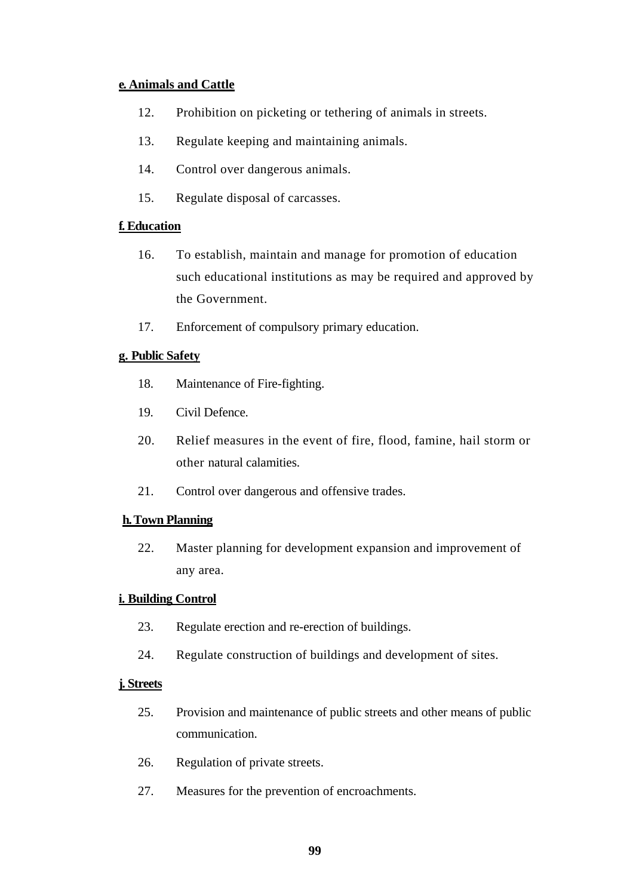# **e. Animals and Cattle**

- 12. Prohibition on picketing or tethering of animals in streets.
- 13. Regulate keeping and maintaining animals.
- 14. Control over dangerous animals.
- 15. Regulate disposal of carcasses.

## **f. Education**

- 16. To establish, maintain and manage for promotion of education such educational institutions as may be required and approved by the Government.
- 17. Enforcement of compulsory primary education.

# **g. Public Safety**

- 18. Maintenance of Fire-fighting.
- 19. Civil Defence.
- 20. Relief measures in the event of fire, flood, famine, hail storm or other natural calamities.
- 21. Control over dangerous and offensive trades.

## **h. Town Planning**

22. Master planning for development expansion and improvement of any area.

## **i. Building Control**

- 23. Regulate erection and re-erection of buildings.
- 24. Regulate construction of buildings and development of sites.

## **j. Streets**

- 25. Provision and maintenance of public streets and other means of public communication.
- 26. Regulation of private streets.
- 27. Measures for the prevention of encroachments.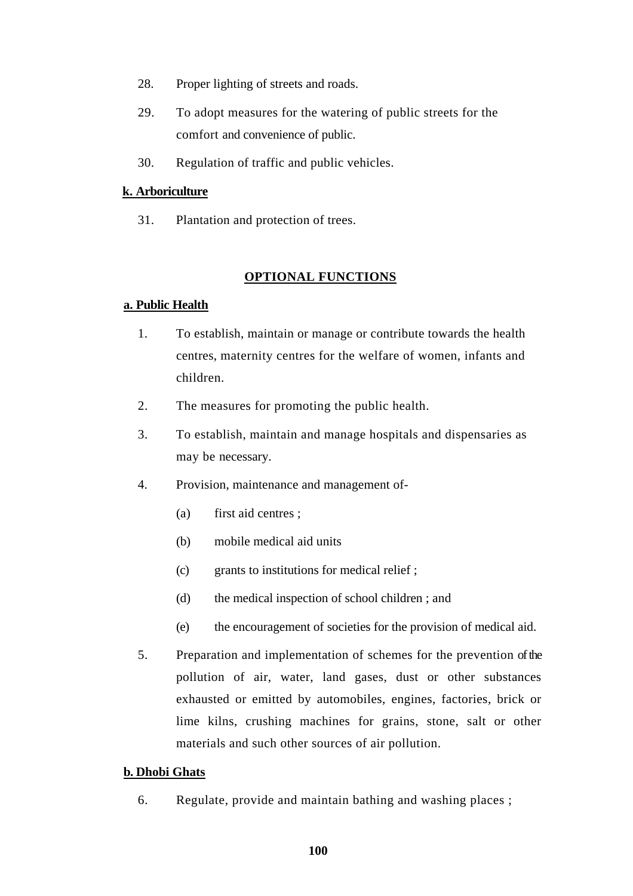- 28. Proper lighting of streets and roads.
- 29. To adopt measures for the watering of public streets for the comfort and convenience of public.
- 30. Regulation of traffic and public vehicles.

# **k. Arboriculture**

31. Plantation and protection of trees.

# **OPTIONAL FUNCTIONS**

## **a. Public Health**

- 1. To establish, maintain or manage or contribute towards the health centres, maternity centres for the welfare of women, infants and children.
- 2. The measures for promoting the public health.
- 3. To establish, maintain and manage hospitals and dispensaries as may be necessary.
- 4. Provision, maintenance and management of-
	- (a) first aid centres ;
	- (b) mobile medical aid units
	- (c) grants to institutions for medical relief ;
	- (d) the medical inspection of school children ; and
	- (e) the encouragement of societies for the provision of medical aid.
- 5. Preparation and implementation of schemes for the prevention ofthe pollution of air, water, land gases, dust or other substances exhausted or emitted by automobiles, engines, factories, brick or lime kilns, crushing machines for grains, stone, salt or other materials and such other sources of air pollution.

## **b. Dhobi Ghats**

6. Regulate, provide and maintain bathing and washing places ;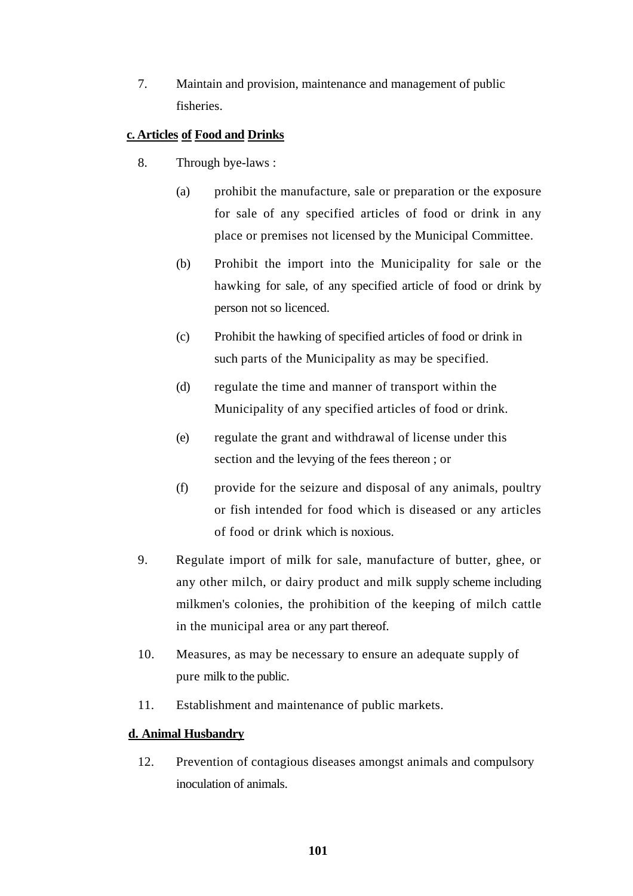7. Maintain and provision, maintenance and management of public fisheries.

# **c. Articles of Food and Drinks**

- 8. Through bye-laws :
	- (a) prohibit the manufacture, sale or preparation or the exposure for sale of any specified articles of food or drink in any place or premises not licensed by the Municipal Committee.
	- (b) Prohibit the import into the Municipality for sale or the hawking for sale, of any specified article of food or drink by person not so licenced.
	- (c) Prohibit the hawking of specified articles of food or drink in such parts of the Municipality as may be specified.
	- (d) regulate the time and manner of transport within the Municipality of any specified articles of food or drink.
	- (e) regulate the grant and withdrawal of license under this section and the levying of the fees thereon ; or
	- (f) provide for the seizure and disposal of any animals, poultry or fish intended for food which is diseased or any articles of food or drink which is noxious.
- 9. Regulate import of milk for sale, manufacture of butter, ghee, or any other milch, or dairy product and milk supply scheme including milkmen's colonies, the prohibition of the keeping of milch cattle in the municipal area or any part thereof.
- 10. Measures, as may be necessary to ensure an adequate supply of pure milk to the public.
- 11. Establishment and maintenance of public markets.

# **d. Animal Husbandry**

12. Prevention of contagious diseases amongst animals and compulsory inoculation of animals.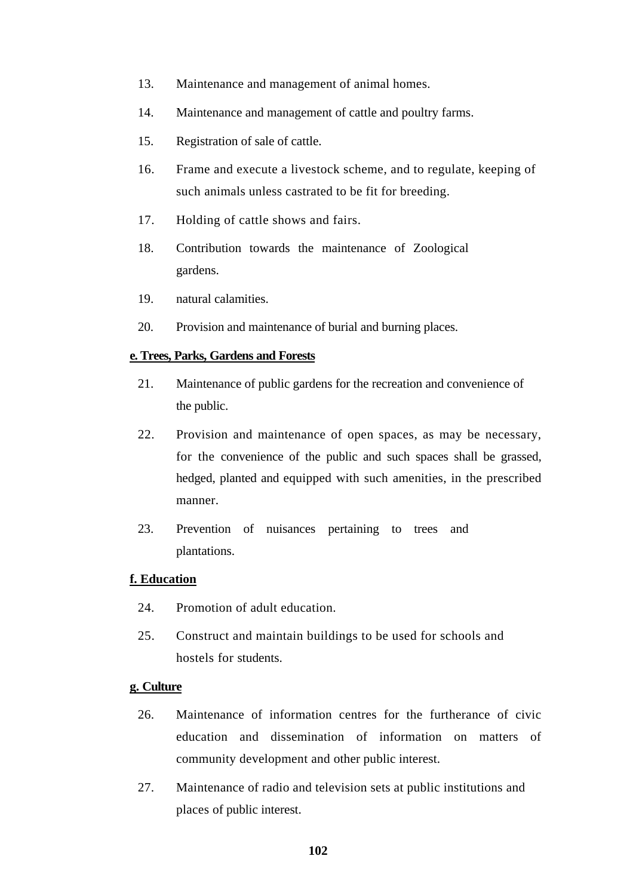- 13. Maintenance and management of animal homes.
- 14. Maintenance and management of cattle and poultry farms.
- 15. Registration of sale of cattle.
- 16. Frame and execute a livestock scheme, and to regulate, keeping of such animals unless castrated to be fit for breeding.
- 17. Holding of cattle shows and fairs.
- 18. Contribution towards the maintenance of Zoological gardens.
- 19. natural calamities.
- 20. Provision and maintenance of burial and burning places.

#### **e. Trees, Parks, Gardens and Forests**

- 21. Maintenance of public gardens for the recreation and convenience of the public.
- 22. Provision and maintenance of open spaces, as may be necessary, for the convenience of the public and such spaces shall be grassed, hedged, planted and equipped with such amenities, in the prescribed manner.
- 23. Prevention of nuisances pertaining to trees and plantations.

#### **f. Education**

- 24. Promotion of adult education.
- 25. Construct and maintain buildings to be used for schools and hostels for students.

#### **g. Culture**

- 26. Maintenance of information centres for the furtherance of civic education and dissemination of information on matters of community development and other public interest.
- 27. Maintenance of radio and television sets at public institutions and places of public interest.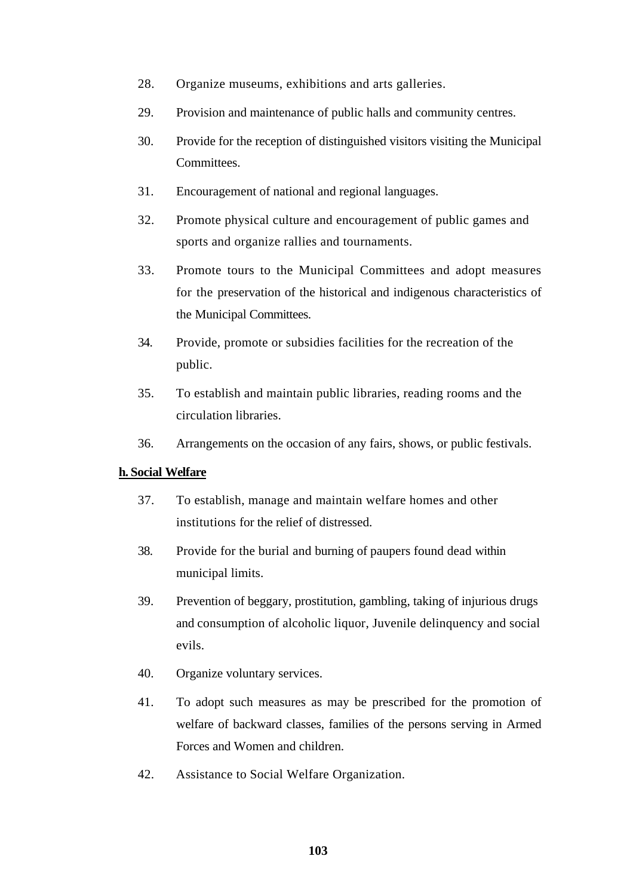- 28. Organize museums, exhibitions and arts galleries.
- 29. Provision and maintenance of public halls and community centres.
- 30. Provide for the reception of distinguished visitors visiting the Municipal Committees.
- 31. Encouragement of national and regional languages.
- 32. Promote physical culture and encouragement of public games and sports and organize rallies and tournaments.
- 33. Promote tours to the Municipal Committees and adopt measures for the preservation of the historical and indigenous characteristics of the Municipal Committees.
- 34. Provide, promote or subsidies facilities for the recreation of the public.
- 35. To establish and maintain public libraries, reading rooms and the circulation libraries.
- 36. Arrangements on the occasion of any fairs, shows, or public festivals.

## **h. Social Welfare**

- 37. To establish, manage and maintain welfare homes and other institutions for the relief of distressed.
- 38. Provide for the burial and burning of paupers found dead within municipal limits.
- 39. Prevention of beggary, prostitution, gambling, taking of injurious drugs and consumption of alcoholic liquor, Juvenile delinquency and social evils.
- 40. Organize voluntary services.
- 41. To adopt such measures as may be prescribed for the promotion of welfare of backward classes, families of the persons serving in Armed Forces and Women and children.
- 42. Assistance to Social Welfare Organization.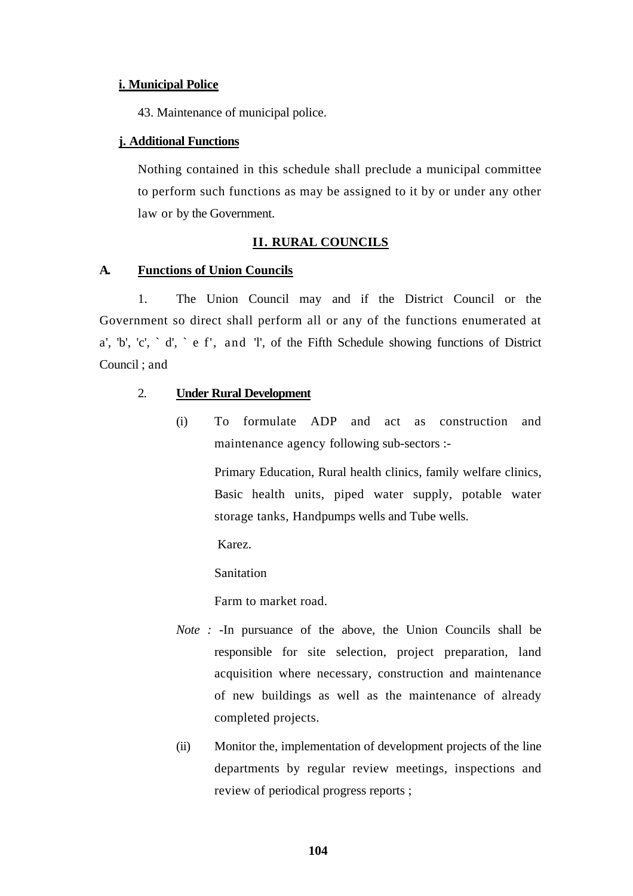#### **i. Municipal Police**

43. Maintenance of municipal police.

#### **j. Additional Functions**

Nothing contained in this schedule shall preclude a municipal committee to perform such functions as may be assigned to it by or under any other law or by the Government.

## **II. RURAL COUNCILS**

#### **A. Functions of Union Councils**

1. The Union Council may and if the District Council or the Government so direct shall perform all or any of the functions enumerated at a', 'b', 'c',  $\Delta$ ' d',  $\Delta$  e f', and 'l', of the Fifth Schedule showing functions of District Council ; and

# 2. **Under Rural Development**

(i) To formulate ADP and act as construction and maintenance agency following sub-sectors :-

> Primary Education, Rural health clinics, family welfare clinics, Basic health units, piped water supply, potable water storage tanks, Handpumps wells and Tube wells.

Karez.

**Sanitation** 

Farm to market road.

- *Note :* -In pursuance of the above, the Union Councils shall be responsible for site selection, project preparation, land acquisition where necessary, construction and maintenance of new buildings as well as the maintenance of already completed projects.
- (ii) Monitor the, implementation of development projects of the line departments by regular review meetings, inspections and review of periodical progress reports ;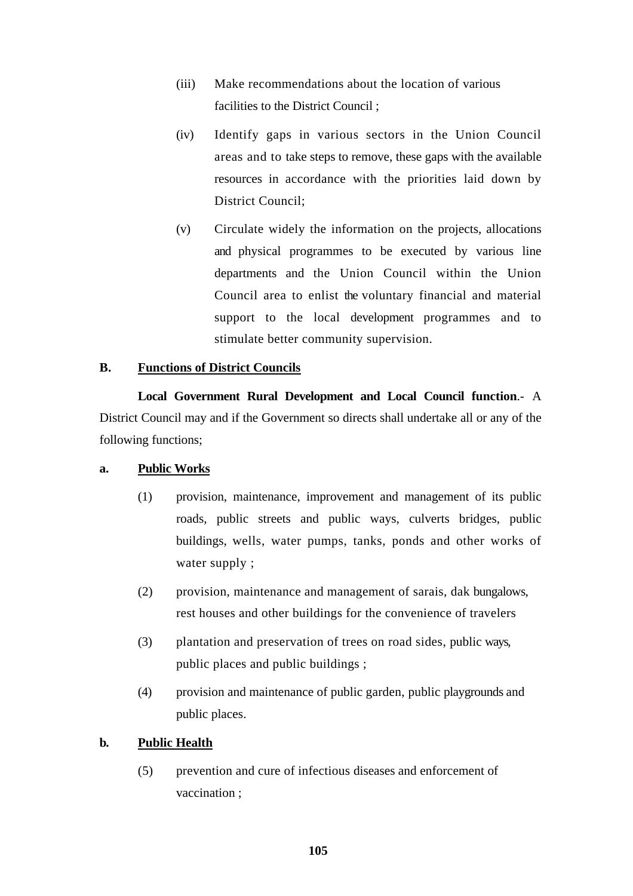- (iii) Make recommendations about the location of various facilities to the District Council ;
- (iv) Identify gaps in various sectors in the Union Council areas and to take steps to remove, these gaps with the available resources in accordance with the priorities laid down by District Council;
- (v) Circulate widely the information on the projects, allocations and physical programmes to be executed by various line departments and the Union Council within the Union Council area to enlist the voluntary financial and material support to the local development programmes and to stimulate better community supervision.

# **B. Functions of District Councils**

**Local Government Rural Development and Local Council function**.- A District Council may and if the Government so directs shall undertake all or any of the following functions;

## **a. Public Works**

- (1) provision, maintenance, improvement and management of its public roads, public streets and public ways, culverts bridges, public buildings, wells, water pumps, tanks, ponds and other works of water supply ;
- (2) provision, maintenance and management of sarais, dak bungalows, rest houses and other buildings for the convenience of travelers
- (3) plantation and preservation of trees on road sides, public ways, public places and public buildings ;
- (4) provision and maintenance of public garden, public playgrounds and public places.

# **b. Public Health**

(5) prevention and cure of infectious diseases and enforcement of vaccination ;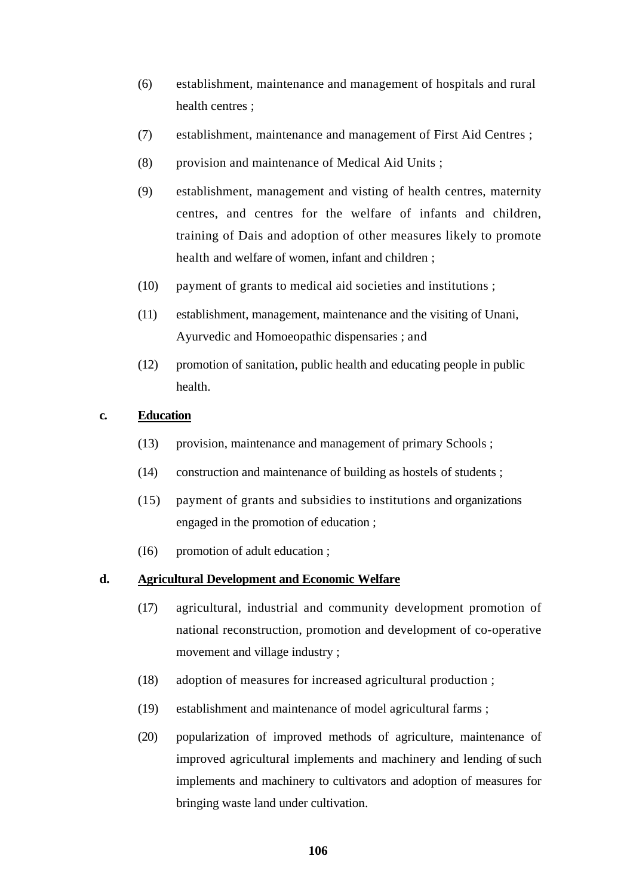- (6) establishment, maintenance and management of hospitals and rural health centres ;
- (7) establishment, maintenance and management of First Aid Centres ;
- (8) provision and maintenance of Medical Aid Units ;
- (9) establishment, management and visting of health centres, maternity centres, and centres for the welfare of infants and children, training of Dais and adoption of other measures likely to promote health and welfare of women, infant and children ;
- (10) payment of grants to medical aid societies and institutions ;
- (11) establishment, management, maintenance and the visiting of Unani, Ayurvedic and Homoeopathic dispensaries ; and
- (12) promotion of sanitation, public health and educating people in public health.

## **c. Education**

- (13) provision, maintenance and management of primary Schools ;
- (14) construction and maintenance of building as hostels of students ;
- (15) payment of grants and subsidies to institutions and organizations engaged in the promotion of education ;
- (I6) promotion of adult education ;

## **d. Agricultural Development and Economic Welfare**

- (17) agricultural, industrial and community development promotion of national reconstruction, promotion and development of co-operative movement and village industry ;
- (18) adoption of measures for increased agricultural production ;
- (19) establishment and maintenance of model agricultural farms ;
- (20) popularization of improved methods of agriculture, maintenance of improved agricultural implements and machinery and lending of such implements and machinery to cultivators and adoption of measures for bringing waste land under cultivation.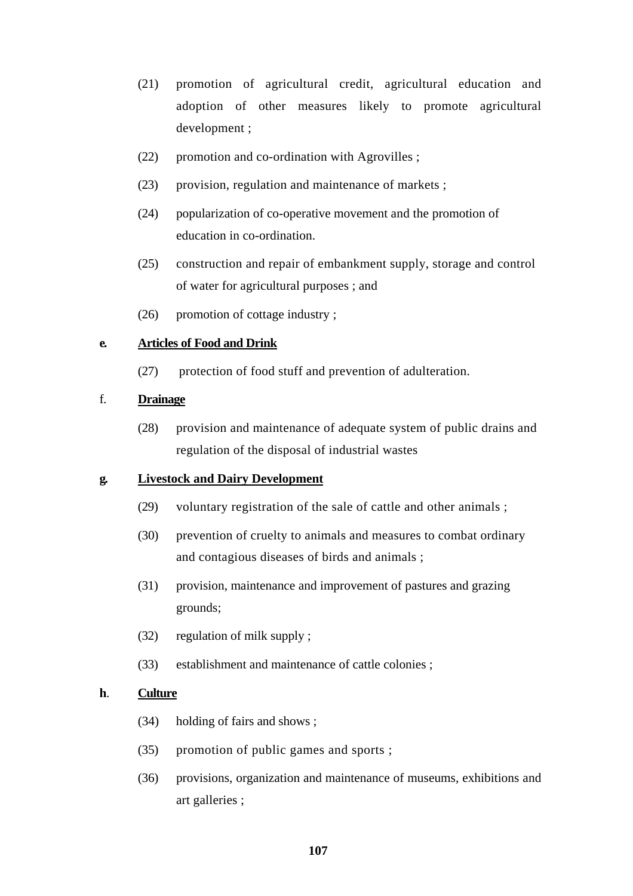- (21) promotion of agricultural credit, agricultural education and adoption of other measures likely to promote agricultural development ;
- (22) promotion and co-ordination with Agrovilles ;
- (23) provision, regulation and maintenance of markets ;
- (24) popularization of co-operative movement and the promotion of education in co-ordination.
- (25) construction and repair of embankment supply, storage and control of water for agricultural purposes ; and
- (26) promotion of cottage industry ;

# **e. Articles of Food and Drink**

(27) protection of food stuff and prevention of adulteration.

## f. **Drainage**

(28) provision and maintenance of adequate system of public drains and regulation of the disposal of industrial wastes

# **g. Livestock and Dairy Development**

- (29) voluntary registration of the sale of cattle and other animals ;
- (30) prevention of cruelty to animals and measures to combat ordinary and contagious diseases of birds and animals ;
- (31) provision, maintenance and improvement of pastures and grazing grounds;
- (32) regulation of milk supply ;
- (33) establishment and maintenance of cattle colonies ;

## **h**. **Culture**

- (34) holding of fairs and shows ;
- (35) promotion of public games and sports ;
- (36) provisions, organization and maintenance of museums, exhibitions and art galleries ;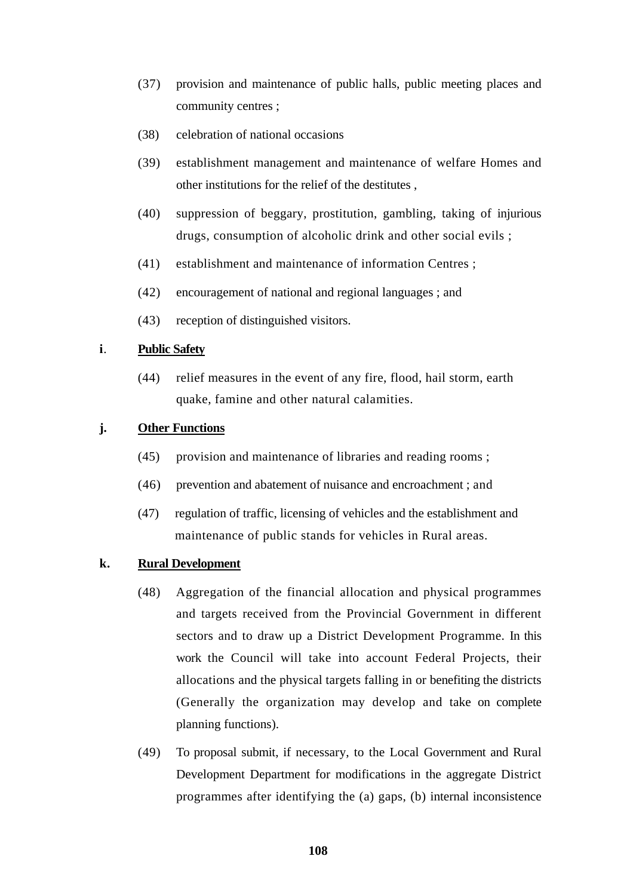- (37) provision and maintenance of public halls, public meeting places and community centres ;
- (38) celebration of national occasions
- (39) establishment management and maintenance of welfare Homes and other institutions for the relief of the destitutes ,
- (40) suppression of beggary, prostitution, gambling, taking of injurious drugs, consumption of alcoholic drink and other social evils ;
- (41) establishment and maintenance of information Centres ;
- (42) encouragement of national and regional languages ; and
- (43) reception of distinguished visitors.

## **i**. **Public Safety**

(44) relief measures in the event of any fire, flood, hail storm, earth quake, famine and other natural calamities.

## **j. Other Functions**

- (45) provision and maintenance of libraries and reading rooms ;
- (46) prevention and abatement of nuisance and encroachment ; and
- (47) regulation of traffic, licensing of vehicles and the establishment and maintenance of public stands for vehicles in Rural areas.

#### **k. Rural Development**

- (48) Aggregation of the financial allocation and physical programmes and targets received from the Provincial Government in different sectors and to draw up a District Development Programme. In this work the Council will take into account Federal Projects, their allocations and the physical targets falling in or benefiting the districts (Generally the organization may develop and take on complete planning functions).
- (49) To proposal submit, if necessary, to the Local Government and Rural Development Department for modifications in the aggregate District programmes after identifying the (a) gaps, (b) internal inconsistence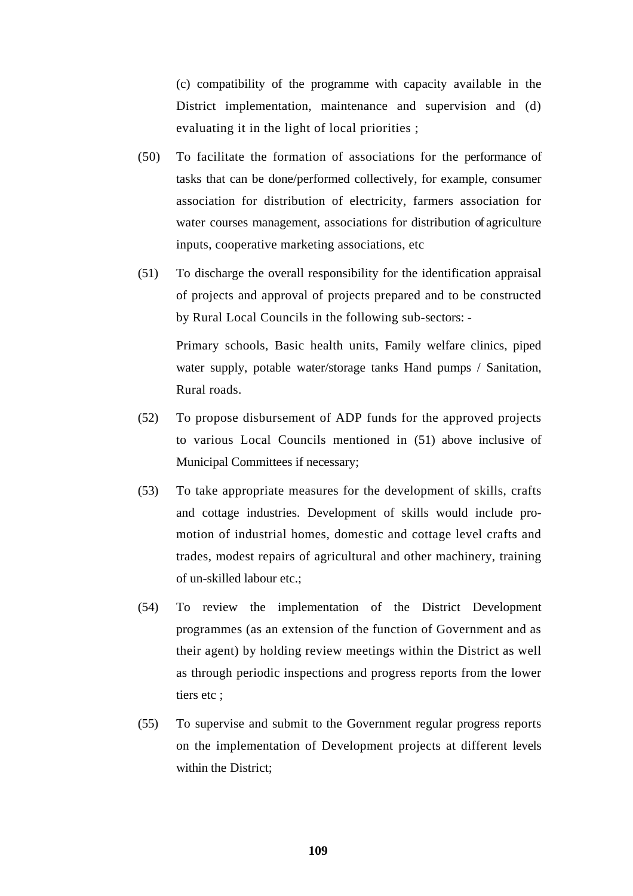(c) compatibility of the programme with capacity available in the District implementation, maintenance and supervision and (d) evaluating it in the light of local priorities ;

- (50) To facilitate the formation of associations for the performance of tasks that can be done/performed collectively, for example, consumer association for distribution of electricity, farmers association for water courses management, associations for distribution of agriculture inputs, cooperative marketing associations, etc
- (51) To discharge the overall responsibility for the identification appraisal of projects and approval of projects prepared and to be constructed by Rural Local Councils in the following sub-sectors: -

Primary schools, Basic health units, Family welfare clinics, piped water supply, potable water/storage tanks Hand pumps / Sanitation, Rural roads.

- (52) To propose disbursement of ADP funds for the approved projects to various Local Councils mentioned in (51) above inclusive of Municipal Committees if necessary;
- (53) To take appropriate measures for the development of skills, crafts and cottage industries. Development of skills would include promotion of industrial homes, domestic and cottage level crafts and trades, modest repairs of agricultural and other machinery, training of un-skilled labour etc.;
- (54) To review the implementation of the District Development programmes (as an extension of the function of Government and as their agent) by holding review meetings within the District as well as through periodic inspections and progress reports from the lower tiers etc ;
- (55) To supervise and submit to the Government regular progress reports on the implementation of Development projects at different levels within the District;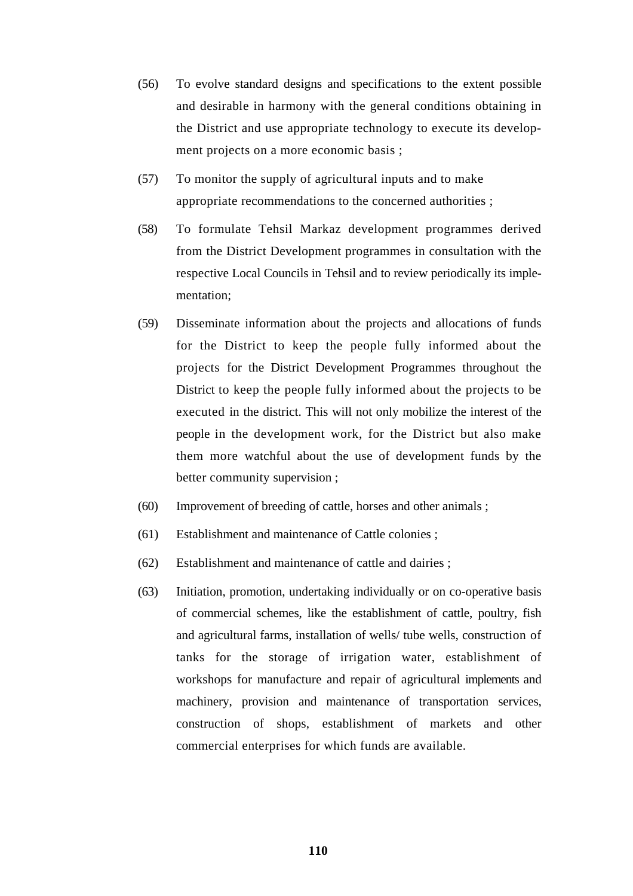- (56) To evolve standard designs and specifications to the extent possible and desirable in harmony with the general conditions obtaining in the District and use appropriate technology to execute its development projects on a more economic basis ;
- (57) To monitor the supply of agricultural inputs and to make appropriate recommendations to the concerned authorities ;
- (58) To formulate Tehsil Markaz development programmes derived from the District Development programmes in consultation with the respective Local Councils in Tehsil and to review periodically its implementation;
- (59) Disseminate information about the projects and allocations of funds for the District to keep the people fully informed about the projects for the District Development Programmes throughout the District to keep the people fully informed about the projects to be executed in the district. This will not only mobilize the interest of the people in the development work, for the District but also make them more watchful about the use of development funds by the better community supervision ;
- (60) Improvement of breeding of cattle, horses and other animals ;
- (61) Establishment and maintenance of Cattle colonies ;
- (62) Establishment and maintenance of cattle and dairies ;
- (63) Initiation, promotion, undertaking individually or on co-operative basis of commercial schemes, like the establishment of cattle, poultry, fish and agricultural farms, installation of wells/ tube wells, construction of tanks for the storage of irrigation water, establishment of workshops for manufacture and repair of agricultural implements and machinery, provision and maintenance of transportation services, construction of shops, establishment of markets and other commercial enterprises for which funds are available.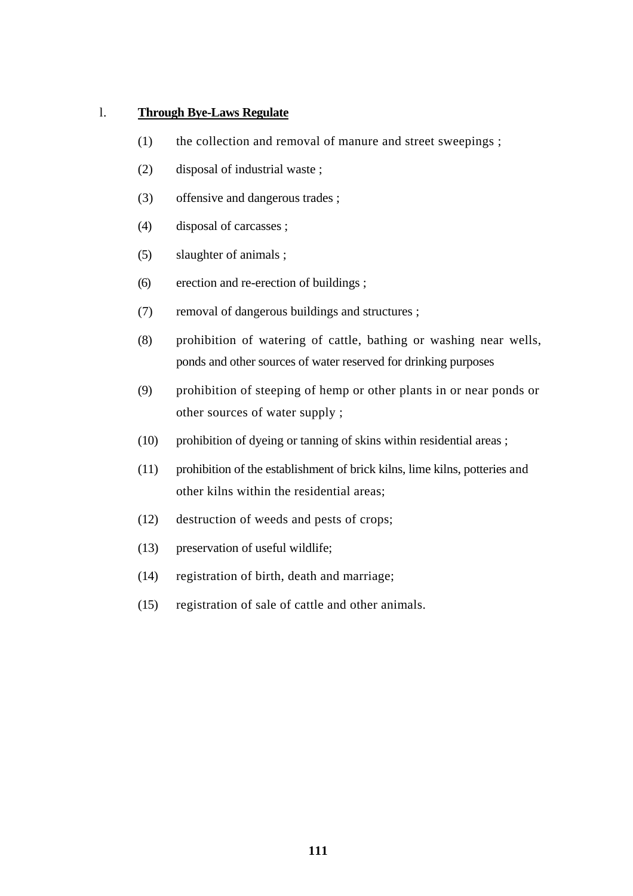#### l. **Through Bye-Laws Regulate**

- (1) the collection and removal of manure and street sweepings ;
- (2) disposal of industrial waste ;
- (3) offensive and dangerous trades ;
- (4) disposal of carcasses ;
- (5) slaughter of animals ;
- (6) erection and re-erection of buildings ;
- (7) removal of dangerous buildings and structures ;
- (8) prohibition of watering of cattle, bathing or washing near wells, ponds and other sources of water reserved for drinking purposes
- (9) prohibition of steeping of hemp or other plants in or near ponds or other sources of water supply ;
- (10) prohibition of dyeing or tanning of skins within residential areas ;
- (11) prohibition of the establishment of brick kilns, lime kilns, potteries and other kilns within the residential areas;
- (12) destruction of weeds and pests of crops;
- (13) preservation of useful wildlife;
- (14) registration of birth, death and marriage;
- (15) registration of sale of cattle and other animals.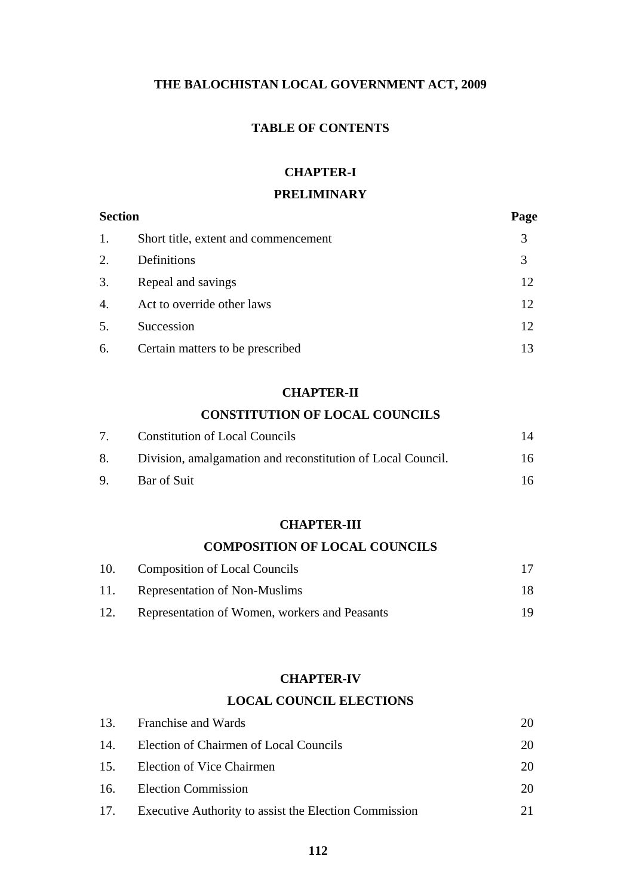## **THE BALOCHISTAN LOCAL GOVERNMENT ACT, 2009**

## **TABLE OF CONTENTS**

## **CHAPTER-I**

## **PRELIMINARY**

| <b>Section</b>   |                                      | Page |
|------------------|--------------------------------------|------|
| 1.               | Short title, extent and commencement | 3    |
| 2.               | Definitions                          | 3    |
| 3.               | Repeal and savings                   | 12   |
| $\overline{4}$ . | Act to override other laws           | 12   |
| 5.               | Succession                           | 12   |
| 6.               | Certain matters to be prescribed     | 13   |

## **CHAPTER-II**

## **CONSTITUTION OF LOCAL COUNCILS**

| 7 <sup>7</sup> | Constitution of Local Councils                                 |    |
|----------------|----------------------------------------------------------------|----|
|                | 8. Division, amalgamation and reconstitution of Local Council. | 16 |
|                | 9. Bar of Suit                                                 | 16 |

## **CHAPTER-III**

## **COMPOSITION OF LOCAL COUNCILS**

| 10. | Composition of Local Councils                 |  |
|-----|-----------------------------------------------|--|
| 11. | Representation of Non-Muslims                 |  |
| 12. | Representation of Women, workers and Peasants |  |

#### **CHAPTER-IV**

#### **LOCAL COUNCIL ELECTIONS**

| 13. Franchise and Wards                                   | 20 |
|-----------------------------------------------------------|----|
| 14. Election of Chairmen of Local Councils                | 20 |
| 15. Election of Vice Chairmen                             | 20 |
| 16. Election Commission                                   | 20 |
| 17. Executive Authority to assist the Election Commission |    |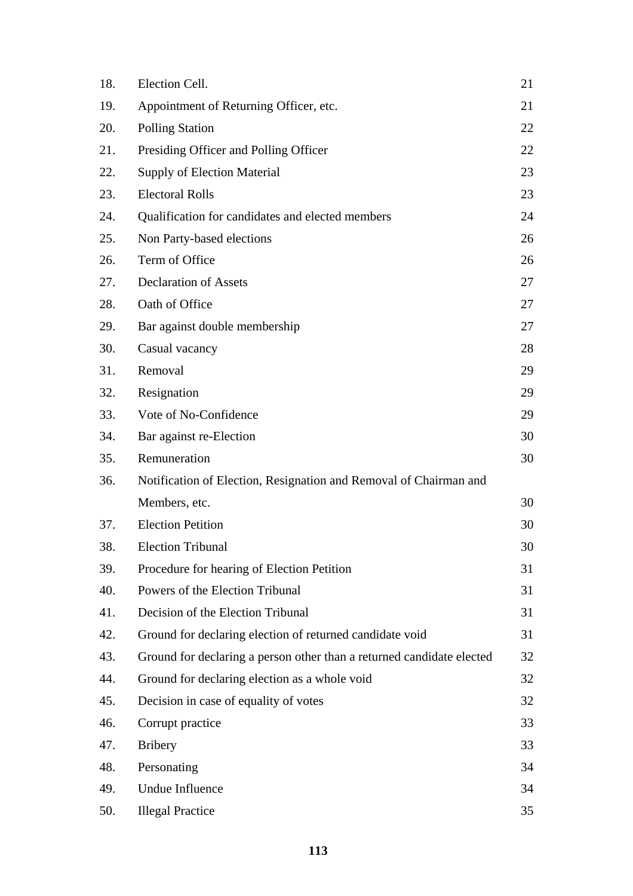| 18. | Election Cell.                                                        | 21 |
|-----|-----------------------------------------------------------------------|----|
| 19. | Appointment of Returning Officer, etc.                                | 21 |
| 20. | <b>Polling Station</b>                                                | 22 |
| 21. | Presiding Officer and Polling Officer                                 | 22 |
| 22. | <b>Supply of Election Material</b>                                    | 23 |
| 23. | <b>Electoral Rolls</b>                                                | 23 |
| 24. | Qualification for candidates and elected members                      | 24 |
| 25. | Non Party-based elections                                             | 26 |
| 26. | Term of Office                                                        | 26 |
| 27. | <b>Declaration of Assets</b>                                          | 27 |
| 28. | Oath of Office                                                        | 27 |
| 29. | Bar against double membership                                         | 27 |
| 30. | Casual vacancy                                                        | 28 |
| 31. | Removal                                                               | 29 |
| 32. | Resignation                                                           | 29 |
| 33. | Vote of No-Confidence                                                 | 29 |
| 34. | Bar against re-Election                                               | 30 |
| 35. | Remuneration                                                          | 30 |
| 36. | Notification of Election, Resignation and Removal of Chairman and     |    |
|     | Members, etc.                                                         | 30 |
| 37. | <b>Election Petition</b>                                              | 30 |
| 38. | <b>Election Tribunal</b>                                              | 30 |
| 39. | Procedure for hearing of Election Petition                            | 31 |
| 40. | Powers of the Election Tribunal                                       | 31 |
| 41. | Decision of the Election Tribunal                                     | 31 |
| 42. | Ground for declaring election of returned candidate void              | 31 |
| 43. | Ground for declaring a person other than a returned candidate elected | 32 |
| 44. | Ground for declaring election as a whole void                         | 32 |
| 45. | Decision in case of equality of votes                                 | 32 |
| 46. | Corrupt practice                                                      | 33 |
| 47. | <b>Bribery</b>                                                        | 33 |
| 48. | Personating                                                           | 34 |
| 49. | <b>Undue Influence</b>                                                | 34 |
| 50. | <b>Illegal Practice</b>                                               | 35 |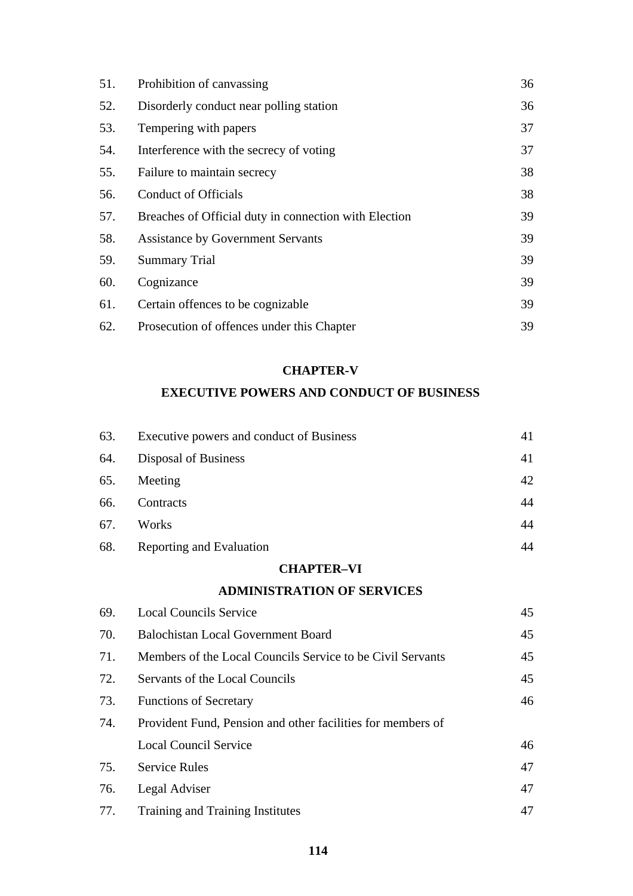| 51. | Prohibition of canvassing                             | 36 |
|-----|-------------------------------------------------------|----|
| 52. | Disorderly conduct near polling station               | 36 |
| 53. | Tempering with papers                                 | 37 |
| 54. | Interference with the secrecy of voting               | 37 |
| 55. | Failure to maintain secrecy                           | 38 |
| 56. | <b>Conduct of Officials</b>                           | 38 |
| 57. | Breaches of Official duty in connection with Election | 39 |
| 58. | <b>Assistance by Government Servants</b>              | 39 |
| 59. | <b>Summary Trial</b>                                  | 39 |
| 60. | Cognizance                                            | 39 |
| 61. | Certain offences to be cognizable.                    | 39 |
| 62. | Prosecution of offences under this Chapter            | 39 |

#### **CHAPTER-V**

## **EXECUTIVE POWERS AND CONDUCT OF BUSINESS**

| 63. | Executive powers and conduct of Business | 41 |
|-----|------------------------------------------|----|
| 64. | Disposal of Business                     | 41 |
| 65. | Meeting                                  | 42 |
| 66. | Contracts                                | 44 |
| 67. | Works                                    | 44 |
| 68. | Reporting and Evaluation                 | 44 |

## **CHAPTER–VI**

## **ADMINISTRATION OF SERVICES**

| 69. | <b>Local Councils Service</b>                               | 45 |
|-----|-------------------------------------------------------------|----|
| 70. | <b>Balochistan Local Government Board</b>                   | 45 |
| 71. | Members of the Local Councils Service to be Civil Servants  | 45 |
| 72. | Servants of the Local Councils                              | 45 |
| 73. | <b>Functions of Secretary</b>                               | 46 |
| 74. | Provident Fund, Pension and other facilities for members of |    |
|     | <b>Local Council Service</b>                                | 46 |
| 75. | <b>Service Rules</b>                                        | 47 |
| 76. | Legal Adviser                                               | 47 |
| 77. | Training and Training Institutes                            | 47 |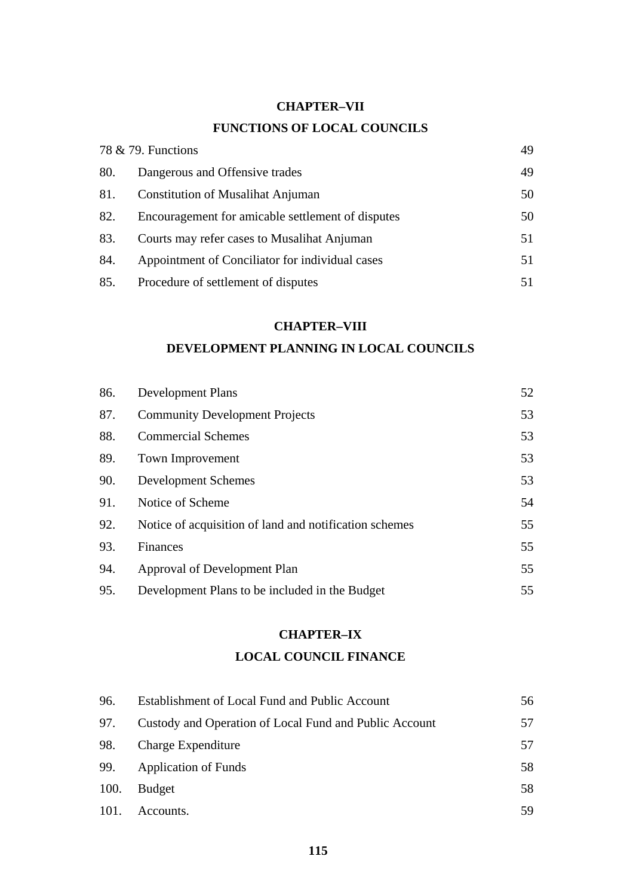#### **CHAPTER–VII**

# **FUNCTIONS OF LOCAL COUNCILS**

|     | 78 & 79. Functions                                |    |
|-----|---------------------------------------------------|----|
| 80. | Dangerous and Offensive trades                    | 49 |
| 81. | <b>Constitution of Musalihat Anjuman</b>          | 50 |
| 82. | Encouragement for amicable settlement of disputes | 50 |
| 83. | Courts may refer cases to Musalihat Anjuman       | 51 |
| 84. | Appointment of Conciliator for individual cases   | 51 |
| 85. | Procedure of settlement of disputes               | 51 |

#### **CHAPTER–VIII**

### **DEVELOPMENT PLANNING IN LOCAL COUNCILS**

| 86. | <b>Development Plans</b>                               | 52 |
|-----|--------------------------------------------------------|----|
| 87. | <b>Community Development Projects</b>                  | 53 |
| 88. | <b>Commercial Schemes</b>                              | 53 |
| 89. | <b>Town Improvement</b>                                | 53 |
| 90. | Development Schemes                                    | 53 |
| 91. | Notice of Scheme                                       | 54 |
| 92. | Notice of acquisition of land and notification schemes | 55 |
| 93. | Finances                                               | 55 |
| 94. | Approval of Development Plan                           | 55 |
| 95. | Development Plans to be included in the Budget         | 55 |

## **CHAPTER–IX**

## **LOCAL COUNCIL FINANCE**

| 96.  | Establishment of Local Fund and Public Account         | 56 |
|------|--------------------------------------------------------|----|
| 97.  | Custody and Operation of Local Fund and Public Account | 57 |
| 98.  | Charge Expenditure                                     | 57 |
| 99.  | <b>Application of Funds</b>                            | 58 |
| 100. | <b>Budget</b>                                          | 58 |
| 101. | Accounts.                                              | 59 |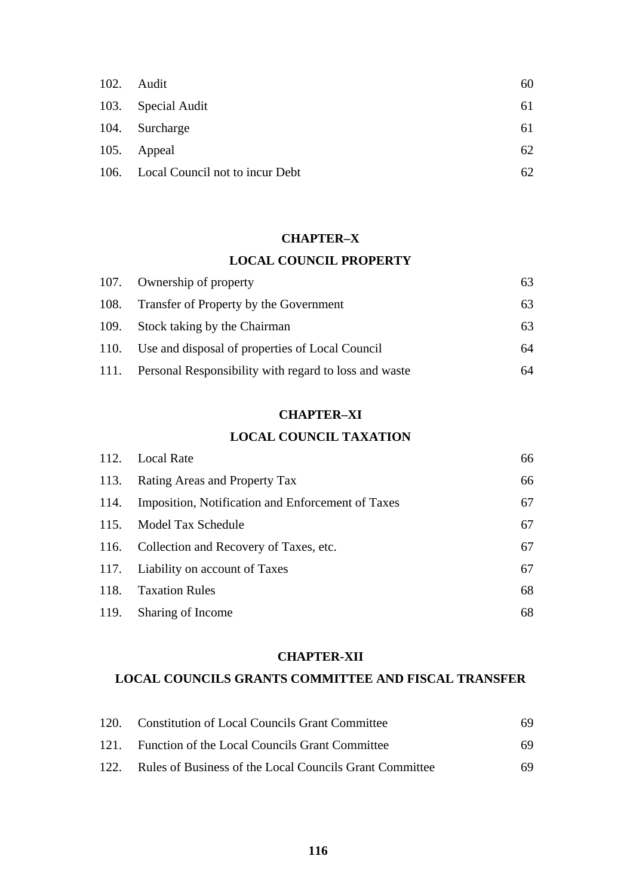| 102. | Audit                                | 60 |
|------|--------------------------------------|----|
|      | 103. Special Audit                   | 61 |
|      | 104. Surcharge                       | 61 |
|      | 105. Appeal                          | 62 |
|      | 106. Local Council not to incur Debt | 62 |

#### **CHAPTER–X**

#### **LOCAL COUNCIL PROPERTY**

| 107. Ownership of property                                 | 63 |
|------------------------------------------------------------|----|
| 108. Transfer of Property by the Government                | 63 |
| 109. Stock taking by the Chairman                          | 63 |
| 110. Use and disposal of properties of Local Council       | 64 |
| 111. Personal Responsibility with regard to loss and waste | 64 |

## **CHAPTER–XI**

#### **LOCAL COUNCIL TAXATION**

|      | 112. Local Rate                                   | 66 |
|------|---------------------------------------------------|----|
| 113. | <b>Rating Areas and Property Tax</b>              | 66 |
| 114. | Imposition, Notification and Enforcement of Taxes | 67 |
|      | 115. Model Tax Schedule                           | 67 |
|      | 116. Collection and Recovery of Taxes, etc.       | 67 |
|      | 117. Liability on account of Taxes                | 67 |
| 118. | <b>Taxation Rules</b>                             | 68 |
| 119. | Sharing of Income                                 | 68 |

#### **CHAPTER-XII**

#### **LOCAL COUNCILS GRANTS COMMITTEE AND FISCAL TRANSFER**

|      | 120. Constitution of Local Councils Grant Committee     | 69. |
|------|---------------------------------------------------------|-----|
|      | 121. Function of the Local Councils Grant Committee     | 69. |
| 122. | Rules of Business of the Local Councils Grant Committee | 69. |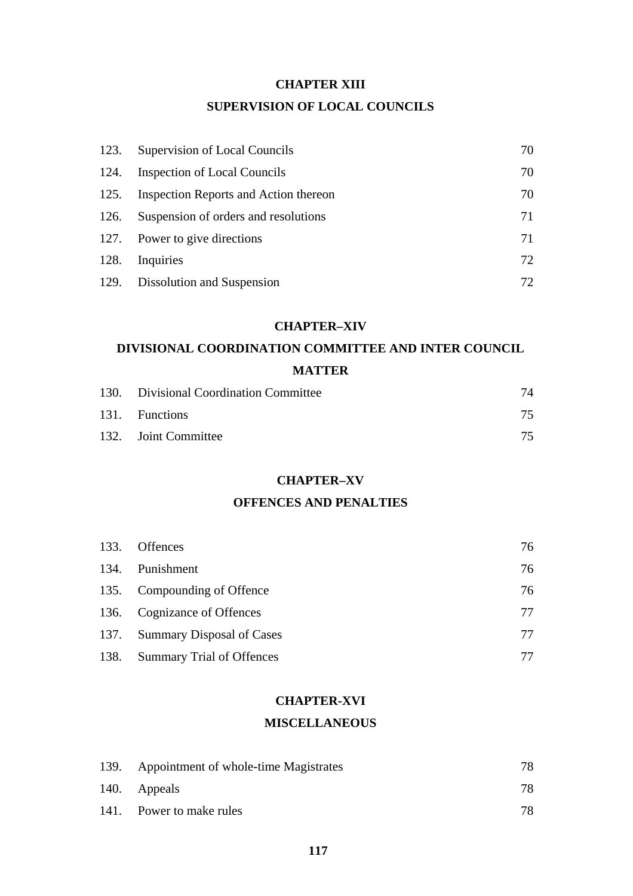#### **CHAPTER XIII**

### **SUPERVISION OF LOCAL COUNCILS**

| 123. | Supervision of Local Councils         | 70  |
|------|---------------------------------------|-----|
| 124. | <b>Inspection of Local Councils</b>   | 70  |
| 125. | Inspection Reports and Action thereon | 70  |
| 126. | Suspension of orders and resolutions  | 71  |
|      | 127. Power to give directions         | 71  |
| 128. | Inquiries                             | 72  |
|      | 129. Dissolution and Suspension       | 72. |

#### **CHAPTER–XIV**

# **DIVISIONAL COORDINATION COMMITTEE AND INTER COUNCIL MATTER**

| 130. Divisional Coordination Committee | 74 |
|----------------------------------------|----|
| 131. Functions                         |    |
| 132. Joint Committee                   |    |

#### **CHAPTER–XV**

## **OFFENCES AND PENALTIES**

| 133. | <b>Offences</b>                | 76 |
|------|--------------------------------|----|
|      | 134. Punishment                | 76 |
|      | 135. Compounding of Offence    | 76 |
|      | 136. Cognizance of Offences    | 77 |
|      | 137. Summary Disposal of Cases | 77 |
|      | 138. Summary Trial of Offences |    |

#### **CHAPTER-XVI**

#### **MISCELLANEOUS**

| 139. Appointment of whole-time Magistrates | 78. |
|--------------------------------------------|-----|
| 140. Appeals                               | 78  |
| 141. Power to make rules                   | 78  |